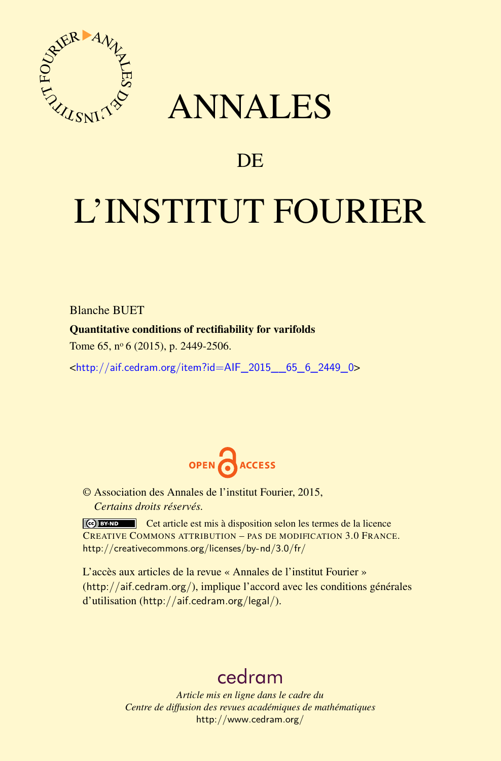

# ANNALES

# **DE**

# L'INSTITUT FOURIER

Blanche BUET

### Quantitative conditions of rectifiability for varifolds

Tome 65, nº 6 (2015), p. 2449-2506.

 $\kappa$ http://aif.cedram.org/item?id=AIF 2015 65 6 2449 0>



© Association des Annales de l'institut Fourier, 2015, *Certains droits réservés.*

Cet article est mis à disposition selon les termes de la licence CREATIVE COMMONS ATTRIBUTION – PAS DE MODIFICATION 3.0 FRANCE. <http://creativecommons.org/licenses/by-nd/3.0/fr/>

L'accès aux articles de la revue « Annales de l'institut Fourier » (<http://aif.cedram.org/>), implique l'accord avec les conditions générales d'utilisation (<http://aif.cedram.org/legal/>).

# [cedram](http://www.cedram.org/)

*Article mis en ligne dans le cadre du Centre de diffusion des revues académiques de mathématiques* <http://www.cedram.org/>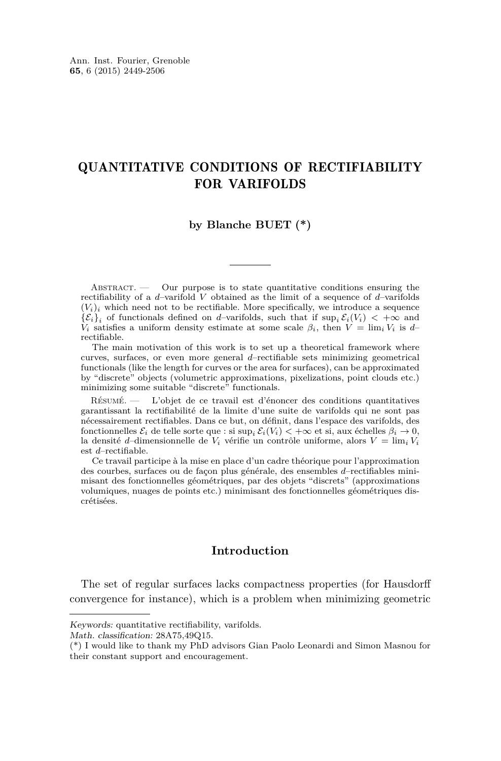# QUANTITATIVE CONDITIONS OF RECTIFIABILITY FOR VARIFOLDS

#### **by Blanche BUET (\*)**

ABSTRACT. — Our purpose is to state quantitative conditions ensuring the rectifiability of a *d*–varifold *V* obtained as the limit of a sequence of *d*–varifolds  $(V_i)_i$  which need not to be rectifiable. More specifically, we introduce a sequence  ${E_i}_i$  of functionals defined on *d*–varifolds, such that if  $\sup_i E_i(V_i) < +\infty$  and *V*<sub>i</sub> satisfies a uniform density estimate at some scale  $\beta_i$ , then  $V = \lim_i V_i$  is *d*– rectifiable.

The main motivation of this work is to set up a theoretical framework where curves, surfaces, or even more general *d*–rectifiable sets minimizing geometrical functionals (like the length for curves or the area for surfaces), can be approximated by "discrete" objects (volumetric approximations, pixelizations, point clouds etc.) minimizing some suitable "discrete" functionals.

Résumé. — L'objet de ce travail est d'énoncer des conditions quantitatives garantissant la rectifiabilité de la limite d'une suite de varifolds qui ne sont pas nécessairement rectifiables. Dans ce but, on définit, dans l'espace des varifolds, des fonctionnelles  $\mathcal{E}_i$  de telle sorte que : si sup<sub>i</sub>  $\mathcal{E}_i(V_i) < +\infty$  et si, aux échelles  $\beta_i \to 0$ , la densité *d*–dimensionnelle de  $V_i$  vérifie un contrôle uniforme, alors  $V = \lim_i V_i$ est *d*–rectifiable.

Ce travail participe à la mise en place d'un cadre théorique pour l'approximation des courbes, surfaces ou de façon plus générale, des ensembles *d*–rectifiables minimisant des fonctionnelles géométriques, par des objets "discrets" (approximations volumiques, nuages de points etc.) minimisant des fonctionnelles géométriques discrétisées.

#### **Introduction**

The set of regular surfaces lacks compactness properties (for Hausdorff convergence for instance), which is a problem when minimizing geometric

Keywords: quantitative rectifiability, varifolds.

Math. classification: 28A75,49Q15.

<sup>(\*)</sup> I would like to thank my PhD advisors Gian Paolo Leonardi and Simon Masnou for their constant support and encouragement.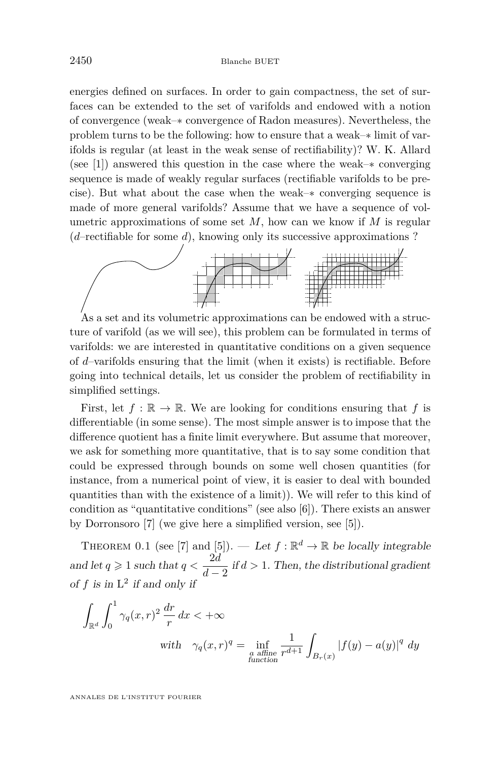energies defined on surfaces. In order to gain compactness, the set of surfaces can be extended to the set of varifolds and endowed with a notion of convergence (weak–∗ convergence of Radon measures). Nevertheless, the problem turns to be the following: how to ensure that a weak–∗ limit of varifolds is regular (at least in the weak sense of rectifiability)? W. K. Allard (see [\[1\]](#page-58-0)) answered this question in the case where the weak–∗ converging sequence is made of weakly regular surfaces (rectifiable varifolds to be precise). But what about the case when the weak–∗ converging sequence is made of more general varifolds? Assume that we have a sequence of volumetric approximations of some set *M*, how can we know if *M* is regular (*d*–rectifiable for some *d*), knowing only its successive approximations ?



As a set and its volumetric approximations can be endowed with a structure of varifold (as we will see), this problem can be formulated in terms of varifolds: we are interested in quantitative conditions on a given sequence of *d*–varifolds ensuring that the limit (when it exists) is rectifiable. Before going into technical details, let us consider the problem of rectifiability in simplified settings.

First, let  $f : \mathbb{R} \to \mathbb{R}$ . We are looking for conditions ensuring that f is differentiable (in some sense). The most simple answer is to impose that the difference quotient has a finite limit everywhere. But assume that moreover, we ask for something more quantitative, that is to say some condition that could be expressed through bounds on some well chosen quantities (for instance, from a numerical point of view, it is easier to deal with bounded quantities than with the existence of a limit)). We will refer to this kind of condition as "quantitative conditions" (see also [\[6\]](#page-58-0)). There exists an answer by Dorronsoro [\[7\]](#page-58-0) (we give here a simplified version, see [\[5\]](#page-58-0)).

THEOREM 0.1 (see [\[7\]](#page-58-0) and [\[5\]](#page-58-0)). — Let  $f : \mathbb{R}^d \to \mathbb{R}$  be locally integrable and let  $q \geqslant 1$  such that  $q < \frac{2d}{1}$  $\frac{2a}{d-2}$  if  $d > 1$ . Then, the distributional gradient of  $f$  is in  $L^2$  if and only if

$$
\int_{\mathbb{R}^d} \int_0^1 \gamma_q(x, r)^2 \frac{dr}{r} dx < +\infty
$$
\nwith\n
$$
\gamma_q(x, r)^q = \inf_{\substack{a \text{ affine} \\ \text{function}}} \frac{1}{r^{d+1}} \int_{B_r(x)} |f(y) - a(y)|^q dy
$$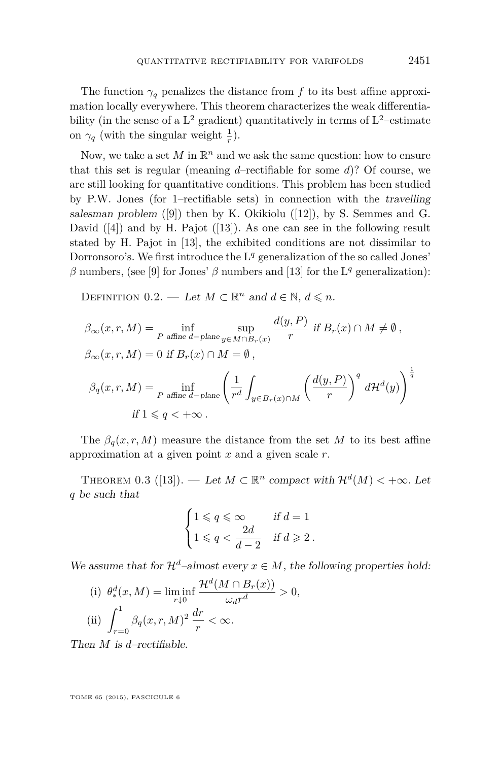<span id="page-3-0"></span>The function  $\gamma_q$  penalizes the distance from f to its best affine approximation locally everywhere. This theorem characterizes the weak differentiability (in the sense of a  $L^2$  gradient) quantitatively in terms of  $L^2$ -estimate on  $\gamma_q$  (with the singular weight  $\frac{1}{r}$ ).

Now, we take a set  $M$  in  $\mathbb{R}^n$  and we ask the same question: how to ensure that this set is regular (meaning *d*–rectifiable for some *d*)? Of course, we are still looking for quantitative conditions. This problem has been studied by P.W. Jones (for 1–rectifiable sets) in connection with the travelling salesman problem  $([9])$  $([9])$  $([9])$  then by K. Okikiolu  $([12])$  $([12])$  $([12])$ , by S. Semmes and G. David  $([4])$  $([4])$  $([4])$  and by H. Pajot  $([13])$  $([13])$  $([13])$ . As one can see in the following result stated by H. Pajot in [\[13\]](#page-58-0), the exhibited conditions are not dissimilar to Dorronsoro's. We first introduce the L<sup>q</sup> generalization of the so called Jones'  $\beta$  numbers, (see [\[9\]](#page-58-0) for Jones'  $\beta$  numbers and [\[13\]](#page-58-0) for the L<sup>q</sup> generalization):

DEFINITION 0.2. — Let  $M \subset \mathbb{R}^n$  and  $d \in \mathbb{N}$ ,  $d \leq n$ .

$$
\beta_{\infty}(x, r, M) = \inf_{P \text{ affine } d-p\text{lane}} \sup_{y \in M \cap B_r(x)} \frac{d(y, P)}{r} \text{ if } B_r(x) \cap M \neq \emptyset,
$$
  

$$
\beta_{\infty}(x, r, M) = 0 \text{ if } B_r(x) \cap M = \emptyset,
$$
  

$$
\beta_q(x, r, M) = \inf_{P \text{ affine } d-p\text{lane}} \left(\frac{1}{r^d} \int_{y \in B_r(x) \cap M} \left(\frac{d(y, P)}{r}\right)^q d\mathcal{H}^d(y)\right)^{\frac{1}{q}}
$$
  
if  $1 \leq q < +\infty$ .

The  $\beta_q(x, r, M)$  measure the distance from the set *M* to its best affine approximation at a given point *x* and a given scale *r*.

THEOREM 0.3 ([\[13\]](#page-58-0)). — Let  $M \subset \mathbb{R}^n$  compact with  $\mathcal{H}^d(M) < +\infty$ . Let *q* be such that

$$
\begin{cases} 1 \leqslant q \leqslant \infty & \text{if } d = 1 \\ 1 \leqslant q < \frac{2d}{d - 2} & \text{if } d \geqslant 2 \text{ .} \end{cases}
$$

We assume that for  $\mathcal{H}^d$ –almost every  $x \in M$ , the following properties hold:

(i) 
$$
\theta_*^d(x, M) = \liminf_{r \downarrow 0} \frac{\mathcal{H}^d(M \cap B_r(x))}{\omega_d r^d} > 0,
$$
  
\n(ii)  $\int_{r=0}^1 \beta_q(x, r, M)^2 \frac{dr}{r} < \infty.$ 

Then *M* is *d*–rectifiable.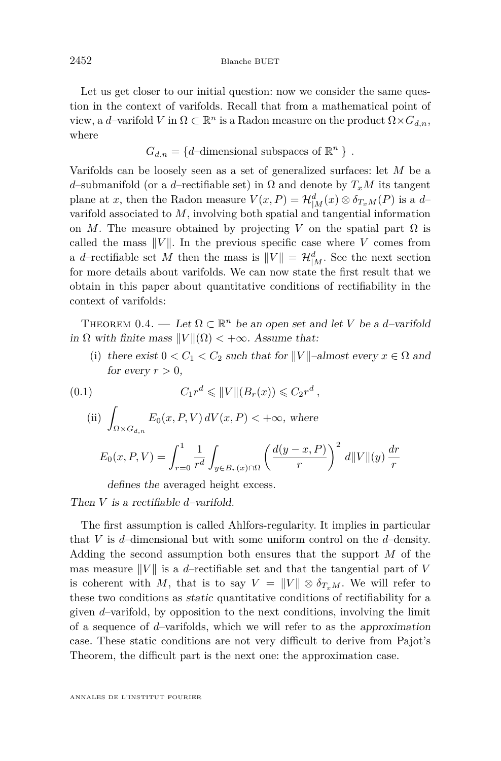<span id="page-4-0"></span>Let us get closer to our initial question: now we consider the same question in the context of varifolds. Recall that from a mathematical point of view, a *d*-varifold *V* in  $\Omega \subset \mathbb{R}^n$  is a Radon measure on the product  $\Omega \times G_{d,n}$ , where

$$
G_{d,n} = \{d\text{-dimensional subspaces of }\mathbb{R}^n\}
$$
.

Varifolds can be loosely seen as a set of generalized surfaces: let *M* be a *d*–submanifold (or a *d*–rectifiable set) in  $\Omega$  and denote by  $T_xM$  its tangent plane at *x*, then the Radon measure  $V(x, P) = \mathcal{H}_{|M}^d(x) \otimes \delta_{T_xM}(P)$  is a *d*varifold associated to *M*, involving both spatial and tangential information on *M*. The measure obtained by projecting *V* on the spatial part  $\Omega$  is called the mass  $||V||$ . In the previous specific case where *V* comes from a *d*-rectifiable set *M* then the mass is  $||V|| = \mathcal{H}_{|M}^d$ . See the next section for more details about varifolds. We can now state the first result that we obtain in this paper about quantitative conditions of rectifiability in the context of varifolds:

THEOREM 0.4. — Let  $\Omega \subset \mathbb{R}^n$  be an open set and let *V* be a *d*-varifold in  $\Omega$  with finite mass  $\|V\|(\Omega) < +\infty$ . Assume that:

(i) there exist  $0 < C_1 < C_2$  such that for  $||V||$ –almost every  $x \in \Omega$  and for every  $r > 0$ .

*r*

(0.1)  
\n
$$
C_1 r^d \leq ||V|| (B_r(x)) \leq C_2 r^d,
$$
\n
$$
(ii) \int_{\Omega \times G_{d,n}} E_0(x, P, V) dV(x, P) < +\infty, \text{ where}
$$
\n
$$
E_0(x, P, V) = \int_{r=0}^1 \frac{1}{r^d} \int_{y \in B_r(x) \cap \Omega} \left(\frac{d(y - x, P)}{r}\right)^2 d||V|| (y) \frac{dr}{r}
$$

defines the averaged height excess.

Then *V* is a rectifiable *d*–varifold.

The first assumption is called Ahlfors-regularity. It implies in particular that *V* is *d*–dimensional but with some uniform control on the *d*–density. Adding the second assumption both ensures that the support *M* of the mas measure  $||V||$  is a *d*–rectifiable set and that the tangential part of *V* is coherent with *M*, that is to say  $V = ||V|| \otimes \delta_{T_xM}$ . We will refer to these two conditions as static quantitative conditions of rectifiability for a given *d*–varifold, by opposition to the next conditions, involving the limit of a sequence of *d*–varifolds, which we will refer to as the approximation case. These static conditions are not very difficult to derive from Pajot's Theorem, the difficult part is the next one: the approximation case.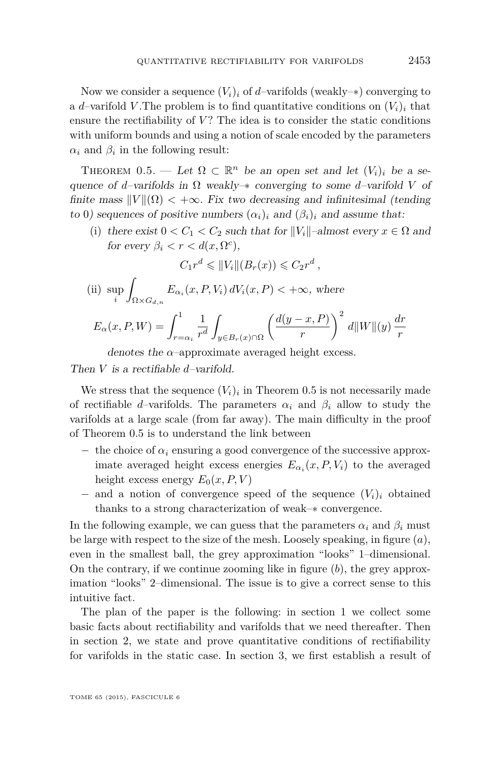<span id="page-5-0"></span>Now we consider a sequence  $(V_i)_i$  of *d*–varifolds (weakly– $*$ ) converging to a *d*–varifold *V*. The problem is to find quantitative conditions on  $(V_i)_i$  that ensure the rectifiability of  $V$ ? The idea is to consider the static conditions with uniform bounds and using a notion of scale encoded by the parameters  $\alpha_i$  and  $\beta_i$  in the following result:

THEOREM 0.5. — Let  $\Omega \subset \mathbb{R}^n$  be an open set and let  $(V_i)_i$  be a sequence of *d*–varifolds in Ω weakly–∗ converging to some *d*–varifold *V* of finite mass  $||V||(\Omega) < +\infty$ . Fix two decreasing and infinitesimal (tending to 0) sequences of positive numbers  $(\alpha_i)_i$  and  $(\beta_i)_i$  and assume that:

(i) there exist  $0 < C_1 < C_2$  such that for  $||V_i||$ –almost every  $x \in \Omega$  and for every  $\beta_i < r < d(x, \Omega^c)$ ,

$$
C_1 r^d \leqslant ||V_i|| (B_r(x)) \leqslant C_2 r^d ,
$$

(ii) sup *i* Z  $\sum_{\Omega \times G_{d,n}} E_{\alpha_i}(x, P, V_i) dV_i(x, P) < +\infty$ , where

$$
E_{\alpha}(x, P, W) = \int_{r=\alpha_i}^{1} \frac{1}{r^d} \int_{y \in B_r(x) \cap \Omega} \left( \frac{d(y-x, P)}{r} \right)^2 d||W||(y) \frac{dr}{r}
$$

denotes the  $\alpha$ –approximate averaged height excess.

Then *V* is a rectifiable *d*–varifold.

We stress that the sequence  $(V_i)_i$  in Theorem 0.5 is not necessarily made of rectifiable *d*–varifolds. The parameters  $\alpha_i$  and  $\beta_i$  allow to study the varifolds at a large scale (from far away). The main difficulty in the proof of Theorem 0.5 is to understand the link between

- $-$  the choice of  $\alpha_i$  ensuring a good convergence of the successive approximate averaged height excess energies  $E_{\alpha_i}(x, P, V_i)$  to the averaged height excess energy  $E_0(x, P, V)$
- − and a notion of convergence speed of the sequence (*Vi*)*<sup>i</sup>* obtained thanks to a strong characterization of weak–∗ convergence.

In the following example, we can guess that the parameters  $\alpha_i$  and  $\beta_i$  must be large with respect to the size of the mesh. Loosely speaking, in figure (*a*), even in the smallest ball, the grey approximation "looks" 1–dimensional. On the contrary, if we continue zooming like in figure (*b*), the grey approximation "looks" 2–dimensional. The issue is to give a correct sense to this intuitive fact.

The plan of the paper is the following: in section [1](#page-6-0) we collect some basic facts about rectifiability and varifolds that we need thereafter. Then in section [2,](#page-20-0) we state and prove quantitative conditions of rectifiability for varifolds in the static case. In section [3,](#page-29-0) we first establish a result of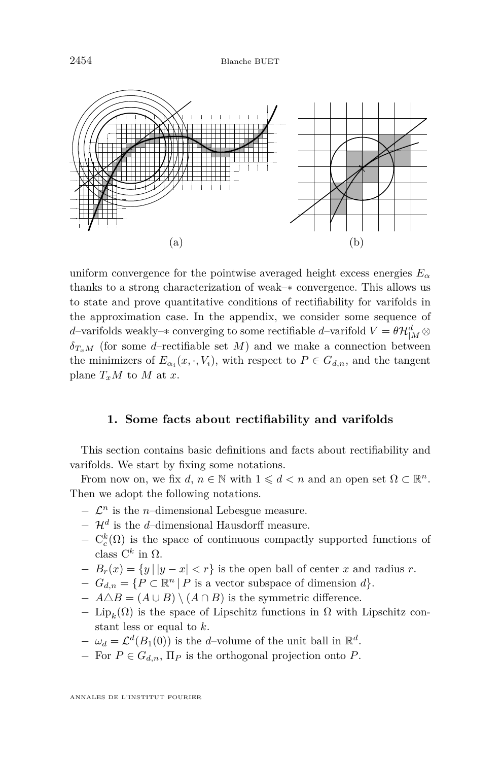<span id="page-6-0"></span>2454 Blanche BUET



uniform convergence for the pointwise averaged height excess energies  $E_{\alpha}$ thanks to a strong characterization of weak–∗ convergence. This allows us to state and prove quantitative conditions of rectifiability for varifolds in the approximation case. In the appendix, we consider some sequence of *d*–varifolds weakly– $*$  converging to some rectifiable *d*–varifold  $V = \theta \mathcal{H}_{|M}^d \otimes$  $\delta_{T,M}$  (for some *d*–rectifiable set *M*) and we make a connection between the minimizers of  $E_{\alpha_i}(x, \cdot, V_i)$ , with respect to  $P \in G_{d,n}$ , and the tangent plane  $T_xM$  to M at *x*.

#### **1. Some facts about rectifiability and varifolds**

This section contains basic definitions and facts about rectifiability and varifolds. We start by fixing some notations.

From now on, we fix  $d, n \in \mathbb{N}$  with  $1 \leq d \leq n$  and an open set  $\Omega \subset \mathbb{R}^n$ . Then we adopt the following notations.

- $\mathcal{L}^n$  is the *n*–dimensional Lebesgue measure.
- − H*<sup>d</sup>* is the *d*–dimensional Hausdorff measure.
- $C_c^k(\Omega)$  is the space of continuous compactly supported functions of class  $C^k$  in  $Ω$ .
- $-B_r(x) = \{y \mid |y-x| < r\}$  is the open ball of center *x* and radius *r*.
- $-G_{d,n} = \{P \subset \mathbb{R}^n | P \text{ is a vector subspace of dimension } d\}.$
- $A\Delta B = (A \cup B) \setminus (A \cap B)$  is the symmetric difference.
- $-$  Lip<sub>k</sub>(Ω) is the space of Lipschitz functions in Ω with Lipschitz constant less or equal to *k*.
- $-$  *ω*<sub>*d*</sub> =  $\mathcal{L}^d(B_1(0))$  is the *d*-volume of the unit ball in ℝ<sup>*d*</sup>.
- − For *P* ∈ *Gd,n*, Π*<sup>P</sup>* is the orthogonal projection onto *P*.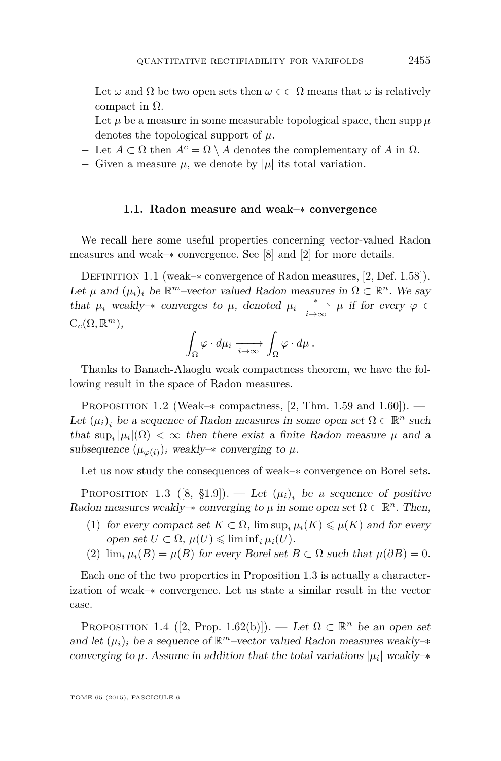- − Let *ω* and Ω be two open sets then *ω* ⊂⊂ Ω means that *ω* is relatively compact in  $Ω$ .
- − Let *µ* be a measure in some measurable topological space, then supp *µ* denotes the topological support of *µ*.
- $-$  Let *A* ⊂ Ω then  $A<sup>c</sup> = Ω \setminus A$  denotes the complementary of *A* in Ω.
- $-$  Given a measure  $\mu$ , we denote by  $|\mu|$  its total variation.

#### **1.1. Radon measure and weak–**∗ **convergence**

We recall here some useful properties concerning vector-valued Radon measures and weak–∗ convergence. See [\[8\]](#page-58-0) and [\[2\]](#page-58-0) for more details.

Definition 1.1 (weak–∗ convergence of Radon measures, [\[2,](#page-58-0) Def. 1.58]). Let  $\mu$  and  $(\mu_i)_i$  be  $\mathbb{R}^m$ –vector valued Radon measures in  $\Omega \subset \mathbb{R}^n$ . We say that  $\mu_i$  weakly– $*$  converges to  $\mu$ , denoted  $\mu_i \xrightarrow[i \to \infty]{} \mu$  if for every  $\varphi \in$  $C_c(\Omega,\mathbb{R}^m)$ ,

$$
\int_{\Omega} \varphi \cdot d\mu_i \xrightarrow[i \to \infty]{} \int_{\Omega} \varphi \cdot d\mu.
$$

Thanks to Banach-Alaoglu weak compactness theorem, we have the following result in the space of Radon measures.

PROPOSITION 1.2 (Weak– $*$  compactness, [\[2,](#page-58-0) Thm. 1.59 and 1.60]). — Let  $(\mu_i)_i$  be a sequence of Radon measures in some open set  $\Omega \subset \mathbb{R}^n$  such that  $\sup_i |\mu_i|(\Omega) < \infty$  then there exist a finite Radon measure  $\mu$  and a subsequence  $(\mu_{\varphi(i)})_i$  weakly– $*$  converging to  $\mu$ .

Let us now study the consequences of weak–∗ convergence on Borel sets.

PROPOSITION 1.3 ([\[8,](#page-58-0)  $\S1.9$ ]). — Let  $(\mu_i)_i$  be a sequence of positive Radon measures weakly- $*$  converging to  $\mu$  in some open set  $\Omega \subset \mathbb{R}^n$ . Then,

- (1) for every compact set  $K \subset \Omega$ ,  $\limsup_{i} \mu_i(K) \leq \mu(K)$  and for every open set  $U \subset \Omega$ ,  $\mu(U) \leq \liminf_i \mu_i(U)$ .
- (2)  $\lim_{i} \mu_i(B) = \mu(B)$  for every Borel set  $B \subset \Omega$  such that  $\mu(\partial B) = 0$ .

Each one of the two properties in Proposition 1.3 is actually a characterization of weak–∗ convergence. Let us state a similar result in the vector case.

PROPOSITION 1.4 ([\[2,](#page-58-0) Prop. 1.62(b)]). — Let  $\Omega \subset \mathbb{R}^n$  be an open set and let  $(\mu_i)_i$  be a sequence of  $\mathbb{R}^m$ –vector valued Radon measures weakly– $*$ converging to  $\mu$ . Assume in addition that the total variations  $|\mu_i|$  weakly- $*$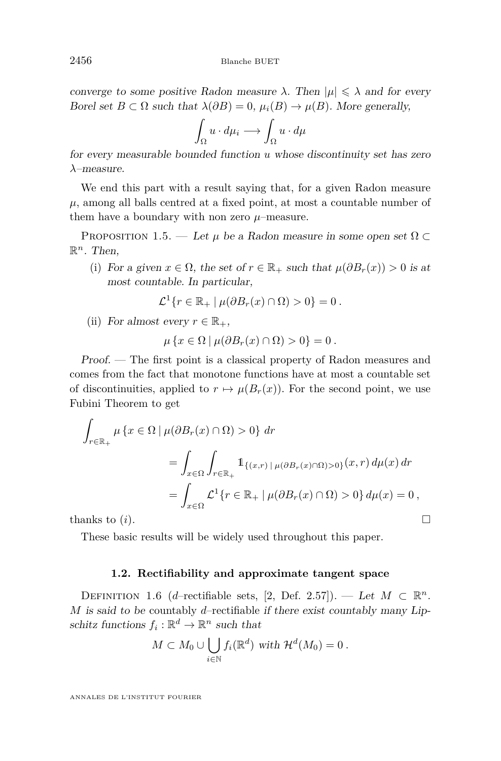converge to some positive Radon measure  $\lambda$ . Then  $|\mu| \leq \lambda$  and for every Borel set  $B \subset \Omega$  such that  $\lambda(\partial B) = 0$ ,  $\mu_i(B) \to \mu(B)$ . More generally,

$$
\int_{\Omega} u \cdot d\mu_i \longrightarrow \int_{\Omega} u \cdot d\mu
$$

for every measurable bounded function *u* whose discontinuity set has zero *λ*–measure.

We end this part with a result saying that, for a given Radon measure  $\mu$ , among all balls centred at a fixed point, at most a countable number of them have a boundary with non zero  $\mu$ –measure.

PROPOSITION 1.5. — Let  $\mu$  be a Radon measure in some open set  $\Omega \subset$  $\mathbb{R}^n$ . Then,

(i) For a given  $x \in \Omega$ , the set of  $r \in \mathbb{R}_+$  such that  $\mu(\partial B_r(x)) > 0$  is at most countable. In particular,

$$
\mathcal{L}^1\{r \in \mathbb{R}_+ \mid \mu(\partial B_r(x) \cap \Omega) > 0\} = 0.
$$

(ii) For almost every  $r \in \mathbb{R}_+$ ,

$$
\mu\left\{x\in\Omega\,|\,\mu(\partial B_r(x)\cap\Omega)>0\right\}=0.
$$

Proof. — The first point is a classical property of Radon measures and comes from the fact that monotone functions have at most a countable set of discontinuities, applied to  $r \mapsto \mu(B_r(x))$ . For the second point, we use Fubini Theorem to get

$$
\int_{r \in \mathbb{R}_+} \mu \{x \in \Omega \mid \mu(\partial B_r(x) \cap \Omega) > 0\} dr
$$
\n
$$
= \int_{x \in \Omega} \int_{r \in \mathbb{R}_+} \mathbb{1}_{\{(x,r) \mid \mu(\partial B_r(x) \cap \Omega) > 0\}}(x,r) d\mu(x) dr
$$
\n
$$
= \int_{x \in \Omega} \mathcal{L}^1 \{r \in \mathbb{R}_+ \mid \mu(\partial B_r(x) \cap \Omega) > 0\} d\mu(x) = 0,
$$
\nthanks to (i).

\n
$$
\Box
$$

These basic results will be widely used throughout this paper.

#### **1.2. Rectifiability and approximate tangent space**

DEFINITION 1.6 (*d*–rectifiable sets, [\[2,](#page-58-0) Def. 2.57]). — Let  $M \subset \mathbb{R}^n$ . *M* is said to be countably *d*–rectifiable if there exist countably many Lipschitz functions  $f_i: \mathbb{R}^d \to \mathbb{R}^n$  such that

$$
M\subset M_0\cup\bigcup_{i\in\mathbb{N}}f_i(\mathbb{R}^d)\,\,\text{with}\,\,\mathcal{H}^d(M_0)=0\,.
$$

<span id="page-8-0"></span>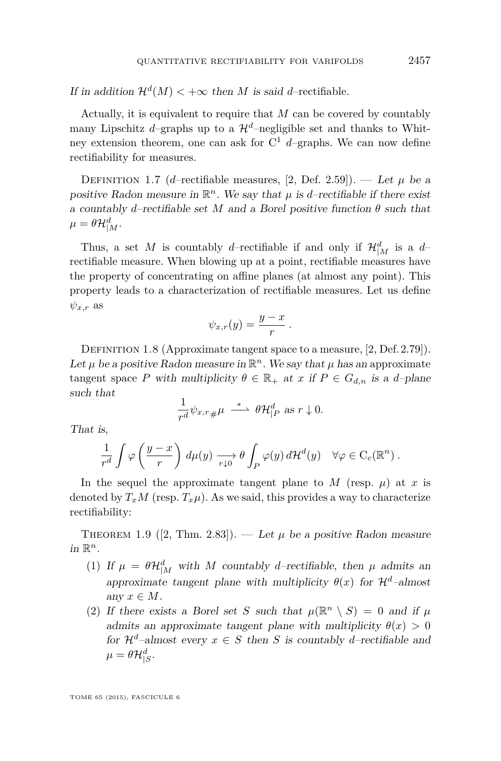If in addition  $\mathcal{H}^d(M) < +\infty$  then *M* is said *d*–rectifiable.

Actually, it is equivalent to require that *M* can be covered by countably many Lipschitz *d*–graphs up to a  $\mathcal{H}^d$ –negligible set and thanks to Whitney extension theorem, one can ask for C <sup>1</sup> *d*–graphs. We can now define rectifiability for measures.

DEFINITION 1.7 (*d*–rectifiable measures, [\[2,](#page-58-0) Def. 2.59]). — Let  $\mu$  be a positive Radon measure in  $\mathbb{R}^n$ . We say that  $\mu$  is *d*–rectifiable if there exist a countably *d*–rectifiable set *M* and a Borel positive function  $\theta$  such that  $\mu = \theta \mathcal{H}_{|M}^d.$ 

Thus, a set *M* is countably *d*-rectifiable if and only if  $\mathcal{H}_{|M}^d$  is a *d*rectifiable measure. When blowing up at a point, rectifiable measures have the property of concentrating on affine planes (at almost any point). This property leads to a characterization of rectifiable measures. Let us define  $\psi_{x,r}$  as

$$
\psi_{x,r}(y) = \frac{y-x}{r} \, .
$$

DEFINITION 1.8 (Approximate tangent space to a measure, [\[2,](#page-58-0) Def. 2.79]). Let  $\mu$  be a positive Radon measure in  $\mathbb{R}^n$ . We say that  $\mu$  has an approximate tangent space *P* with multiplicity  $\theta \in \mathbb{R}_+$  at *x* if  $P \in G_{d,n}$  is a *d*-plane such that

$$
\frac{1}{r^d}\psi_{x,r\,\#\,}\mu \ \stackrel{*}{\longrightarrow}\ \theta\mathcal{H}^d_{|P}\ \text{as}\ r\downarrow 0.
$$

That is,

$$
\frac{1}{r^d} \int \varphi\left(\frac{y-x}{r}\right) d\mu(y) \xrightarrow[r \downarrow 0]{} \theta \int_P \varphi(y) d\mathcal{H}^d(y) \quad \forall \varphi \in C_c(\mathbb{R}^n) .
$$

In the sequel the approximate tangent plane to  $M$  (resp.  $\mu$ ) at  $x$  is denoted by  $T_xM$  (resp.  $T_x\mu$ ). As we said, this provides a way to characterize rectifiability:

THEOREM 1.9 ([\[2,](#page-58-0) Thm. 2.83]). — Let  $\mu$  be a positive Radon measure in  $\mathbb{R}^n$ .

- (1) If  $\mu = \theta \mathcal{H}_{|M}^d$  with *M* countably *d*-rectifiable, then  $\mu$  admits an approximate tangent plane with multiplicity  $\theta(x)$  for  $\mathcal{H}^d$ -almost any  $x \in M$ .
- (2) If there exists a Borel set *S* such that  $\mu(\mathbb{R}^n \setminus S) = 0$  and if  $\mu$ admits an approximate tangent plane with multiplicity  $\theta(x) > 0$ for  $\mathcal{H}^d$ –almost every  $x \in S$  then *S* is countably *d*–rectifiable and  $\mu = \theta \mathcal{H}_{|S}^d.$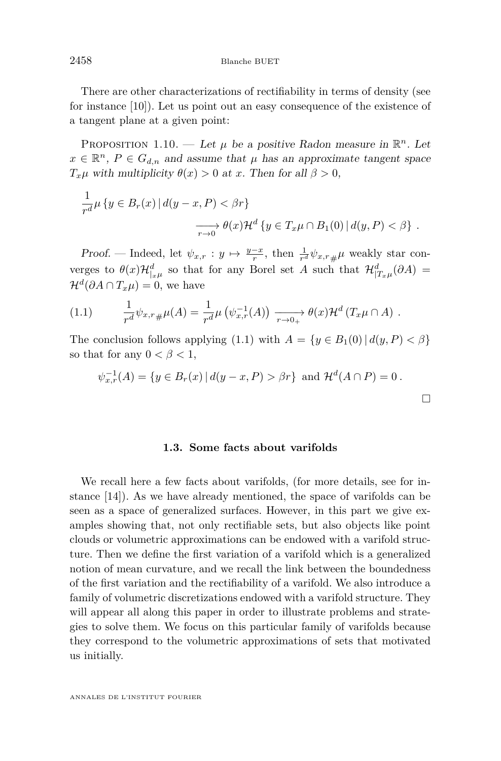<span id="page-10-0"></span>There are other characterizations of rectifiability in terms of density (see for instance [\[10\]](#page-58-0)). Let us point out an easy consequence of the existence of a tangent plane at a given point:

PROPOSITION 1.10. — Let  $\mu$  be a positive Radon measure in  $\mathbb{R}^n$ . Let  $x \in \mathbb{R}^n$ ,  $P \in G_{d,n}$  and assume that  $\mu$  has an approximate tangent space *T*<sub>*x*</sub>*µ* with multiplicity  $\theta(x) > 0$  at *x*. Then for all  $\beta > 0$ ,

$$
\frac{1}{r^d}\mu\left\{y\in B_r(x)\,|\,d(y-x,P)<\beta r\right\}
$$

$$
\xrightarrow[r\to 0]{} \theta(x)\mathcal{H}^d\left\{y\in T_x\mu\cap B_1(0)\,|\,d(y,P)<\beta\right\}.
$$

Proof. — Indeed, let  $\psi_{x,r} : y \mapsto \frac{y-x}{r}$ , then  $\frac{1}{r^d} \psi_{x,r}$  *µ* weakly star converges to  $\theta(x)\mathcal{H}_{|x\mu}^d$  so that for any Borel set *A* such that  $\mathcal{H}_{|T_x\mu}^d(\partial A)$  =  $\mathcal{H}^d(\partial A \cap T_x \mu) = 0$ , we have

(1.1) 
$$
\frac{1}{r^d} \psi_{x,r\#}\mu(A) = \frac{1}{r^d} \mu\left(\psi_{x,r}^{-1}(A)\right) \xrightarrow[r \to 0+]{} \theta(x) \mathcal{H}^d\left(T_x \mu \cap A\right).
$$

The conclusion follows applying (1.1) with  $A = \{y \in B_1(0) | d(y, P) < \beta\}$ so that for any  $0 < \beta < 1$ ,

$$
\psi_{x,r}^{-1}(A) = \{ y \in B_r(x) \, | \, d(y-x, P) > \beta r \} \text{ and } \mathcal{H}^d(A \cap P) = 0 \, .
$$

#### **1.3. Some facts about varifolds**

We recall here a few facts about varifolds, (for more details, see for instance [\[14\]](#page-58-0)). As we have already mentioned, the space of varifolds can be seen as a space of generalized surfaces. However, in this part we give examples showing that, not only rectifiable sets, but also objects like point clouds or volumetric approximations can be endowed with a varifold structure. Then we define the first variation of a varifold which is a generalized notion of mean curvature, and we recall the link between the boundedness of the first variation and the rectifiability of a varifold. We also introduce a family of volumetric discretizations endowed with a varifold structure. They will appear all along this paper in order to illustrate problems and strategies to solve them. We focus on this particular family of varifolds because they correspond to the volumetric approximations of sets that motivated us initially.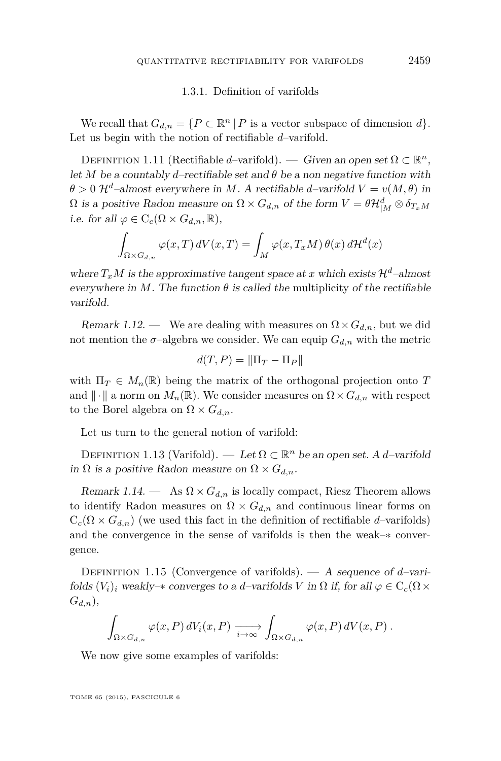#### 1.3.1. Definition of varifolds

We recall that  $G_{d,n} = \{P \subset \mathbb{R}^n \mid P \text{ is a vector subspace of dimension } d\}.$ Let us begin with the notion of rectifiable *d*–varifold.

DEFINITION 1.11 (Rectifiable *d*–varifold). — Given an open set  $\Omega \subset \mathbb{R}^n$ , let *M* be a countably *d*–rectifiable set and  $\theta$  be a non negative function with  $\theta > 0$   $\mathcal{H}^d$ –almost everywhere in *M*. A rectifiable *d*–varifold  $V = v(M, \theta)$  in  $\Omega$  is a positive Radon measure on  $\Omega \times G_{d,n}$  of the form  $V = \theta \mathcal{H}_{|M}^d \otimes \delta_{T_x M}$ i.e. for all  $\varphi \in C_c(\Omega \times G_{d,n}, \mathbb{R}),$ 

$$
\int_{\Omega \times G_{d,n}} \varphi(x,T) dV(x,T) = \int_M \varphi(x,T_xM) \theta(x) d\mathcal{H}^d(x)
$$

where  $T_xM$  is the approximative tangent space at *x* which exists  $\mathcal{H}^d$ –almost everywhere in *M*. The function  $\theta$  is called the multiplicity of the rectifiable varifold.

Remark 1.12. — We are dealing with measures on  $\Omega \times G_{d,n}$ , but we did not mention the  $\sigma$ -algebra we consider. We can equip  $G_{d,n}$  with the metric

$$
d(T, P) = \|\Pi_T - \Pi_P\|
$$

with  $\Pi_T \in M_n(\mathbb{R})$  being the matrix of the orthogonal projection onto *T* and  $\|\cdot\|$  a norm on  $M_n(\mathbb{R})$ . We consider measures on  $\Omega \times G_{d,n}$  with respect to the Borel algebra on  $\Omega \times G_{d,n}$ .

Let us turn to the general notion of varifold:

DEFINITION 1.13 (Varifold). — Let  $\Omega \subset \mathbb{R}^n$  be an open set. A *d*-varifold in  $\Omega$  is a positive Radon measure on  $\Omega \times G_{d,n}$ .

Remark 1.14. — As  $\Omega \times G_{d,n}$  is locally compact, Riesz Theorem allows to identify Radon measures on  $\Omega \times G_{d,n}$  and continuous linear forms on  $C_c(\Omega \times G_{d,n})$  (we used this fact in the definition of rectifiable *d*–varifolds) and the convergence in the sense of varifolds is then the weak–∗ convergence.

Definition 1.15 (Convergence of varifolds). — A sequence of *d*–varifolds  $(V_i)_i$  weakly– $*$  converges to a *d*–varifolds V in  $\Omega$  if, for all  $\varphi \in C_c(\Omega \times$ *Gd,n*),

$$
\int_{\Omega \times G_{d,n}} \varphi(x,P) dV_i(x,P) \xrightarrow[i \to \infty]{} \int_{\Omega \times G_{d,n}} \varphi(x,P) dV(x,P).
$$

We now give some examples of varifolds: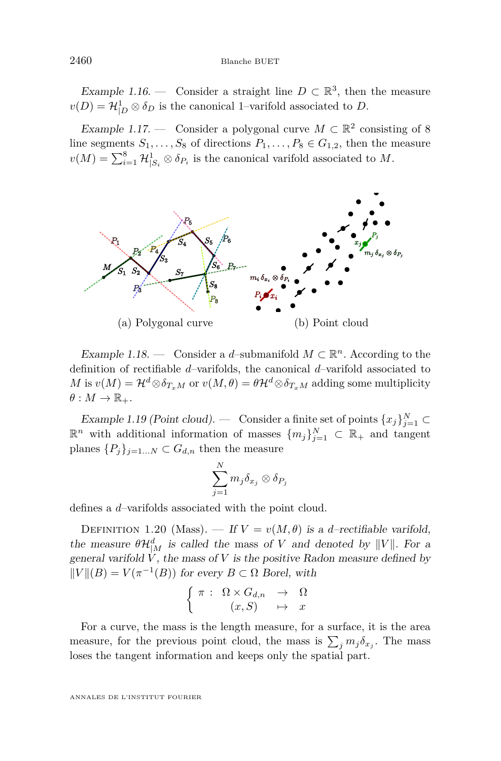Example 1.16. — Consider a straight line  $D \subset \mathbb{R}^3$ , then the measure  $v(D) = \mathcal{H}^1_{|D} \otimes \delta_D$  is the canonical 1–varifold associated to *D*.

Example 1.17. — Consider a polygonal curve  $M \subset \mathbb{R}^2$  consisting of 8 line segments  $S_1, \ldots, S_8$  of directions  $P_1, \ldots, P_8 \in G_{1,2}$ , then the measure  $v(M) = \sum_{i=1}^{8} \mathcal{H}_{|S_i}^1 \otimes \delta_{P_i}$  is the canonical varifold associated to *M*.



Example 1.18. — Consider a *d*-submanifold  $M \subset \mathbb{R}^n$ . According to the definition of rectifiable *d*–varifolds, the canonical *d*–varifold associated to *M* is  $v(M) = H^d \otimes \delta_{T_xM}$  or  $v(M, \theta) = \theta H^d \otimes \delta_{T_xM}$  adding some multiplicity  $\theta: M \to \mathbb{R}_+$ .

Example 1.19 (Point cloud). — Consider a finite set of points  $\{x_j\}_{j=1}^N$   $\subset$  $\mathbb{R}^n$  with additional information of masses  $\{m_j\}_{j=1}^N \subset \mathbb{R}_+$  and tangent planes  $\{P_j\}_{j=1...N} \subset G_{d,n}$  then the measure

$$
\sum_{j=1}^N m_j \delta_{x_j} \otimes \delta_{P_j}
$$

defines a *d*–varifolds associated with the point cloud.

DEFINITION 1.20 (Mass). — If  $V = v(M, \theta)$  is a *d*–rectifiable varifold, the measure  $\theta\mathcal{H}_{|M}^d$  is called the mass of *V* and denoted by  $||V||$ . For a general varifold  $\dot{V}$ , the mass of  $V$  is the positive Radon measure defined by  $\Vert V \Vert (B) = V(π<sup>-1</sup>(B))$  for every *B* ⊂ Ω Borel, with

$$
\begin{cases} \pi : \Omega \times G_{d,n} \to \Omega \\ (x, S) \mapsto x \end{cases}
$$

For a curve, the mass is the length measure, for a surface, it is the area measure, for the previous point cloud, the mass is  $\sum_j m_j \delta_{x_j}$ . The mass loses the tangent information and keeps only the spatial part.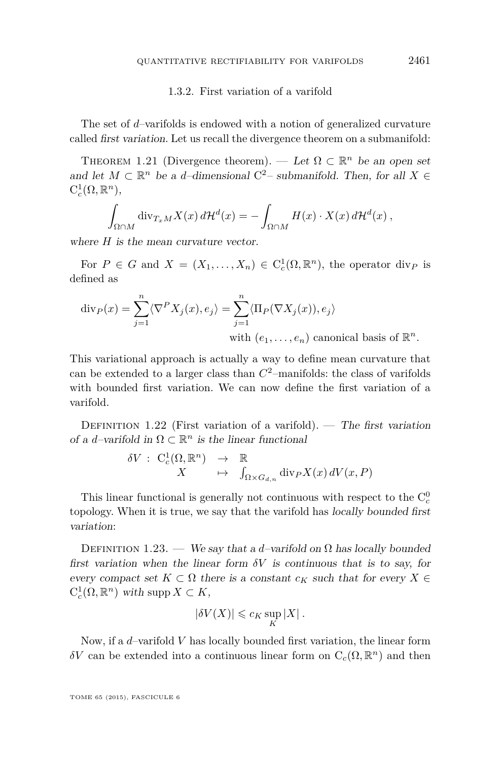#### 1.3.2. First variation of a varifold

The set of *d*–varifolds is endowed with a notion of generalized curvature called first variation. Let us recall the divergence theorem on a submanifold:

THEOREM 1.21 (Divergence theorem). — Let  $\Omega \subset \mathbb{R}^n$  be an open set and let  $M \subset \mathbb{R}^n$  be a *d*-dimensional C<sup>2</sup>- submanifold. Then, for all  $X \in$  $C_c^1(\Omega,\mathbb{R}^n)$ ,

$$
\int_{\Omega \cap M} \operatorname{div}_{T_x M} X(x) d\mathcal{H}^d(x) = - \int_{\Omega \cap M} H(x) \cdot X(x) d\mathcal{H}^d(x) ,
$$

where *H* is the mean curvature vector.

For  $P \in G$  and  $X = (X_1, \ldots, X_n) \in C_c^1(\Omega, \mathbb{R}^n)$ , the operator div<sub>P</sub> is defined as

$$
\operatorname{div}_P(x) = \sum_{j=1}^n \langle \nabla^P X_j(x), e_j \rangle = \sum_{j=1}^n \langle \Pi_P(\nabla X_j(x)), e_j \rangle
$$
  
with  $(e_1, \dots, e_n)$  canonical basis of  $\mathbb{R}^n$ 

This variational approach is actually a way to define mean curvature that can be extended to a larger class than *C* <sup>2</sup>–manifolds: the class of varifolds with bounded first variation. We can now define the first variation of a varifold.

DEFINITION 1.22 (First variation of a varifold). — The first variation of a *d*-varifold in  $\Omega \subset \mathbb{R}^n$  is the linear functional

$$
\begin{array}{rcl}\n\delta V : & C^1_c(\Omega,{\mathbb R}^n) & \to & {\mathbb R} \\
X & \mapsto & \int_{\Omega \times G_{d,n}} \text{div}_P X(x) \, dV(x,P)\n\end{array}
$$

This linear functional is generally not continuous with respect to the  $C_c^0$ topology. When it is true, we say that the varifold has locally bounded first variation:

DEFINITION 1.23. — We say that a *d*-varifold on  $\Omega$  has locally bounded first variation when the linear form  $\delta V$  is continuous that is to say, for every compact set  $K \subset \Omega$  there is a constant  $c_K$  such that for every  $X \in$  $C_c^1(\Omega, \mathbb{R}^n)$  with supp  $X \subset K$ ,

$$
|\delta V(X)| \leqslant c_K \sup_K |X| \, .
$$

Now, if a *d*–varifold *V* has locally bounded first variation, the linear form *δV* can be extended into a continuous linear form on  $C_c(Ω, ℝ<sup>n</sup>)$  and then

TOME 65 (2015), FASCICULE 6

*.*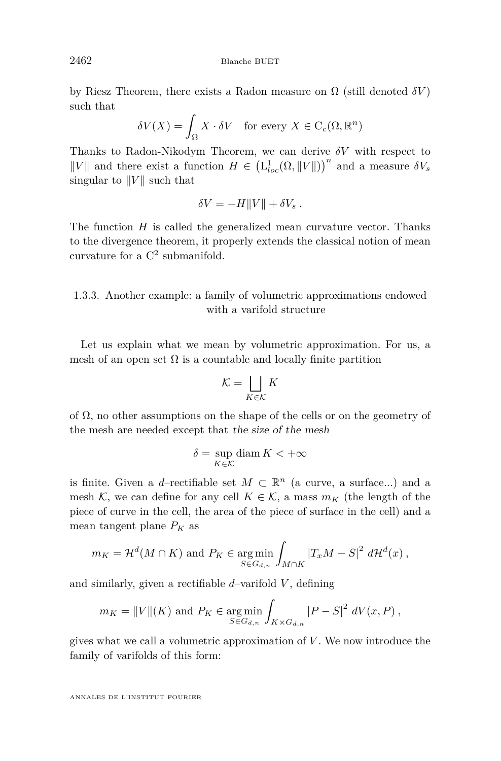by Riesz Theorem, there exists a Radon measure on  $\Omega$  (still denoted  $\delta V$ ) such that

$$
\delta V(X) = \int_{\Omega} X \cdot \delta V \quad \text{for every } X \in C_c(\Omega, \mathbb{R}^n)
$$

Thanks to Radon-Nikodym Theorem, we can derive *δV* with respect to  $||V||$  and there exist a function  $H \in (\mathcal{L}^1_{loc}(\Omega, ||V||))^n$  and a measure  $\delta V_s$ singular to  $||V||$  such that

$$
\delta V = -H||V|| + \delta V_s.
$$

The function *H* is called the generalized mean curvature vector. Thanks to the divergence theorem, it properly extends the classical notion of mean curvature for a  $C^2$  submanifold.

#### 1.3.3. Another example: a family of volumetric approximations endowed with a varifold structure

Let us explain what we mean by volumetric approximation. For us, a mesh of an open set  $\Omega$  is a countable and locally finite partition

$$
\mathcal{K} = \bigsqcup_{K \in \mathcal{K}} K
$$

of  $\Omega$ , no other assumptions on the shape of the cells or on the geometry of the mesh are needed except that the size of the mesh

$$
\delta = \sup_{K \in \mathcal{K}} \operatorname{diam} K < +\infty
$$

is finite. Given a *d*–rectifiable set  $M \subset \mathbb{R}^n$  (a curve, a surface...) and a mesh K, we can define for any cell  $K \in \mathcal{K}$ , a mass  $m_K$  (the length of the piece of curve in the cell, the area of the piece of surface in the cell) and a mean tangent plane  $P_K$  as

$$
m_K = \mathcal{H}^d(M \cap K) \text{ and } P_K \in \underset{S \in G_{d,n}}{\text{arg min}} \int_{M \cap K} |T_x M - S|^2 d\mathcal{H}^d(x) ,
$$

and similarly, given a rectifiable  $d$ -varifold  $V$ , defining

$$
m_K = ||V||(K)
$$
 and  $P_K \in \underset{S \in G_{d,n}}{\text{arg min}} \int_{K \times G_{d,n}} |P - S|^2 dV(x, P)$ ,

gives what we call a volumetric approximation of *V* . We now introduce the family of varifolds of this form: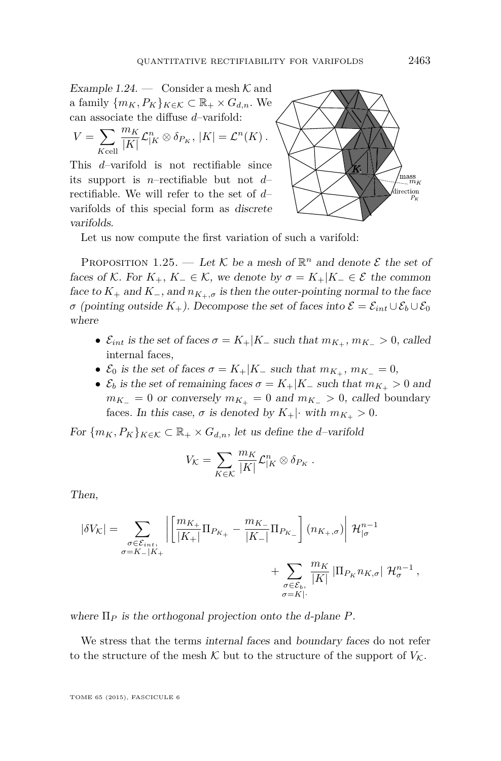<span id="page-15-0"></span>Example 1.24. — Consider a mesh  $K$  and a family  $\{m_K, P_K\}_{K \in \mathcal{K}} \subset \mathbb{R}_+ \times G_{d,n}$ . We can associate the diffuse *d*–varifold:

$$
V = \sum_{K \text{cell}} \frac{m_K}{|K|} \mathcal{L}_{|K}^n \otimes \delta_{P_K}, \, |K| = \mathcal{L}^n(K) \,.
$$

This *d*–varifold is not rectifiable since its support is *n*–rectifiable but not *d*– rectifiable. We will refer to the set of *d*– varifolds of this special form as discrete varifolds.



Let us now compute the first variation of such a varifold:

PROPOSITION 1.25. — Let  $K$  be a mesh of  $\mathbb{R}^n$  and denote  $\mathcal E$  the set of faces of K. For  $K_+$ ,  $K_-\in\mathcal{K}$ , we denote by  $\sigma = K_+|K_-\in\mathcal{E}$  the common face to  $K_+$  and  $K_-,$  and  $n_{K_+,\sigma}$  is then the outer-pointing normal to the face *σ* (pointing outside  $K_+$ ). Decompose the set of faces into  $\mathcal{E} = \mathcal{E}_{int} \cup \mathcal{E}_b \cup \mathcal{E}_0$ where

- $\mathcal{E}_{int}$  is the set of faces  $\sigma = K_+|K_-|$  such that  $m_{K_+}, m_{K_-} > 0$ , called internal faces,
- $\mathcal{E}_0$  is the set of faces  $\sigma = K_+|K_-$  such that  $m_{K_+}, m_{K_-} = 0$ ,
- $\mathcal{E}_b$  is the set of remaining faces  $\sigma = K_+|K_-$  such that  $m_{K_+} > 0$  and  $m_{K-} = 0$  or conversely  $m_{K+} = 0$  and  $m_{K-} > 0$ , called boundary faces. In this case,  $\sigma$  is denoted by  $K_{+}|\cdot$  with  $m_{K_{+}}>0$ .

For  ${m_K, P_K}_{K \in \mathcal{K}} \subset \mathbb{R}_+ \times G_{d,n}$ , let us define the *d*-varifold

$$
V_{\mathcal K} = \sum_{K \in {\mathcal K}} \frac{m_K}{|K|} {\mathcal L}_{|K}^n \otimes \delta_{P_K} \;.
$$

Then,

$$
\left|\delta V_{\mathcal{K}}\right|=\sum_{\substack{\sigma\in\mathcal{E}_{int},\\ \sigma=K_{-}\mid K_{+}}} \left|\left[\frac{m_{K_{+}}}{|K_{+}|}\Pi_{P_{K_{+}}}-\frac{m_{K_{-}}}{|K_{-}|}\Pi_{P_{K_{-}}}\right](n_{K_{+},\sigma})\right|\mathcal{H}_{|\sigma}^{n-1} +\sum_{\substack{\sigma\in\mathcal{E}_{b},\\ \sigma=K\mid\cdot}}\frac{m_{K}}{|K|}\left|\Pi_{P_{K}}n_{K,\sigma}\right|\mathcal{H}_{\sigma}^{n-1},
$$

where Π*<sup>P</sup>* is the orthogonal projection onto the *d*-plane *P*.

We stress that the terms internal faces and boundary faces do not refer to the structure of the mesh  $K$  but to the structure of the support of  $V_K$ .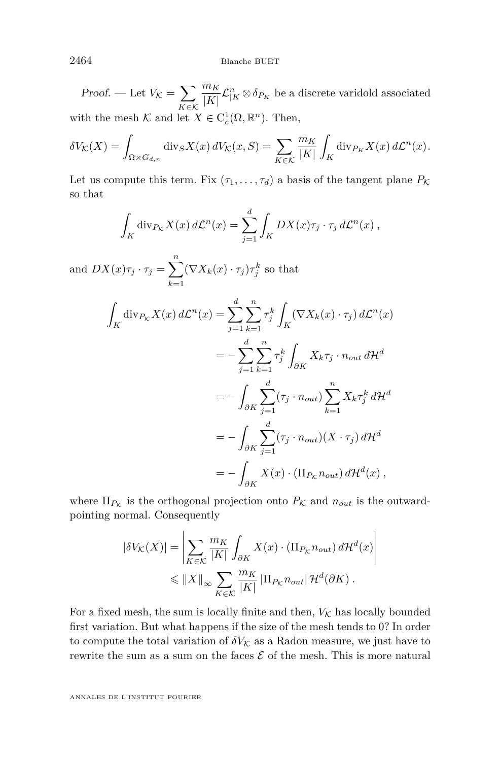Proof. — Let  $V_{\mathcal{K}} = \sum$ *K*∈K *m<sup>K</sup>*  $\frac{m_K}{|K|} \mathcal{L}_{|K}^n \otimes \delta_{P_K}$  be a discrete varidold associated with the mesh  $K$  and let  $X \in C_c^1(\Omega, \mathbb{R}^n)$ . Then,

$$
\delta V_{\mathcal{K}}(X) = \int_{\Omega \times G_{d,n}} \operatorname{div}_S X(x) dV_{\mathcal{K}}(x, S) = \sum_{K \in \mathcal{K}} \frac{m_K}{|K|} \int_K \operatorname{div}_{P_K} X(x) d\mathcal{L}^n(x).
$$

Let us compute this term. Fix  $(\tau_1, \ldots, \tau_d)$  a basis of the tangent plane  $P_K$ so that

$$
\int_K \operatorname{div}_{P_K} X(x) d\mathcal{L}^n(x) = \sum_{j=1}^d \int_K DX(x)\tau_j \cdot \tau_j d\mathcal{L}^n(x) ,
$$

and  $DX(x)\tau_j \cdot \tau_j = \sum^n$ *k*=1  $(\nabla X_k(x) \cdot \tau_j) \tau_j^k$  so that

$$
\int_{K} \operatorname{div}_{P_{\mathcal{K}}} X(x) d\mathcal{L}^{n}(x) = \sum_{j=1}^{d} \sum_{k=1}^{n} \tau_{j}^{k} \int_{K} (\nabla X_{k}(x) \cdot \tau_{j}) d\mathcal{L}^{n}(x)
$$

$$
= - \sum_{j=1}^{d} \sum_{k=1}^{n} \tau_{j}^{k} \int_{\partial K} X_{k} \tau_{j} \cdot n_{out} d\mathcal{H}^{d}
$$

$$
= - \int_{\partial K} \sum_{j=1}^{d} (\tau_{j} \cdot n_{out}) \sum_{k=1}^{n} X_{k} \tau_{j}^{k} d\mathcal{H}^{d}
$$

$$
= - \int_{\partial K} \sum_{j=1}^{d} (\tau_{j} \cdot n_{out}) (X \cdot \tau_{j}) d\mathcal{H}^{d}
$$

$$
= - \int_{\partial K} X(x) \cdot (\Pi_{P_{\mathcal{K}}} n_{out}) d\mathcal{H}^{d}(x),
$$

where  $\Pi_{P_K}$  is the orthogonal projection onto  $P_K$  and  $n_{out}$  is the outwardpointing normal. Consequently

$$
|\delta V_{\mathcal{K}}(X)| = \left| \sum_{K \in \mathcal{K}} \frac{m_K}{|K|} \int_{\partial K} X(x) \cdot (\Pi_{P_K} n_{out}) d\mathcal{H}^d(x) \right|
$$
  

$$
\leq \|X\|_{\infty} \sum_{K \in \mathcal{K}} \frac{m_K}{|K|} |\Pi_{P_K} n_{out}| \mathcal{H}^d(\partial K).
$$

For a fixed mesh, the sum is locally finite and then,  $V_K$  has locally bounded first variation. But what happens if the size of the mesh tends to 0? In order to compute the total variation of  $\delta V_K$  as a Radon measure, we just have to rewrite the sum as a sum on the faces  $\mathcal E$  of the mesh. This is more natural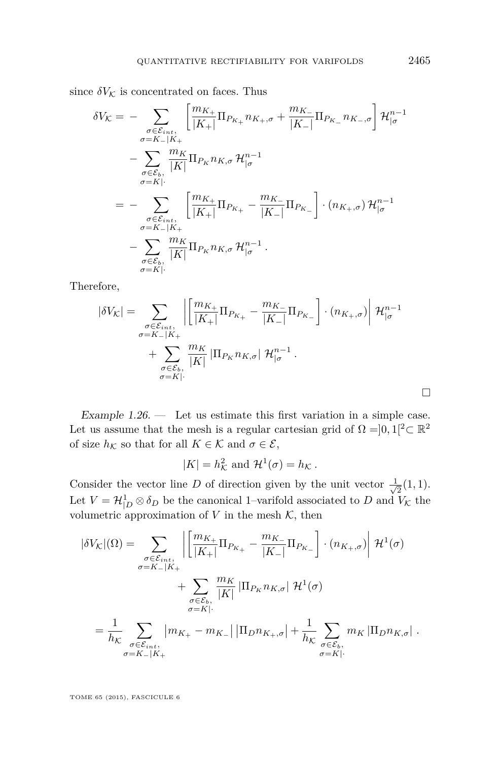<span id="page-17-0"></span>since  $\delta V_{\mathcal{K}}$  is concentrated on faces. Thus

$$
\delta V_K = - \sum_{\substack{\sigma \in \mathcal{E}_{int}, \\ \sigma = K - |K| \\ \sigma = K|}} \left[ \frac{m_{K+}}{|K+1|} \Pi_{P_{K+}} n_{K+}, \sigma + \frac{m_{K-}}{|K-1|} \Pi_{P_{K-}} n_{K-}, \sigma \right] \mathcal{H}_{|\sigma}^{n-1} \n- \sum_{\substack{\sigma \in \mathcal{E}_{b}, \\ \sigma = K| \\ \sigma = K - |K+1}} \frac{m_K}{|K|} \Pi_{P_K} n_{K}, \sigma \mathcal{H}_{|\sigma}^{n-1} \n= - \sum_{\substack{\sigma \in \mathcal{E}_{int}, \\ \sigma = K - |K+1 \\ \sigma = K| \\ \sigma = K|}} \left[ \frac{m_{K+}}{|K+1|} \Pi_{P_{K+}} - \frac{m_{K-}}{|K-1|} \Pi_{P_{K-}} \right] \cdot (n_{K+}, \sigma) \mathcal{H}_{|\sigma}^{n-1} \n- \sum_{\substack{\sigma \in \mathcal{E}_{b}, \\ \sigma = K| \\ \sigma = K|}} \frac{m_K}{|K|} \Pi_{P_K} n_{K}, \sigma \mathcal{H}_{|\sigma}^{n-1} .
$$

Therefore,

$$
|\delta V_{\mathcal{K}}| = \sum_{\substack{\sigma \in \mathcal{E}_{int}, \\ \sigma = K - |K| \\ \sigma = K|}} \left| \left[ \frac{m_{K+}}{|K+1|} \Pi_{P_{K+}} - \frac{m_{K-}}{|K-1|} \Pi_{P_{K-}} \right] \cdot (n_{K+}, \sigma) \right| \mathcal{H}_{|\sigma}^{n-1} + \sum_{\substack{\sigma \in \mathcal{E}_{b}, \\ \sigma = K|}} \frac{m_{K}}{|K|} |\Pi_{P_{K}} n_{K, \sigma}| \mathcal{H}_{|\sigma}^{n-1}.
$$

Example 1.26. — Let us estimate this first variation in a simple case. Let us assume that the mesh is a regular cartesian grid of  $\Omega = ]0,1[^2 \subset \mathbb{R}^2$ of size  $h_K$  so that for all  $K \in \mathcal{K}$  and  $\sigma \in \mathcal{E}$ ,

$$
|K| = h_{\mathcal{K}}^2
$$
 and  $\mathcal{H}^1(\sigma) = h_{\mathcal{K}}$ .

Consider the vector line *D* of direction given by the unit vector  $\frac{1}{\sqrt{2}}$  $\frac{1}{2}(1,1)$ . Let  $V = \mathcal{H}^1_{|D} \otimes \delta_D$  be the canonical 1–varifold associated to *D* and  $V_K$  the volumetric approximation of  $V$  in the mesh  $K$ , then

$$
|\delta V_{\mathcal{K}}|(\Omega) = \sum_{\substack{\sigma \in \mathcal{E}_{int}, \\ \sigma = K - |K| \\ \sigma = K|}} \left| \left[ \frac{m_{K_{+}}}{|K_{+}|} \Pi_{P_{K_{+}}} - \frac{m_{K_{-}}}{|K_{-}|} \Pi_{P_{K_{-}}} \right] \cdot (n_{K_{+},\sigma}) \right| \mathcal{H}^{1}(\sigma)
$$
  
+ 
$$
\sum_{\substack{\sigma \in \mathcal{E}_{b}, \\ \sigma = K| \\ \sigma = K - |K|}} \frac{m_{K}}{|K|} |\Pi_{P_{K}} n_{K,\sigma}| \mathcal{H}^{1}(\sigma)
$$
  
= 
$$
\frac{1}{h_{\mathcal{K}}} \sum_{\substack{\sigma \in \mathcal{E}_{int}, \\ \sigma = K - |K| \\ \sigma = K |K}} |m_{K_{+}} - m_{K_{-}}| |\Pi_{D} n_{K_{+},\sigma}| + \frac{1}{h_{\mathcal{K}}} \sum_{\substack{\sigma \in \mathcal{E}_{b}, \\ \sigma = K|}{}} m_{K} |\Pi_{D} n_{K,\sigma}|.
$$

TOME 65 (2015), FASCICULE 6

 $\Box$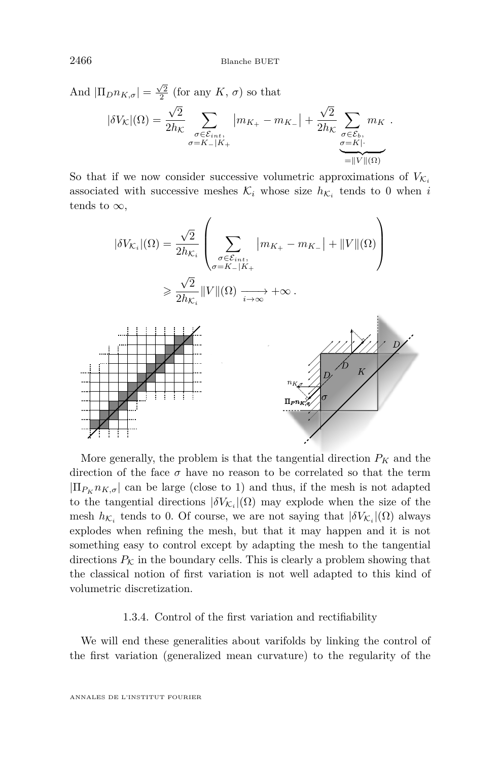And  $|\Pi_D n_{K,\sigma}| = \frac{\sqrt{2}}{2}$  (for any *K*, *σ*) so that 2  $|\delta V_{\mathcal{K}}|(\Omega) =$ √ 2  $2h_{\mathcal{K}}$  $\sum$  $\sigma \in \mathcal{E}_{int}$ ,<br>  $\sigma$ =*K*−|*K*+  $|m_{K_{+}} - m_{K_{-}}| +$ √ 2  $2h_{\mathcal{K}}$  $\sum$ *σ*∈E*b, σ*=*K*|·  $m_K$ .  $=||V||(\Omega)$  $=\|V\|(\Omega)$ 

So that if we now consider successive volumetric approximations of  $V_{\mathcal{K}_i}$ associated with successive meshes  $\mathcal{K}_i$  whose size  $h_{\mathcal{K}_i}$  tends to 0 when *i* tends to  $\infty$ ,

$$
|\delta V_{\mathcal{K}_i}|(\Omega) = \frac{\sqrt{2}}{2h_{\mathcal{K}_i}} \left( \sum_{\substack{\sigma \in \mathcal{E}_{int}, \\ \sigma = K - |K_+}} |m_{K_+} - m_{K_-}| + ||V||(\Omega) \right)
$$

$$
\geq \frac{\sqrt{2}}{2h_{\mathcal{K}_i}} ||V||(\Omega) \xrightarrow[i \to \infty]{} + \infty.
$$



More generally, the problem is that the tangential direction  $P_K$  and the direction of the face  $\sigma$  have no reason to be correlated so that the term  $|\Pi_{P_K} n_{K,\sigma}|$  can be large (close to 1) and thus, if the mesh is not adapted to the tangential directions  $|\delta V_{\mathcal{K}_i}|(\Omega)$  may explode when the size of the mesh  $h_{\mathcal{K}_i}$  tends to 0. Of course, we are not saying that  $|\delta V_{\mathcal{K}_i}|(\Omega)$  always explodes when refining the mesh, but that it may happen and it is not something easy to control except by adapting the mesh to the tangential directions  $P_K$  in the boundary cells. This is clearly a problem showing that the classical notion of first variation is not well adapted to this kind of volumetric discretization.

#### 1.3.4. Control of the first variation and rectifiability

We will end these generalities about varifolds by linking the control of the first variation (generalized mean curvature) to the regularity of the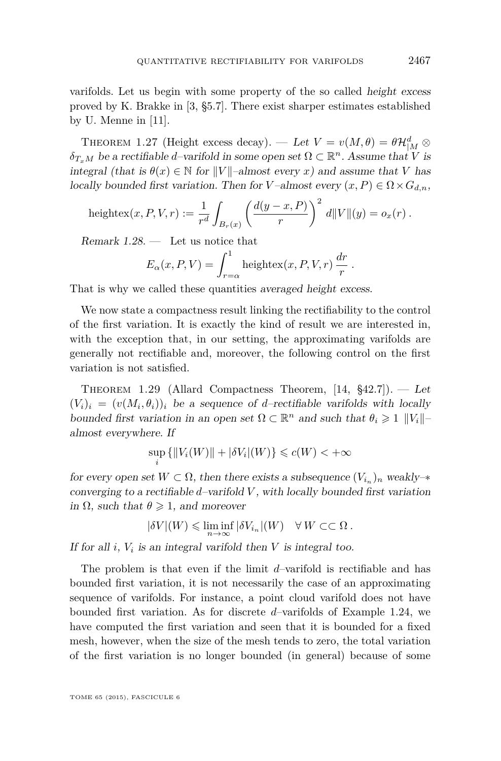<span id="page-19-0"></span>varifolds. Let us begin with some property of the so called height excess proved by K. Brakke in [\[3,](#page-58-0) §5.7]. There exist sharper estimates established by U. Menne in [\[11\]](#page-58-0).

THEOREM 1.27 (Height excess decay). — Let  $V = v(M, \theta) = \theta \mathcal{H}_{|M}^d \otimes$  $\delta_{T_xM}$  be a rectifiable *d*–varifold in some open set  $\Omega \subset \mathbb{R}^n$ . Assume that *V* is integral (that is  $\theta(x) \in \mathbb{N}$  for  $||V||$ –almost every *x*) and assume that *V* has locally bounded first variation. Then for *V*-almost every  $(x, P) \in \Omega \times G_{d,n}$ ,

heightex
$$
(x, P, V, r) := \frac{1}{r^d} \int_{B_r(x)} \left( \frac{d(y - x, P)}{r} \right)^2 d||V||(y) = o_x(r).
$$

Remark  $1.28.$  — Let us notice that

$$
E_{\alpha}(x, P, V) = \int_{r=\alpha}^{1} \text{heightex}(x, P, V, r) \frac{dr}{r}.
$$

That is why we called these quantities averaged height excess.

We now state a compactness result linking the rectifiability to the control of the first variation. It is exactly the kind of result we are interested in, with the exception that, in our setting, the approximating varifolds are generally not rectifiable and, moreover, the following control on the first variation is not satisfied.

THEOREM 1.29 (Allard Compactness Theorem,  $[14, $42.7]$  $[14, $42.7]$ ). — Let  $(V_i)_i = (v(M_i, \theta_i))_i$  be a sequence of *d*-rectifiable varifolds with locally bounded first variation in an open set  $\Omega \subset \mathbb{R}^n$  and such that  $\theta_i \geq 1$  || $V_i$ ||almost everywhere. If

$$
\sup_{i} \{ ||V_i(W)|| + |\delta V_i|(W) \} \leq c(W) < +\infty
$$

for every open set  $W \subset \Omega$ , then there exists a subsequence  $(V_{i_n})_n$  weakly- $*$ converging to a rectifiable *d*–varifold *V* , with locally bounded first variation in  $\Omega$ , such that  $\theta \geq 1$ , and moreover

$$
|\delta V|(W) \leqslant \liminf_{n \to \infty} |\delta V_{i_n}|(W) \quad \forall \, W \subset\subset \Omega \, .
$$

If for all  $i$ ,  $V_i$  is an integral varifold then  $V$  is integral too.

The problem is that even if the limit *d*–varifold is rectifiable and has bounded first variation, it is not necessarily the case of an approximating sequence of varifolds. For instance, a point cloud varifold does not have bounded first variation. As for discrete *d*–varifolds of Example [1.24,](#page-15-0) we have computed the first variation and seen that it is bounded for a fixed mesh, however, when the size of the mesh tends to zero, the total variation of the first variation is no longer bounded (in general) because of some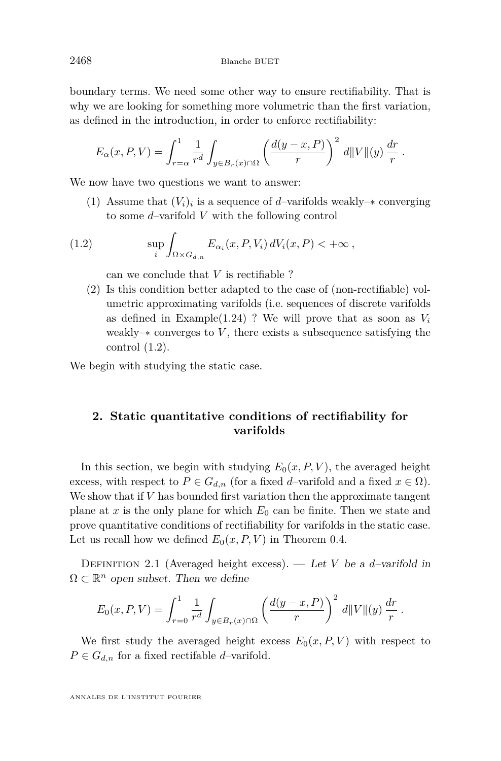<span id="page-20-0"></span>boundary terms. We need some other way to ensure rectifiability. That is why we are looking for something more volumetric than the first variation, as defined in the introduction, in order to enforce rectifiability:

$$
E_{\alpha}(x, P, V) = \int_{r=\alpha}^{1} \frac{1}{r^d} \int_{y \in B_r(x) \cap \Omega} \left( \frac{d(y-x, P)}{r} \right)^2 d||V||(y) \frac{dr}{r}.
$$

We now have two questions we want to answer:

(1) Assume that  $(V_i)_i$  is a sequence of *d*–varifolds weakly– $*$  converging to some *d*–varifold *V* with the following control

(1.2) 
$$
\sup_{i} \int_{\Omega \times G_{d,n}} E_{\alpha_i}(x, P, V_i) dV_i(x, P) < +\infty,
$$

can we conclude that *V* is rectifiable ?

(2) Is this condition better adapted to the case of (non-rectifiable) volumetric approximating varifolds (i.e. sequences of discrete varifolds as defined in Example $(1.24)$  ? We will prove that as soon as  $V_i$ weakly–∗ converges to *V* , there exists a subsequence satisfying the control (1.2).

We begin with studying the static case.

## **2. Static quantitative conditions of rectifiability for varifolds**

In this section, we begin with studying  $E_0(x, P, V)$ , the averaged height excess, with respect to  $P \in G_{d,n}$  (for a fixed *d*–varifold and a fixed  $x \in \Omega$ ). We show that if *V* has bounded first variation then the approximate tangent plane at *x* is the only plane for which *E*<sup>0</sup> can be finite. Then we state and prove quantitative conditions of rectifiability for varifolds in the static case. Let us recall how we defined  $E_0(x, P, V)$  in Theorem [0.4.](#page-4-0)

DEFINITION 2.1 (Averaged height excess). — Let *V* be a *d*-varifold in  $\Omega \subset \mathbb{R}^n$  open subset. Then we define

$$
E_0(x, P, V) = \int_{r=0}^1 \frac{1}{r^d} \int_{y \in B_r(x) \cap \Omega} \left( \frac{d(y-x, P)}{r} \right)^2 d||V||(y) \frac{dr}{r} .
$$

We first study the averaged height excess  $E_0(x, P, V)$  with respect to  $P \in G_{d,n}$  for a fixed rectifable *d*–varifold.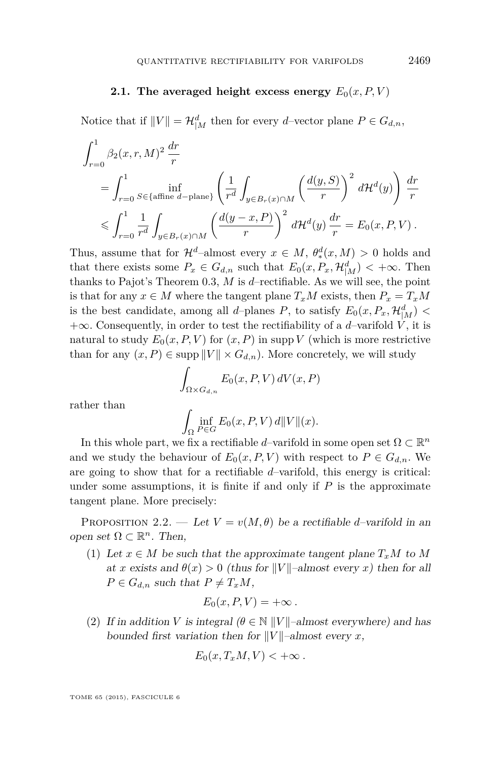#### <span id="page-21-0"></span>**2.1.** The averaged height excess energy  $E_0(x, P, V)$

Notice that if  $||V|| = \mathcal{H}_{|M}^d$  then for every *d*-vector plane  $P \in G_{d,n}$ ,

$$
\int_{r=0}^{1} \beta_2(x, r, M)^2 \frac{dr}{r}
$$
\n
$$
= \int_{r=0}^{1} \inf_{S \in \{\text{affine } d-\text{plane}\}} \left( \frac{1}{r^d} \int_{y \in B_r(x) \cap M} \left( \frac{d(y, S)}{r} \right)^2 d\mathcal{H}^d(y) \right) \frac{dr}{r}
$$
\n
$$
\leqslant \int_{r=0}^{1} \frac{1}{r^d} \int_{y \in B_r(x) \cap M} \left( \frac{d(y - x, P)}{r} \right)^2 d\mathcal{H}^d(y) \frac{dr}{r} = E_0(x, P, V).
$$

Thus, assume that for  $\mathcal{H}^d$ -almost every  $x \in M$ ,  $\theta_*^d(x, M) > 0$  holds and that there exists some  $P_x \in G_{d,n}$  such that  $E_0(x, P_x, \mathcal{H}_{|M}^d) < +\infty$ . Then thanks to Pajot's Theorem [0.3,](#page-3-0) *M* is *d*–rectifiable. As we will see, the point is that for any  $x \in M$  where the tangent plane  $T_xM$  exists, then  $P_x = T_xM$ is the best candidate, among all *d*-planes *P*, to satisfy  $E_0(x, P_x, \mathcal{H}_{|M}^d)$  <  $+\infty$ . Consequently, in order to test the rectifiability of a *d*–varifold *V*, it is natural to study  $E_0(x, P, V)$  for  $(x, P)$  in supp *V* (which is more restrictive than for any  $(x, P) \in \text{supp } ||V|| \times G_{d,n}$ . More concretely, we will study

$$
\int_{\Omega \times G_{d,n}} E_0(x, P, V) dV(x, P)
$$

rather than

$$
\int_{\Omega} \inf_{P \in G} E_0(x, P, V) d||V||(x).
$$

In this whole part, we fix a rectifiable *d*–varifold in some open set  $\Omega \subset \mathbb{R}^n$ and we study the behaviour of  $E_0(x, P, V)$  with respect to  $P \in G_{d,n}$ . We are going to show that for a rectifiable *d*–varifold, this energy is critical: under some assumptions, it is finite if and only if  $P$  is the approximate tangent plane. More precisely:

PROPOSITION 2.2. — Let  $V = v(M, \theta)$  be a rectifiable *d*–varifold in an open set  $\Omega \subset \mathbb{R}^n$ . Then,

(1) Let  $x \in M$  be such that the approximate tangent plane  $T_xM$  to M at *x* exists and  $\theta(x) > 0$  (thus for *V V N* almost every *x*) then for all  $P \in G_{d,n}$  such that  $P \neq T_xM$ ,

$$
E_0(x, P, V) = +\infty.
$$

(2) If in addition *V* is integral  $(\theta \in \mathbb{N} ||V||$ –almost everywhere) and has bounded first variation then for  $||V||$ –almost every *x*,

$$
E_0(x,T_xM,V) < +\infty.
$$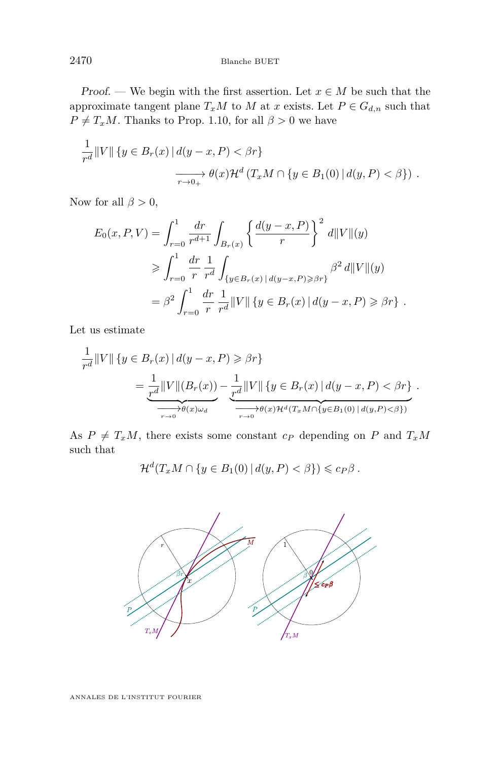*Proof.* — We begin with the first assertion. Let  $x \in M$  be such that the approximate tangent plane  $T_xM$  to  $M$  at  $x$  exists. Let  $P \in G_{d,n}$  such that  $P \neq T_xM$ . Thanks to Prop. [1.10,](#page-10-0) for all  $\beta > 0$  we have

$$
\frac{1}{r^d} ||V|| \{ y \in B_r(x) | d(y - x, P) < \beta r \}
$$

$$
\xrightarrow[r \to 0+]{} \theta(x) \mathcal{H}^d (T_x M \cap \{ y \in B_1(0) | d(y, P) < \beta \} ).
$$

Now for all  $\beta > 0$ ,

$$
E_0(x, P, V) = \int_{r=0}^1 \frac{dr}{r^{d+1}} \int_{B_r(x)} \left\{ \frac{d(y-x, P)}{r} \right\}^2 d||V||(y)
$$
  
\n
$$
\geqslant \int_{r=0}^1 \frac{dr}{r} \frac{1}{r^d} \int_{\{y \in B_r(x) \mid d(y-x, P) \geqslant \beta r\}} \beta^2 d||V||(y)
$$
  
\n
$$
= \beta^2 \int_{r=0}^1 \frac{dr}{r} \frac{1}{r^d} ||V|| \left\{ y \in B_r(x) \mid d(y-x, P) \geqslant \beta r \right\} .
$$

Let us estimate

$$
\frac{1}{r^d} ||V|| \left\{ y \in B_r(x) \, | \, d(y-x, P) \geq \beta r \right\}
$$
\n
$$
= \frac{1}{r^d} ||V|| (B_r(x)) - \frac{1}{r^d} ||V|| \left\{ y \in B_r(x) \, | \, d(y-x, P) < \beta r \right\}.
$$
\n
$$
\xrightarrow[r \to 0]{} \theta(x) \omega_d
$$
\n
$$
\xrightarrow[r \to 0]{} \theta(x) \mathcal{H}^d(T_x M \cap \{y \in B_1(0) \, | \, d(y, P) < \beta\})
$$

As  $P \neq T_xM$ , there exists some constant  $c_P$  depending on  $P$  and  $T_xM$ such that

$$
\mathcal{H}^d(T_xM \cap \{y \in B_1(0) \mid d(y,P) < \beta\}) \leqslant c_P \beta.
$$

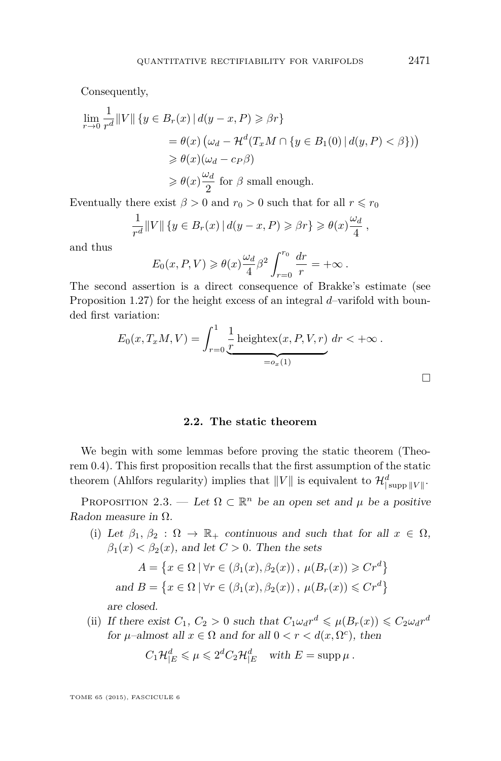<span id="page-23-0"></span>Consequently,

$$
\lim_{r \to 0} \frac{1}{r^d} ||V|| \{ y \in B_r(x) | d(y - x, P) \geq \beta r \}
$$
  
=  $\theta(x) (\omega_d - \mathcal{H}^d(T_x M \cap \{ y \in B_1(0) | d(y, P) < \beta \}) )$   
 $\geq \theta(x) (\omega_d - c_P \beta)$   
 $\geq \theta(x) \frac{\omega_d}{2}$  for  $\beta$  small enough.

Eventually there exist  $\beta > 0$  and  $r_0 > 0$  such that for all  $r \le r_0$ 

$$
\frac{1}{r^d} ||V|| \{ y \in B_r(x) | d(y-x, P) \geq \beta r \} \geq \theta(x) \frac{\omega_d}{4} ,
$$

and thus

$$
E_0(x, P, V) \ge \theta(x) \frac{\omega_d}{4} \beta^2 \int_{r=0}^{r_0} \frac{dr}{r} = +\infty.
$$

The second assertion is a direct consequence of Brakke's estimate (see Proposition [1.27\)](#page-19-0) for the height excess of an integral *d*–varifold with bounded first variation:

$$
E_0(x, T_xM, V) = \int_{r=0}^1 \underbrace{\frac{1}{r} \text{heightex}(x, P, V, r)}_{=o_x(1)} dr < +\infty.
$$

#### **2.2. The static theorem**

We begin with some lemmas before proving the static theorem (Theorem [0.4\)](#page-4-0). This first proposition recalls that the first assumption of the static theorem (Ahlfors regularity) implies that  $||V||$  is equivalent to  $\mathcal{H}^d_{|\text{supp }||V||}$ .

PROPOSITION 2.3. — Let  $\Omega \subset \mathbb{R}^n$  be an open set and  $\mu$  be a positive Radon measure in  $\Omega$ .

(i) Let  $\beta_1, \beta_2 : \Omega \to \mathbb{R}_+$  continuous and such that for all  $x \in \Omega$ ,  $\beta_1(x) < \beta_2(x)$ , and let  $C > 0$ . Then the sets

$$
A = \{x \in \Omega \mid \forall r \in (\beta_1(x), \beta_2(x)), \mu(B_r(x)) \geq C r^d\}
$$
  
and 
$$
B = \{x \in \Omega \mid \forall r \in (\beta_1(x), \beta_2(x)), \mu(B_r(x)) \leq C r^d\}
$$

are closed.

(ii) If there exist  $C_1$ ,  $C_2 > 0$  such that  $C_1 \omega_d r^d \leq \mu(B_r(x)) \leq C_2 \omega_d r^d$ for  $\mu$ –almost all  $x \in \Omega$  and for all  $0 < r < d(x, \Omega^c)$ , then

$$
C_1\mathcal{H}_{|E}^d \leq \mu \leq 2^d C_2\mathcal{H}_{|E}^d \text{ with } E = \text{supp }\mu .
$$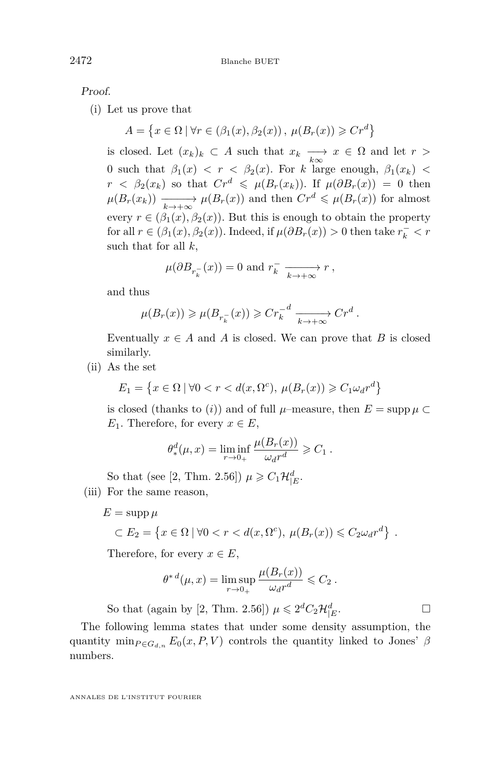Proof.

(i) Let us prove that

 $A = \{x \in \Omega \mid \forall r \in (\beta_1(x), \beta_2(x)), \mu(B_r(x)) \geqslant Cr^d\}$ 

is closed. Let  $(x_k)_k \subset A$  such that  $x_k \longrightarrow_{k \infty} x \in \Omega$  and let  $r >$ 0 such that  $\beta_1(x) < r < \beta_2(x)$ . For *k* large enough,  $\beta_1(x_k) <$  $r < \beta_2(x_k)$  so that  $Cr^d \leq \mu(B_r(x_k))$ . If  $\mu(\partial B_r(x)) = 0$  then  $\mu(B_r(x_k)) \xrightarrow[k \to +\infty]{} \mu(B_r(x))$  and then  $Cr^d \leq \mu(B_r(x))$  for almost every  $r \in (\beta_1(x), \beta_2(x))$ . But this is enough to obtain the property for all  $r \in (\beta_1(x), \beta_2(x))$ . Indeed, if  $\mu(\partial B_r(x)) > 0$  then take  $r_k^ < r$ such that for all *k*,

$$
\mu(\partial B_{r_k^-}(x)) = 0
$$
 and  $r_k^- \longrightarrow r$ ,

and thus

$$
\mu(B_r(x)) \geqslant \mu(B_{r_k^-}(x)) \geqslant Cr_k^{-d} \xrightarrow[k \to +\infty]{} Cr^d.
$$

Eventually  $x \in A$  and  $A$  is closed. We can prove that  $B$  is closed similarly.

(ii) As the set

$$
E_1 = \left\{ x \in \Omega \mid \forall 0 < r < d(x, \Omega^c), \ \mu(B_r(x)) \ge C_1 \omega_d r^d \right\}
$$

is closed (thanks to *(i))* and of full  $\mu$ –measure, then  $E = \text{supp} \mu \subset$ *E*<sub>1</sub>. Therefore, for every  $x \in E$ ,

$$
\theta_*^d(\mu, x) = \liminf_{r \to 0+} \frac{\mu(B_r(x))}{\omega_d r^d} \geqslant C_1.
$$

So that (see [\[2,](#page-58-0) Thm. 2.56])  $\mu \geq C_1 \mathcal{H}_{|E}^d$ . (iii) For the same reason,

 $E = \text{supp }\mu$ 

$$
\subset E_2 = \left\{ x \in \Omega \mid \forall 0 < r < d(x, \Omega^c), \ \mu(B_r(x)) \leq C_2 \omega_d r^d \right\} \ .
$$

Therefore, for every  $x \in E$ ,

$$
\theta^{* d}(\mu, x) = \limsup_{r \to 0_+} \frac{\mu(B_r(x))}{\omega_d r^d} \leqslant C_2.
$$

So that (again by [\[2,](#page-58-0) Thm. 2.56])  $\mu \leq 2^d C_2 \mathcal{H}_{|E}^d$ .

The following lemma states that under some density assumption, the quantity min $_{P \in G_{d,n}} E_0(x, P, V)$  controls the quantity linked to Jones'  $\beta$ numbers.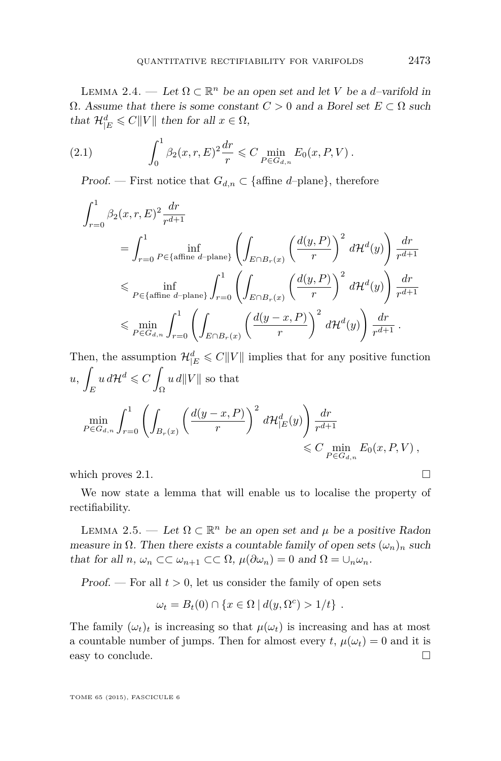<span id="page-25-0"></span>LEMMA 2.4. — Let  $\Omega \subset \mathbb{R}^n$  be an open set and let *V* be a *d*-varifold in  $Ω. Assume that there is some constant *C* > 0 and a Borel set *E* ⊂ *Ω* such$ that  $\mathcal{H}_{|E}^d \leq C||V||$  then for all  $x \in \Omega$ ,

(2.1) 
$$
\int_0^1 \beta_2(x, r, E)^2 \frac{dr}{r} \leq C \min_{P \in G_{d,n}} E_0(x, P, V).
$$

*Proof.* — First notice that  $G_{d,n} \subset \{\text{affine } d\text{-plane}\},\$  therefore

$$
\begin{split} &\int_{r=0}^1 \beta_2(x, r, E)^2 \frac{dr}{r^{d+1}} \\ &= \int_{r=0}^1 \inf_{P \in \{\text{affine } d-\text{plane}\}} \left( \int_{E \cap B_r(x)} \left( \frac{d(y, P)}{r} \right)^2 \, d\mathcal{H}^d(y) \right) \frac{dr}{r^{d+1}} \\ &\leqslant \inf_{P \in \{\text{affine } d-\text{plane}\}} \int_{r=0}^1 \left( \int_{E \cap B_r(x)} \left( \frac{d(y, P)}{r} \right)^2 \, d\mathcal{H}^d(y) \right) \frac{dr}{r^{d+1}} \\ &\leqslant \min_{P \in G_{d,n}} \int_{r=0}^1 \left( \int_{E \cap B_r(x)} \left( \frac{d(y - x, P)}{r} \right)^2 \, d\mathcal{H}^d(y) \right) \frac{dr}{r^{d+1}} \, . \end{split}
$$

Then, the assumption  $\mathcal{H}_{|E}^d \leqslant C||V||$  implies that for any positive function *u*, Z *E*  $u d\mathcal{H}^d \leqslant C$ Ω  $\|u\|/||V||$  so that  $\min_{P \in G_{d,n}} \int_{r=0}^{1} \left( \int_{B_r(x)} \right)$  $\int$ *d*(*y* − *x*, *P*) *r*  $\bigg)^2 d\mathcal{H}_{|E}^d(y)$  $\int dr$  $r^{d+1}$  $\leq C \min_{P \in G_{d,n}} E_0(x, P, V)$ ,

which proves 2.1.  $\Box$ 

We now state a lemma that will enable us to localise the property of rectifiability.

LEMMA 2.5. — Let  $\Omega \subset \mathbb{R}^n$  be an open set and  $\mu$  be a positive Radon measure in  $\Omega$ . Then there exists a countable family of open sets  $(\omega_n)_n$  such that for all  $n, \omega_n \subset \subset \omega_{n+1} \subset \subset \Omega$ ,  $\mu(\partial \omega_n) = 0$  and  $\Omega = \cup_n \omega_n$ .

Proof. — For all  $t > 0$ , let us consider the family of open sets

$$
\omega_t = B_t(0) \cap \{x \in \Omega \mid d(y, \Omega^c) > 1/t\}.
$$

The family  $(\omega_t)_t$  is increasing so that  $\mu(\omega_t)$  is increasing and has at most a countable number of jumps. Then for almost every  $t$ ,  $\mu(\omega_t) = 0$  and it is easy to conclude.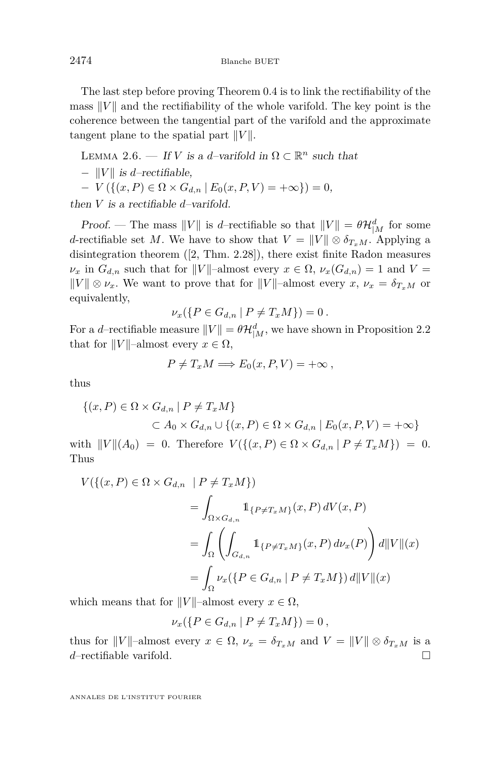<span id="page-26-0"></span>The last step before proving Theorem [0.4](#page-4-0) is to link the rectifiability of the mass  $||V||$  and the rectifiability of the whole varifold. The key point is the coherence between the tangential part of the varifold and the approximate tangent plane to the spatial part  $||V||$ .

LEMMA 2.6. — If *V* is a *d*-varifold in  $\Omega \subset \mathbb{R}^n$  such that  $||V||$  *is d*–rectifiable.  $-V(\{(x, P) \in \Omega \times G_{d,n} \mid E_0(x, P, V) = +\infty\}) = 0,$ then *V* is a rectifiable *d*–varifold.

Proof. — The mass  $||V||$  is *d*–rectifiable so that  $||V|| = \theta \mathcal{H}_{|M}^d$  for some *d*-rectifiable set *M*. We have to show that  $V = ||V|| \otimes \delta_{T_xM}$ . Applying a disintegration theorem ([\[2,](#page-58-0) Thm. 2.28]), there exist finite Radon measures  $\nu_x$  in  $G_{d,n}$  such that for  $||V||$ –almost every  $x \in \Omega$ ,  $\nu_x(G_{d,n}) = 1$  and  $V =$  $||V|| \otimes \nu_x$ . We want to prove that for  $||V||$ –almost every  $x, \nu_x = \delta_{T_xM}$  or equivalently,

$$
\nu_x(\{P \in G_{d,n} \mid P \neq T_x M\}) = 0.
$$

For a *d*-rectifiable measure  $||V|| = \theta \mathcal{H}_{|M}^d$ , we have shown in Proposition [2.2](#page-21-0) that for  $||V||$ –almost every  $x \in \Omega$ ,

$$
P \neq T_x M \Longrightarrow E_0(x, P, V) = +\infty ,
$$

thus

$$
\{(x, P) \in \Omega \times G_{d,n} \mid P \neq T_x M\}
$$
  

$$
\subset A_0 \times G_{d,n} \cup \{(x, P) \in \Omega \times G_{d,n} \mid E_0(x, P, V) = +\infty\}
$$

with  $||V||(A_0) = 0$ . Therefore  $V({{(x, P) \in \Omega \times G_{d,n} | P \neq T_xM}}) = 0$ . Thus

$$
V(\{(x, P) \in \Omega \times G_{d,n} \mid P \neq T_x M \})
$$
  
= 
$$
\int_{\Omega \times G_{d,n}} 1_{\{P \neq T_x M\}}(x, P) dV(x, P)
$$
  
= 
$$
\int_{\Omega} \left( \int_{G_{d,n}} 1_{\{P \neq T_x M\}}(x, P) d\nu_x(P) \right) d||V||(x)
$$
  
= 
$$
\int_{\Omega} \nu_x (\{P \in G_{d,n} \mid P \neq T_x M \}) d||V||(x)
$$

which means that for  $||V||$ –almost every  $x \in \Omega$ ,

$$
\nu_x(\{P \in G_{d,n} \mid P \neq T_xM\}) = 0,
$$

thus for  $||V||$ -almost every  $x \in \Omega$ ,  $\nu_x = \delta_{T_xM}$  and  $V = ||V|| \otimes \delta_{T_xM}$  is a *d*–rectifiable varifold. □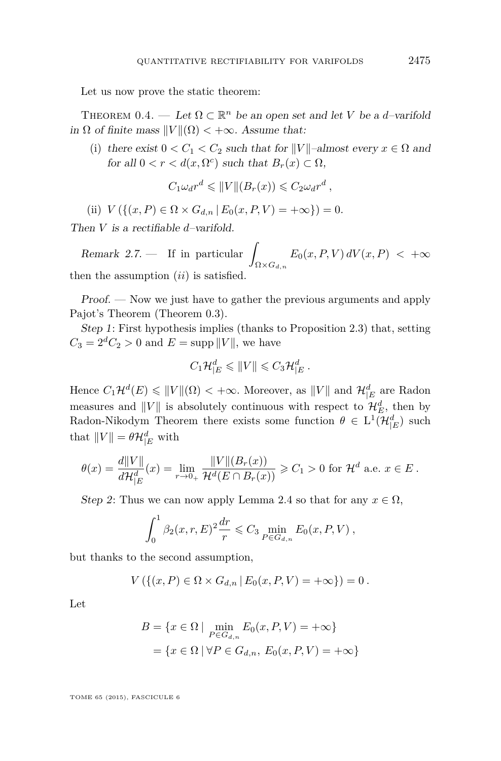Let us now prove the static theorem:

THEOREM  $0.4.$  — Let  $\Omega \subset \mathbb{R}^n$  be an open set and let *V* be a *d*-varifold in  $\Omega$  of finite mass  $||V||(\Omega) < +\infty$ . Assume that:

(i) there exist  $0 < C_1 < C_2$  such that for  $||V||$ –almost every  $x \in \Omega$  and for all  $0 < r < d(x, \Omega^c)$  such that  $B_r(x) \subset \Omega$ ,

$$
C_1 \omega_d r^d \leqslant ||V||(B_r(x)) \leqslant C_2 \omega_d r^d,
$$

(ii)  $V({(x, P) \in \Omega \times G_d}_n | E_0(x, P, V) = +\infty) = 0.$ 

Then *V* is a rectifiable *d*–varifold.

Remark 2.7.  $\frac{1}{\sqrt{2}}$  If in particular  $\Omega\!\times\! G_{d,n}$  $E_0(x, P, V) dV(x, P) < +\infty$ then the assumption (*ii*) is satisfied.

Proof. — Now we just have to gather the previous arguments and apply Pajot's Theorem (Theorem [0.3\)](#page-3-0).

Step 1: First hypothesis implies (thanks to Proposition [2.3\)](#page-23-0) that, setting  $C_3 = 2^d C_2 > 0$  and  $E = \text{supp } ||V||$ , we have

$$
C_1\mathcal{H}_{|E}^d\leqslant \|V\|\leqslant C_3\mathcal{H}_{|E}^d.
$$

Hence  $C_1\mathcal{H}^d(E) \leq ||V||(\Omega) < +\infty$ . Moreover, as  $||V||$  and  $\mathcal{H}_{|E}^d$  are Radon measures and  $||V||$  is absolutely continuous with respect to  $\mathcal{H}_E^d$ , then by Radon-Nikodym Theorem there exists some function  $\theta \in L^1(\mathcal{H}_{|E}^d)$  such that  $||V|| = \theta \mathcal{H}_{|E}^d$  with

$$
\theta(x) = \frac{d||V||}{d\mathcal{H}_{|E}^d}(x) = \lim_{r \to 0_+} \frac{||V||(B_r(x))}{\mathcal{H}^d(E \cap B_r(x))} \geq C_1 > 0 \text{ for } \mathcal{H}^d \text{ a.e. } x \in E.
$$

Step 2: Thus we can now apply Lemma [2.4](#page-25-0) so that for any  $x \in \Omega$ ,

$$
\int_0^1 \beta_2(x, r, E)^2 \frac{dr}{r} \leq C_3 \min_{P \in G_{d,n}} E_0(x, P, V) ,
$$

but thanks to the second assumption,

$$
V(\{(x, P) \in \Omega \times G_{d,n} | E_0(x, P, V) = +\infty\}) = 0.
$$

Let

$$
B = \{x \in \Omega \mid \min_{P \in G_{d,n}} E_0(x, P, V) = +\infty\}
$$

$$
= \{x \in \Omega \mid \forall P \in G_{d,n}, E_0(x, P, V) = +\infty\}
$$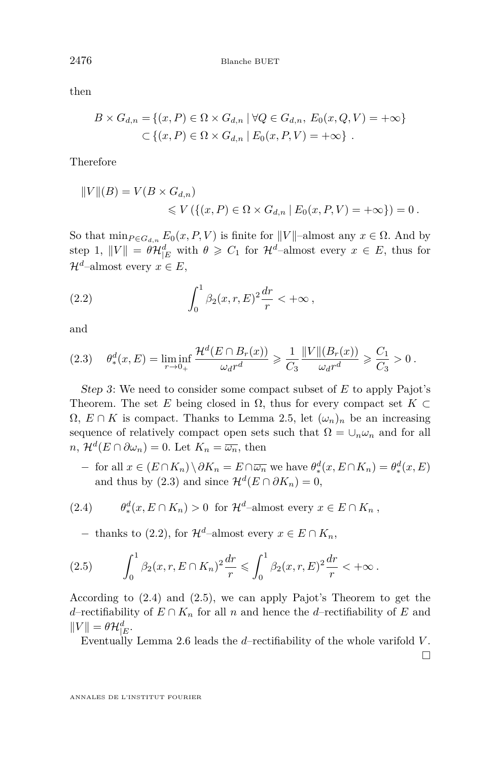then

$$
B \times G_{d,n} = \{(x, P) \in \Omega \times G_{d,n} \mid \forall Q \in G_{d,n}, E_0(x, Q, V) = +\infty\}
$$
  

$$
\subset \{(x, P) \in \Omega \times G_{d,n} \mid E_0(x, P, V) = +\infty\}.
$$

Therefore

$$
||V||(B) = V(B \times G_{d,n})
$$
  
\$\le V (\{(x, P) \in \Omega \times G\_{d,n} | E\_0(x, P, V) = +\infty\}) = 0.\$

So that  $\min_{P \in G_{d,n}} E_0(x, P, V)$  is finite for  $||V||$ –almost any  $x \in \Omega$ . And by step 1,  $||V|| = \theta \mathcal{H}_{|E}^d$  with  $\theta \geq C_1$  for  $\mathcal{H}^d$ -almost every  $x \in E$ , thus for  $\mathcal{H}^d$ –almost every  $x \in E$ ,

(2.2) 
$$
\int_0^1 \beta_2(x, r, E)^2 \frac{dr}{r} < +\infty,
$$

and

$$
(2.3) \quad \theta_*^d(x,E) = \liminf_{r \to 0+} \frac{\mathcal{H}^d(E \cap B_r(x))}{\omega_d r^d} \geq \frac{1}{C_3} \frac{\|V\| (B_r(x))}{\omega_d r^d} \geq \frac{C_1}{C_3} > 0 \,.
$$

Step 3: We need to consider some compact subset of *E* to apply Pajot's Theorem. The set *E* being closed in  $\Omega$ , thus for every compact set  $K \subset$  $\Omega$ ,  $E \cap K$  is compact. Thanks to Lemma [2.5,](#page-25-0) let  $(\omega_n)_n$  be an increasing sequence of relatively compact open sets such that  $\Omega = \cup_n \omega_n$  and for all  $n, \mathcal{H}^d(E \cap \partial \omega_n) = 0.$  Let  $K_n = \overline{\omega_n}$ , then

 $-$  for all  $x \in (E \cap K_n) \setminus \partial K_n = E \cap \overline{\omega_n}$  we have  $\theta_*^d(x, E \cap K_n) = \theta_*^d(x, E)$ and thus by (2.3) and since  $\mathcal{H}^d(E \cap \partial K_n) = 0$ ,

(2.4) 
$$
\theta_*^d(x, E \cap K_n) > 0 \text{ for } \mathcal{H}^d\text{-almost every } x \in E \cap K_n ,
$$

− thanks to (2.2), for  $\mathcal{H}^d$ –almost every  $x \in E \cap K_n$ ,

(2.5) 
$$
\int_0^1 \beta_2(x, r, E \cap K_n)^2 \frac{dr}{r} \leq \int_0^1 \beta_2(x, r, E)^2 \frac{dr}{r} < +\infty.
$$

According to (2.4) and (2.5), we can apply Pajot's Theorem to get the *d*–rectifiability of  $E \cap K_n$  for all *n* and hence the *d*–rectifiability of *E* and  $||V|| = \theta \mathcal{H}_{|E}^d.$ 

Eventually Lemma [2.6](#page-26-0) leads the *d*–rectifiability of the whole varifold *V* .

 $\Box$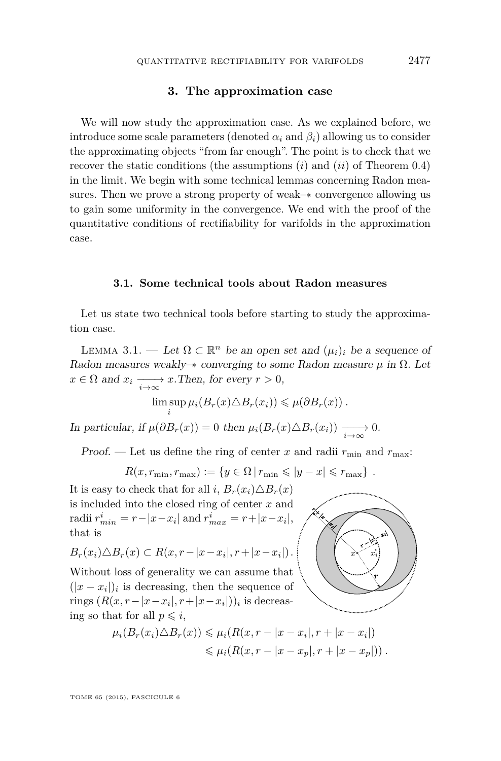#### **3. The approximation case**

<span id="page-29-0"></span>We will now study the approximation case. As we explained before, we introduce some scale parameters (denoted  $\alpha_i$  and  $\beta_i$ ) allowing us to consider the approximating objects "from far enough". The point is to check that we recover the static conditions (the assumptions (*i*) and (*ii*) of Theorem [0.4\)](#page-4-0) in the limit. We begin with some technical lemmas concerning Radon measures. Then we prove a strong property of weak–∗ convergence allowing us to gain some uniformity in the convergence. We end with the proof of the quantitative conditions of rectifiability for varifolds in the approximation case.

#### **3.1. Some technical tools about Radon measures**

Let us state two technical tools before starting to study the approximation case.

LEMMA 3.1. — Let  $\Omega \subset \mathbb{R}^n$  be an open set and  $(\mu_i)_i$  be a sequence of Radon measures weakly– $*$  converging to some Radon measure  $\mu$  in  $\Omega$ . Let  $x \in \Omega$  and  $x_i \longrightarrow_{\infty} x$ . Then, for every  $r > 0$ ,

$$
\limsup_{i} \mu_i(B_r(x) \triangle B_r(x_i)) \leq \mu(\partial B_r(x)).
$$

In particular, if  $\mu(\partial B_r(x)) = 0$  then  $\mu_i(B_r(x) \triangle B_r(x_i)) \longrightarrow 0$ .

Proof. — Let us define the ring of center *x* and radii  $r_{\min}$  and  $r_{\max}$ :

$$
R(x,r_{\min},r_{\max}) := \{ y \in \Omega \, | \, r_{\min} \leqslant |y - x| \leqslant r_{\max} \} .
$$

It is easy to check that for all *i*,  $B_r(x_i) \triangle B_r(x)$ is included into the closed ring of center *x* and  $r_{min}^i = r - |x - x_i|$  and  $r_{max}^i = r + |x - x_i|$ , that is

$$
B_r(x_i) \triangle B_r(x) \subset R(x, r - |x - x_i|, r + |x - x_i|).
$$

Without loss of generality we can assume that  $(|x - x_i|)_i$  is decreasing, then the sequence of rings  $(R(x, r - |x - x_i|, r + |x - x_i|))$ *i* is decreasing so that for all  $p \leq i$ ,



$$
\mu_i(B_r(x_i)\triangle B_r(x)) \leq \mu_i(R(x,r-|x-x_i|,r+|x-x_i|))
$$
  

$$
\leq \mu_i(R(x,r-|x-x_p|,r+|x-x_p|)).
$$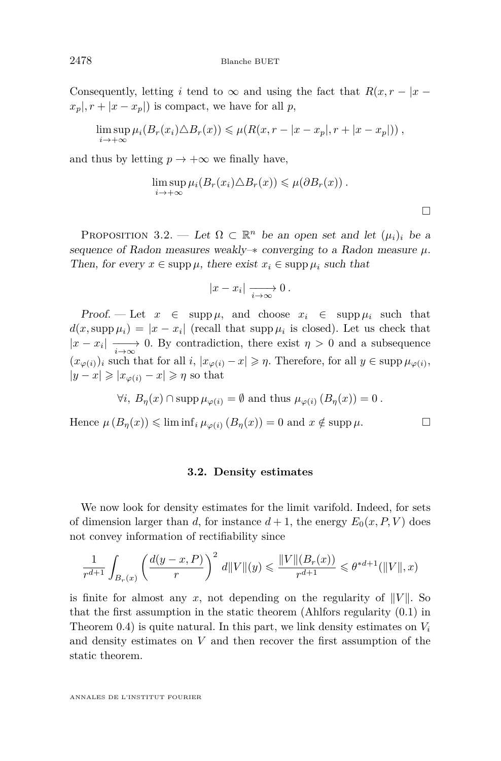Consequently, letting *i* tend to  $\infty$  and using the fact that  $R(x, r - |x - y|)$  $x_p, r + |x - x_p|$  is compact, we have for all *p*,

$$
\limsup_{i \to +\infty} \mu_i(B_r(x_i) \triangle B_r(x)) \leq \mu(R(x, r - |x - x_p|, r + |x - x_p|)),
$$

and thus by letting  $p \to +\infty$  we finally have,

$$
\limsup_{i \to +\infty} \mu_i(B_r(x_i) \triangle B_r(x)) \leq \mu(\partial B_r(x)).
$$

 $\Box$ 

PROPOSITION 3.2. — Let  $\Omega \subset \mathbb{R}^n$  be an open set and let  $(\mu_i)_i$  be a sequence of Radon measures weakly– $*$  converging to a Radon measure  $\mu$ . Then, for every  $x \in \text{supp }\mu$ , there exist  $x_i \in \text{supp }\mu_i$  such that

$$
|x-x_i| \xrightarrow[i \to \infty]{} 0.
$$

Proof. — Let  $x \in \text{supp }\mu$ , and choose  $x_i \in \text{supp }\mu_i$  such that  $d(x, \text{supp }\mu_i) = |x - x_i|$  (recall that supp  $\mu_i$  is closed). Let us check that  $|x - x_i| \longrightarrow 0$ . By contradiction, there exist  $\eta > 0$  and a subsequence  $(x_{\varphi(i)})_i$  such that for all  $i, |x_{\varphi(i)} - x| \geq n$ . Therefore, for all  $y \in \text{supp }\mu_{\varphi(i)}$ ,  $|y-x|\geqslant |x_{\varphi(i)}-x|\geqslant \eta$  so that

$$
\forall i, B_{\eta}(x) \cap \operatorname{supp} \mu_{\varphi(i)} = \emptyset \text{ and thus } \mu_{\varphi(i)} (B_{\eta}(x)) = 0.
$$

Hence  $\mu(B_n(x)) \leq \liminf_i \mu_{\varphi(i)}(B_n(x)) = 0$  and  $x \notin \operatorname{supp} \mu$ .

#### **3.2. Density estimates**

We now look for density estimates for the limit varifold. Indeed, for sets of dimension larger than *d*, for instance  $d+1$ , the energy  $E_0(x, P, V)$  does not convey information of rectifiability since

$$
\frac{1}{r^{d+1}} \int_{B_r(x)} \left( \frac{d(y-x, P)}{r} \right)^2 d||V||(y) \leq \frac{||V||(B_r(x))}{r^{d+1}} \leq \theta^{*d+1}(||V||, x)
$$

is finite for almost any x, not depending on the regularity of  $||V||$ . So that the first assumption in the static theorem (Ahlfors regularity [\(0.1\)](#page-4-0) in Theorem [0.4\)](#page-4-0) is quite natural. In this part, we link density estimates on *V<sup>i</sup>* and density estimates on *V* and then recover the first assumption of the static theorem.

<span id="page-30-0"></span>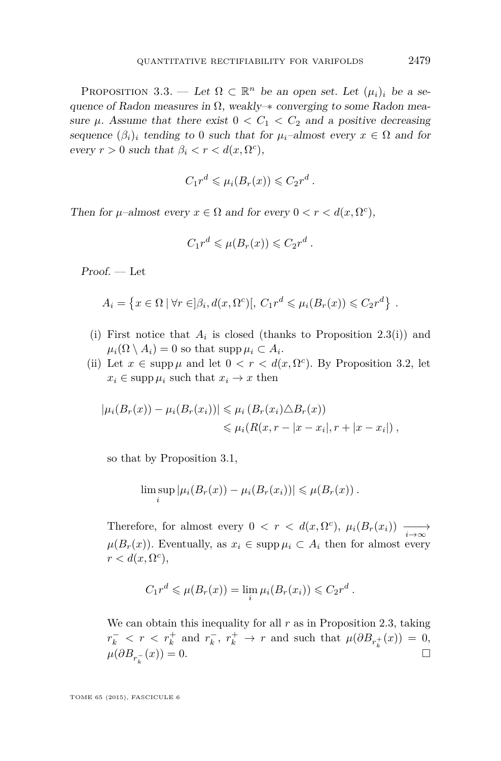<span id="page-31-0"></span>PROPOSITION 3.3. — Let  $\Omega \subset \mathbb{R}^n$  be an open set. Let  $(\mu_i)_i$  be a sequence of Radon measures in  $\Omega$ , weakly– $*$  converging to some Radon measure  $\mu$ . Assume that there exist  $0 < C_1 < C_2$  and a positive decreasing sequence  $(\beta_i)_i$  tending to 0 such that for  $\mu_i$ –almost every  $x \in \Omega$  and for every  $r > 0$  such that  $\beta_i < r < d(x, \Omega^c)$ ,

$$
C_1r^d \leq \mu_i(B_r(x)) \leq C_2r^d
$$

*.*

Then for  $\mu$ –almost every  $x \in \Omega$  and for every  $0 < r < d(x, \Omega^c)$ ,

$$
C_1 r^d \leqslant \mu(B_r(x)) \leqslant C_2 r^d.
$$

 $Proof. - Let$ 

$$
A_i = \left\{ x \in \Omega \mid \forall r \in ]\beta_i, d(x, \Omega^c)[, C_1 r^d \leq \mu_i(B_r(x)) \leq C_2 r^d \right\}.
$$

- (i) First notice that  $A_i$  is closed (thanks to Proposition [2.3\(](#page-23-0)i)) and  $\mu_i(\Omega \setminus A_i) = 0$  so that supp  $\mu_i \subset A_i$ .
- (ii) Let  $x \in \text{supp }\mu$  and let  $0 < r < d(x, \Omega^c)$ . By Proposition [3.2,](#page-30-0) let  $x_i \in \text{supp } \mu_i \text{ such that } x_i \to x \text{ then}$

$$
|\mu_i(B_r(x)) - \mu_i(B_r(x_i))| \leq \mu_i(B_r(x_i) \triangle B_r(x))
$$
  

$$
\leq \mu_i(B(x, r - |x - x_i|, r + |x - x_i|),
$$

so that by Proposition [3.1,](#page-29-0)

$$
\limsup_{i} |\mu_i(B_r(x)) - \mu_i(B_r(x_i))| \leq \mu(B_r(x)).
$$

Therefore, for almost every  $0 < r < d(x, \Omega^c)$ ,  $\mu_i(B_r(x_i)) \longrightarrow$  $\mu(B_r(x))$ . Eventually, as  $x_i \in \text{supp } \mu_i \subset A_i$  then for almost every  $r < d(x, \Omega^c)$ ,

$$
C_1r^d \leq \mu(B_r(x)) = \lim_i \mu_i(B_r(x_i)) \leq C_2r^d.
$$

We can obtain this inequality for all *r* as in Proposition [2.3,](#page-23-0) taking  $r_k^-$  <  $r \leq r_k^+$  and  $r_k^-$ ,  $r_k^+$  → *r* and such that  $\mu(\partial B_{r_k^+}(x)) = 0$ ,  $\mu(\partial B_{r_k^-}$  $f(x) = 0.$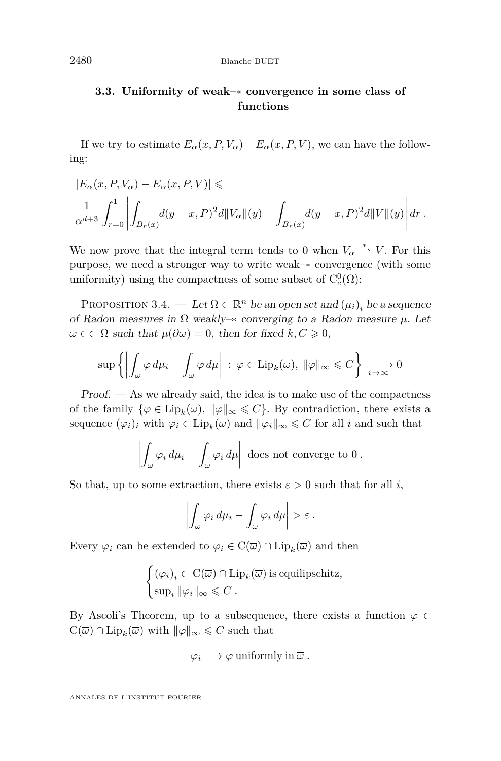### <span id="page-32-0"></span>**3.3. Uniformity of weak–**∗ **convergence in some class of functions**

If we try to estimate  $E_{\alpha}(x, P, V_{\alpha}) - E_{\alpha}(x, P, V)$ , we can have the following:

$$
|E_{\alpha}(x, P, V_{\alpha}) - E_{\alpha}(x, P, V)| \le
$$
  

$$
\frac{1}{\alpha^{d+3}} \int_{r=0}^{1} \left| \int_{B_r(x)} d(y-x, P)^2 d\|V_{\alpha}\|(y) - \int_{B_r(x)} d(y-x, P)^2 d\|V\|(y) \right| dr.
$$

We now prove that the integral term tends to 0 when  $V_\alpha \stackrel{*}{\rightharpoonup} V$ . For this purpose, we need a stronger way to write weak–∗ convergence (with some uniformity) using the compactness of some subset of  $C_c^0(\Omega)$ :

PROPOSITION 3.4. — Let  $\Omega \subset \mathbb{R}^n$  be an open set and  $(\mu_i)_i$  be a sequence of Radon measures in  $\Omega$  weakly– $*$  converging to a Radon measure  $\mu$ . Let  $\omega$  ⊂⊂  $\Omega$  such that  $\mu(\partial \omega) = 0$ , then for fixed  $k, C \geq 0$ ,

$$
\sup \left\{ \left| \int_{\omega} \varphi \, d\mu_i - \int_{\omega} \varphi \, d\mu \right| \, : \, \varphi \in \text{Lip}_k(\omega), \, \|\varphi\|_{\infty} \leq C \right\} \xrightarrow[i \to \infty]{} 0
$$

Proof. — As we already said, the idea is to make use of the compactness of the family  $\{\varphi \in \text{Lip}_k(\omega), \|\varphi\|_{\infty} \leq C\}$ . By contradiction, there exists a sequence  $(\varphi_i)_i$  with  $\varphi_i \in \text{Lip}_k(\omega)$  and  $\|\varphi_i\|_{\infty} \leq C$  for all *i* and such that

$$
\left| \int_{\omega} \varphi_i \, d\mu_i - \int_{\omega} \varphi_i \, d\mu \right| \text{ does not converge to } 0.
$$

So that, up to some extraction, there exists  $\varepsilon > 0$  such that for all *i*,

$$
\left| \int_{\omega} \varphi_i \, d\mu_i - \int_{\omega} \varphi_i \, d\mu \right| > \varepsilon \, .
$$

Every  $\varphi_i$  can be extended to  $\varphi_i \in C(\overline{\omega}) \cap \text{Lip}_k(\overline{\omega})$  and then

$$
\begin{cases} (\varphi_i)_i \subset \mathrm{C}(\overline{\omega}) \cap \mathrm{Lip}_k(\overline{\omega}) \text{ is equilipschitz,} \\ \sup_i \|\varphi_i\|_{\infty} \leq C \,. \end{cases}
$$

By Ascoli's Theorem, up to a subsequence, there exists a function  $\varphi \in$  $C(\overline{\omega}) \cap \text{Lip}_k(\overline{\omega})$  with  $\|\varphi\|_{\infty} \leq C$  such that

$$
\varphi_i \longrightarrow \varphi
$$
 uniformly in  $\overline{\omega}$ .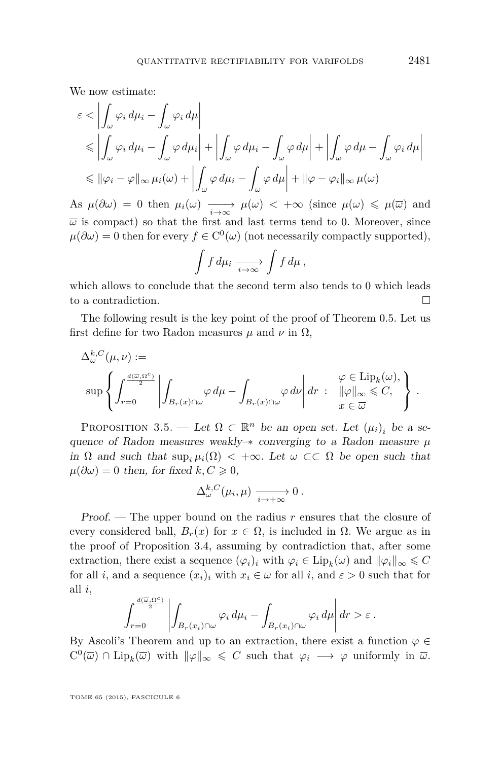<span id="page-33-0"></span>We now estimate:

$$
\varepsilon < \left| \int_{\omega} \varphi_i \, d\mu_i - \int_{\omega} \varphi_i \, d\mu \right|
$$
  
\n
$$
\leq \left| \int_{\omega} \varphi_i \, d\mu_i - \int_{\omega} \varphi \, d\mu_i \right| + \left| \int_{\omega} \varphi \, d\mu_i - \int_{\omega} \varphi \, d\mu \right| + \left| \int_{\omega} \varphi \, d\mu - \int_{\omega} \varphi_i \, d\mu \right|
$$
  
\n
$$
\leq \|\varphi_i - \varphi\|_{\infty} \mu_i(\omega) + \left| \int_{\omega} \varphi \, d\mu_i - \int_{\omega} \varphi \, d\mu \right| + \|\varphi - \varphi_i\|_{\infty} \mu(\omega)
$$

As  $\mu(\partial\omega) = 0$  then  $\mu_i(\omega) \longrightarrow \mu(\omega) < +\infty$  (since  $\mu(\omega) \leq \mu(\overline{\omega})$  and  $\overline{\omega}$  is compact) so that the first and last terms tend to 0. Moreover, since  $\mu(\partial \omega) = 0$  then for every  $f \in C^{0}(\omega)$  (not necessarily compactly supported),

$$
\int f d\mu_i \xrightarrow[i \to \infty]{} \int f d\mu ,
$$

which allows to conclude that the second term also tends to 0 which leads to a contradiction.

The following result is the key point of the proof of Theorem [0.5.](#page-5-0) Let us first define for two Radon measures  $\mu$  and  $\nu$  in  $\Omega$ ,

$$
\begin{split} \Delta_\omega^{k,C}(\mu,\nu) &:= \\ & \sup\left\{\int_{r=0}^{\frac{d(\overline{\omega},\Omega^c)}{2}}\left|\int_{B_r(x)\cap\omega}\varphi\,d\mu-\int_{B_r(x)\cap\omega}\varphi\,d\nu\right|dr\;:\;\;\left\|\varphi\right\|_\infty\leqslant C,\\ &\quad x\in\overline{\omega}\end{split}\right\}\;.
$$

PROPOSITION 3.5. — Let  $\Omega \subset \mathbb{R}^n$  be an open set. Let  $(\mu_i)_i$  be a sequence of Radon measures weakly–∗ converging to a Radon measure *µ* in  $\Omega$  and such that  $\sup_i \mu_i(\Omega) < +\infty$ . Let  $\omega \subset \Omega$  be open such that  $\mu(\partial \omega) = 0$  then, for fixed  $k, C \geq 0$ ,

$$
\Delta_{\omega}^{k,C}(\mu_i,\mu) \xrightarrow[i \to +\infty]{} 0.
$$

Proof. — The upper bound on the radius *r* ensures that the closure of every considered ball,  $B_r(x)$  for  $x \in \Omega$ , is included in  $\Omega$ . We argue as in the proof of Proposition [3.4,](#page-32-0) assuming by contradiction that, after some extraction, there exist a sequence  $(\varphi_i)_i$  with  $\varphi_i \in \text{Lip}_k(\omega)$  and  $\|\varphi_i\|_{\infty} \leq C$ for all *i*, and a sequence  $(x_i)_i$  with  $x_i \in \overline{\omega}$  for all *i*, and  $\varepsilon > 0$  such that for all *i*,

$$
\int_{r=0}^{\frac{d(\overline{\omega},\Omega^c)}{2}}\left|\int_{B_r(x_i)\cap\omega}\varphi_i\,d\mu_i-\int_{B_r(x_i)\cap\omega}\varphi_i\,d\mu\right|dr>\varepsilon\,.
$$

By Ascoli's Theorem and up to an extraction, there exist a function  $\varphi \in$  $C^0(\overline{\omega}) \cap \text{Lip}_k(\overline{\omega})$  with  $\|\varphi\|_{\infty} \leq C$  such that  $\varphi_i \longrightarrow \varphi$  uniformly in  $\overline{\omega}$ .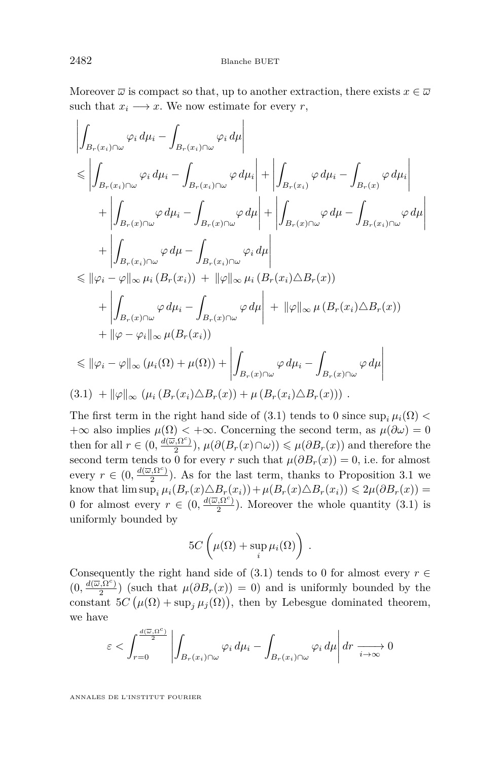Moreover  $\overline{\omega}$  is compact so that, up to another extraction, there exists  $x \in \overline{\omega}$ such that  $x_i \longrightarrow x$ . We now estimate for every *r*,

$$
\left| \int_{B_r(x_i)\cap\omega} \varphi_i d\mu_i - \int_{B_r(x_i)\cap\omega} \varphi_i d\mu \right| \leq \left| \int_{B_r(x_i)\cap\omega} \varphi_i d\mu_i - \int_{B_r(x_i)\cap\omega} \varphi d\mu_i \right| + \left| \int_{B_r(x_i)} \varphi d\mu_i - \int_{B_r(x)} \varphi d\mu_i \right| \right| \n+ \left| \int_{B_r(x)\cap\omega} \varphi d\mu_i - \int_{B_r(x)\cap\omega} \varphi d\mu \right| + \left| \int_{B_r(x)\cap\omega} \varphi d\mu - \int_{B_r(x_i)\cap\omega} \varphi d\mu \right| \n+ \left| \int_{B_r(x_i)\cap\omega} \varphi d\mu - \int_{B_r(x_i)\cap\omega} \varphi_i d\mu \right| \n\leq ||\varphi_i - \varphi||_{\infty} \mu_i (B_r(x_i)) + ||\varphi||_{\infty} \mu_i (B_r(x_i) \triangle B_r(x)) \n+ \left| \int_{B_r(x)\cap\omega} \varphi d\mu_i - \int_{B_r(x)\cap\omega} \varphi d\mu \right| + ||\varphi||_{\infty} \mu (B_r(x_i) \triangle B_r(x)) \n+ ||\varphi - \varphi_i||_{\infty} \mu (B_r(x_i))
$$
\n
$$
\leq ||\varphi_i - \varphi||_{\infty} (\mu_i(\Omega) + \mu(\Omega)) + \left| \int_{B_r(x)\cap\omega} \varphi d\mu_i - \int_{B_r(x)\cap\omega} \varphi d\mu \right| \n(3.1) + ||\varphi||_{\infty} (\mu_i (B_r(x_i) \triangle B_r(x)) + \mu (B_r(x_i) \triangle B_r(x))).
$$

The first term in the right hand side of (3.1) tends to 0 since  $\sup_i \mu_i(\Omega)$  $+\infty$  also implies  $\mu(\Omega) < +\infty$ . Concerning the second term, as  $\mu(\partial \omega) = 0$ then for all  $r \in (0, \frac{d(\vec{\omega}, \Omega^c)}{2})$  $(\frac{1}{2}, \Omega^c)$ ,  $\mu(\partial (B_r(x) \cap \omega)) \leq \mu(\partial B_r(x))$  and therefore the second term tends to 0 for every *r* such that  $\mu(\partial B_r(x)) = 0$ , i.e. for almost every  $r \in (0, \frac{d(\overline{\omega}, \Omega^c)}{2})$  $\frac{(3k)!}{2}$ ). As for the last term, thanks to Proposition [3.1](#page-29-0) we know that  $\limsup_i \mu_i(B_r(x) \triangle B_r(x_i)) + \mu(B_r(x) \triangle B_r(x_i)) \leq 2\mu(\partial B_r(x)) =$ 0 for almost every  $r \in (0, \frac{d(\overline{\omega}, \Omega^c)}{2})$  $\frac{2}{2}$ ). Moreover the whole quantity  $(3.1)$  is uniformly bounded by

$$
5C\left(\mu(\Omega)+\sup_i\mu_i(\Omega)\right).
$$

Consequently the right hand side of (3.1) tends to 0 for almost every  $r \in$  $(0, \frac{d(\overline{\omega}, \Omega^c)}{2})$  $\left(\frac{y_1y_2}{2}\right)$  (such that  $\mu(\partial B_r(x)) = 0$ ) and is uniformly bounded by the constant  $5C(\mu(\Omega) + \sup_j \mu_j(\Omega))$ , then by Lebesgue dominated theorem, we have

$$
\varepsilon < \int_{r=0}^{\frac{d(\overline{\omega}, \Omega^c)}{2}} \left| \int_{B_r(x_i)\cap \omega} \varphi_i \, d\mu_i - \int_{B_r(x_i)\cap \omega} \varphi_i \, d\mu \right| dr \xrightarrow[i \to \infty]{} 0
$$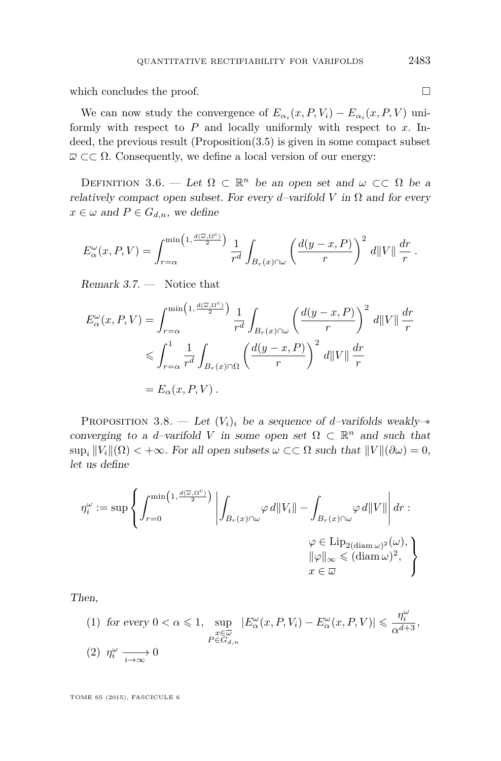<span id="page-35-0"></span>which concludes the proof.  $\Box$ 

We can now study the convergence of  $E_{\alpha_i}(x, P, V_i) - E_{\alpha_i}(x, P, V)$  uniformly with respect to *P* and locally uniformly with respect to *x*. Indeed, the previous result  $(Proposition (3.5))$  $(Proposition (3.5))$  $(Proposition (3.5))$  is given in some compact subset  $\overline{\omega} \subset \overline{\Omega}$ . Consequently, we define a local version of our energy:

DEFINITION 3.6. — Let  $\Omega \subset \mathbb{R}^n$  be an open set and  $\omega \subset\subset \Omega$  be a relatively compact open subset. For every *d*–varifold  $V$  in  $\Omega$  and for every  $x \in \omega$  and  $P \in G_{d,n}$ , we define

$$
E_{\alpha}^{\omega}(x,P,V) = \int_{r=\alpha}^{\min\left(1,\frac{d(\overline{\omega},\Omega^c)}{2}\right)} \frac{1}{r^d} \int_{B_r(x)\cap\omega} \left(\frac{d(y-x,P)}{r}\right)^2 d\|V\| \frac{dr}{r}.
$$

Remark 3.7. — Notice that

$$
E_{\alpha}^{\omega}(x, P, V) = \int_{r=\alpha}^{\min\left(1, \frac{d(\overline{\omega}, \Omega^c)}{2}\right)} \frac{1}{r^d} \int_{B_r(x) \cap \omega} \left(\frac{d(y-x, P)}{r}\right)^2 d||V|| \frac{dr}{r}
$$
  
\$\leqslant \int\_{r=\alpha}^1 \frac{1}{r^d} \int\_{B\_r(x) \cap \Omega} \left(\frac{d(y-x, P)}{r}\right)^2 d||V|| \frac{dr}{r}\$  
=  $E_{\alpha}(x, P, V)$ .

PROPOSITION 3.8. — Let  $(V_i)_i$  be a sequence of *d*-varifolds weakly- $*$ converging to a *d*-varifold V in some open set  $\Omega \subset \mathbb{R}^n$  and such that  $\sup_i \|V_i\|(\Omega) < +\infty$ . For all open subsets  $\omega \subset\subset \Omega$  such that  $\|V\|(\partial \omega) = 0$ , let us define

$$
\begin{split} \eta^\omega_i := \sup\left\{ \int_{r=0}^{\min\left(1,\frac{d(\overline{\omega},\Omega^c)}{2}\right)} \left|\int_{B_r(x)\cap\omega} \varphi \, d\|V_i\| - \int_{B_r(x)\cap\omega} \varphi \, d\|V\|\right| dr: \\ \varphi \in \mathrm{Lip}_{2(\mathop\mathrm{diam}\nolimits \omega)^2}(\omega), \\ \|\varphi\|_\infty &\leqslant (\mathop\mathrm{diam}\nolimits \omega)^2, \\ x &\in \overline{\omega} \end{split}
$$

Then,

(1) for every 
$$
0 < \alpha \le 1
$$
,  $\sup_{\substack{x \in \overline{\omega} \\ P \in G_{d,n}}} |E_{\alpha}^{\omega}(x, P, V_i) - E_{\alpha}^{\omega}(x, P, V)| \le \frac{\eta_i^{\omega}}{\alpha^{d+3}},$   
(2)  $\eta_i^{\omega} \longrightarrow 0$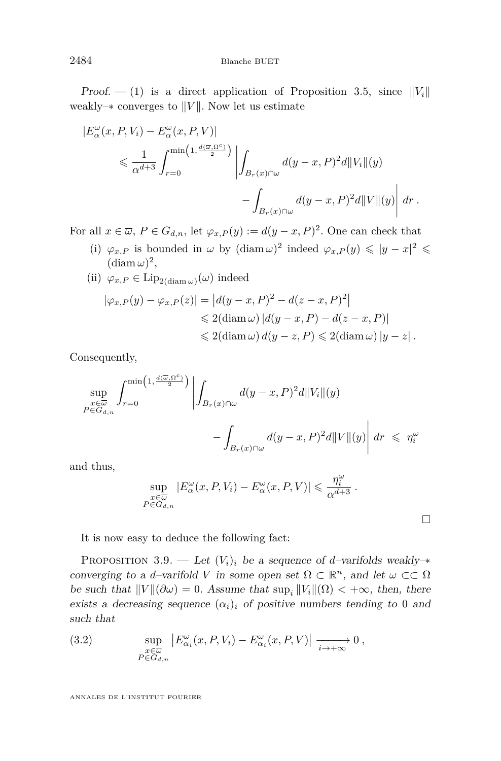<span id="page-36-0"></span>Proof.  $- (1)$  is a direct application of Proposition [3.5,](#page-33-0) since  $||V_i||$ weakly– $*$  converges to  $||V||$ . Now let us estimate

$$
|E_{\alpha}^{\omega}(x, P, V_i) - E_{\alpha}^{\omega}(x, P, V)|
$$
  
\$\leqslant \frac{1}{\alpha^{d+3}} \int\_{r=0}^{\min\left(1, \frac{d(\overline{\omega}, \Omega^c)}{2}\right)} \left| \int\_{B\_r(x) \cap \omega} d(y - x, P)^2 d||V\_i||(y) - \int\_{B\_r(x) \cap \omega} d(y - x, P)^2 d||V||(y) \right| dr.\$

For all  $x \in \overline{\omega}$ ,  $P \in G_{d,n}$ , let  $\varphi_{x,P}(y) := d(y-x, P)^2$ . One can check that

- (i)  $\varphi_{x,P}$  is bounded in  $\omega$  by  $(\text{diam }\omega)^2$  indeed  $\varphi_{x,P}(y) \leq |y-x|^2 \leq$  $(\mathrm{diam}\,\omega)^2,$
- $(i) \varphi_{x,P} \in \text{Lip}_{2(\text{diam }\omega)}(\omega)$  indeed

$$
|\varphi_{x,P}(y) - \varphi_{x,P}(z)| = |d(y-x,P)^2 - d(z-x,P)^2|
$$
  
\$\leqslant 2(\text{diam }\omega) |d(y-x,P) - d(z-x,P)|\$  
\$\leqslant 2(\text{diam }\omega) d(y-z,P) \leqslant 2(\text{diam }\omega) |y-z|.\$

Consequently,

$$
\sup_{\substack{x \in \overline{\omega} \\ P \in G_{d,n}}} \int_{r=0}^{\min\left(1, \frac{d(\overline{\omega}, \Omega^c)}{2}\right)} \left| \int_{B_r(x) \cap \omega} d(y-x, P)^2 d\|V_i\|(y) - \int_{B_r(x) \cap \omega} d(y-x, P)^2 d\|V\|(y) \right| dr \leq \eta_i^{\omega}
$$

and thus,

$$
\sup_{\substack{x \in \overline{\omega} \\ P \in G_{d,n}}} |E_{\alpha}^{\omega}(x, P, V_i) - E_{\alpha}^{\omega}(x, P, V)| \leq \frac{\eta_i^{\omega}}{\alpha^{d+3}}.
$$

 $\Box$ 

It is now easy to deduce the following fact:

PROPOSITION 3.9. — Let  $(V_i)_i$  be a sequence of *d*-varifolds weakly- $*$ converging to a *d*-varifold *V* in some open set  $\Omega \subset \mathbb{R}^n$ , and let  $\omega \subset \Omega$ be such that  $||V||(\partial \omega) = 0$ . Assume that  $\sup_i ||V_i||(\Omega) < +\infty$ , then, there exists a decreasing sequence  $(\alpha_i)_i$  of positive numbers tending to 0 and such that

(3.2) 
$$
\sup_{\substack{x \in \overline{\omega} \\ P \in G_{d,n}}} \left| E_{\alpha_i}^{\omega}(x, P, V_i) - E_{\alpha_i}^{\omega}(x, P, V) \right| \xrightarrow[i \to +\infty]{} 0,
$$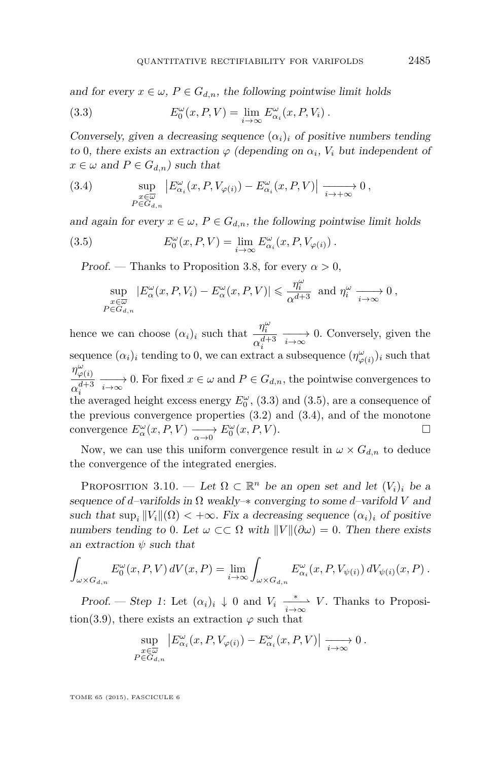<span id="page-37-0"></span>and for every  $x \in \omega$ ,  $P \in G_{d,n}$ , the following pointwise limit holds

(3.3) 
$$
E_0^{\omega}(x, P, V) = \lim_{i \to \infty} E_{\alpha_i}^{\omega}(x, P, V_i).
$$

Conversely, given a decreasing sequence  $(\alpha_i)_i$  of positive numbers tending to 0, there exists an extraction  $\varphi$  (depending on  $\alpha_i$ ,  $V_i$  but independent of  $x \in \omega$  and  $P \in G_{d,n}$  such that

(3.4) 
$$
\sup_{\substack{x \in \overline{\omega} \\ P \in G_{d,n}}} \left| E_{\alpha_i}^{\omega}(x, P, V_{\varphi(i)}) - E_{\alpha_i}^{\omega}(x, P, V) \right| \xrightarrow[i \to +\infty]{} 0,
$$

and again for every  $x \in \omega$ ,  $P \in G_{d,n}$ , the following pointwise limit holds

(3.5) 
$$
E_0^{\omega}(x, P, V) = \lim_{i \to \infty} E_{\alpha_i}^{\omega}(x, P, V_{\varphi(i)}).
$$

Proof. — Thanks to Proposition [3.8,](#page-35-0) for every  $\alpha > 0$ ,

$$
\sup_{\substack{x\in\overline{\omega}\\P\in G_{d,n}}} |E_{\alpha}^{\omega}(x,P,V_i)-E_{\alpha}^{\omega}(x,P,V)| \leq \frac{\eta_i^{\omega}}{\alpha^{d+3}} \text{ and } \eta_i^{\omega} \xrightarrow[i \to \infty]{} 0,
$$

hence we can choose  $(\alpha_i)_i$  such that  $\frac{\eta_i^{\omega}}{d}$  $\frac{n}{\alpha_i^{d+3}} \longrightarrow 0$ . Conversely, given the  $i \in \{a_i\}$  is tending to 0, we can extract a subsequence  $(\eta^{\omega}_{\varphi(i)})_i$  such that  $\eta^{\omega}_{\varphi(i)}$  $\frac{\partial \varphi(t)}{\partial t^{d+3}} \longrightarrow 0$ . For fixed  $x \in \omega$  and  $P \in G_{d,n}$ , the pointwise convergences to the averaged height excess energy  $E_0^{\omega}$ , (3.3) and (3.5), are a consequence of the previous convergence properties  $(3.2)$  and  $(3.4)$ , and of the monotone convergence  $E^{\omega}_{\alpha}(x, P, V) \longrightarrow E^{\omega}_{0}(x, P, V)$ .

Now, we can use this uniform convergence result in  $\omega \times G_{d,n}$  to deduce the convergence of the integrated energies.

PROPOSITION 3.10. — Let  $\Omega \subset \mathbb{R}^n$  be an open set and let  $(V_i)_i$  be a sequence of *d*–varifolds in  $\Omega$  weakly– $*$  converging to some *d*–varifold *V* and such that  $\sup_i ||V_i||(\Omega) < +\infty$ . Fix a decreasing sequence  $(\alpha_i)_i$  of positive numbers tending to 0. Let  $\omega \subset\subset \Omega$  with  $\|V\|(\partial \omega) = 0$ . Then there exists an extraction *ψ* such that

$$
\int_{\omega \times G_{d,n}} E^{\omega}_{0}(x, P, V) dV(x, P) = \lim_{i \to \infty} \int_{\omega \times G_{d,n}} E^{\omega}_{\alpha_{i}}(x, P, V_{\psi(i)}) dV_{\psi(i)}(x, P) .
$$

Proof. — Step 1: Let  $(\alpha_i)_i \downarrow 0$  and  $V_i \xrightarrow[i \to \infty]{*} V$ . Thanks to Proposi-tion[\(3.9\)](#page-36-0), there exists an extraction  $\varphi$  such that

$$
\sup_{\substack{x \in \overline{\omega} \\ P \in G_{d,n}}} \left| E_{\alpha_i}^{\omega}(x, P, V_{\varphi(i)}) - E_{\alpha_i}^{\omega}(x, P, V) \right| \xrightarrow[i \to \infty]{} 0.
$$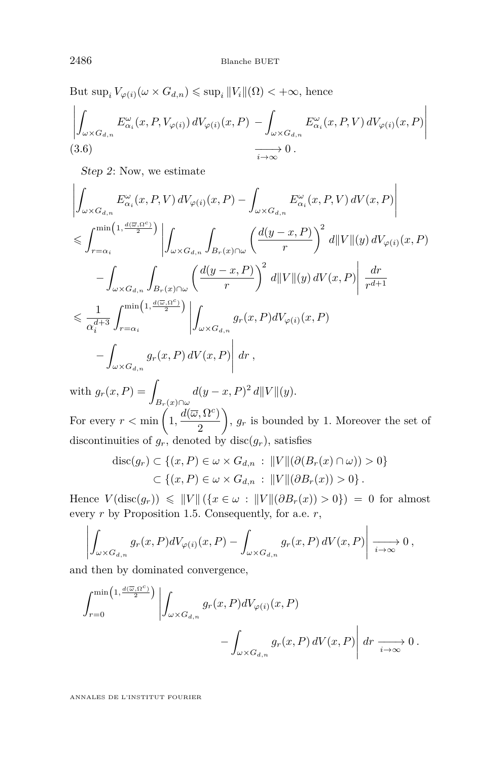<span id="page-38-0"></span>But  $\sup_i V_{\varphi(i)}(\omega \times G_{d,n}) \leq \sup_i ||V_i||(\Omega) < +\infty$ , hence

$$
\left| \int_{\omega \times G_{d,n}} E^{\omega}_{\alpha_i}(x, P, V_{\varphi(i)}) dV_{\varphi(i)}(x, P) - \int_{\omega \times G_{d,n}} E^{\omega}_{\alpha_i}(x, P, V) dV_{\varphi(i)}(x, P) \right|
$$
  
(3.6) 
$$
\xrightarrow[i \to \infty]{} 0.
$$

Step 2: Now, we estimate

$$
\left| \int_{\omega \times G_{d,n}} E_{\alpha_i}^{\omega}(x, P, V) dV_{\varphi(i)}(x, P) - \int_{\omega \times G_{d,n}} E_{\alpha_i}^{\omega}(x, P, V) dV(x, P) \right|
$$
  
\n
$$
\leqslant \int_{r=\alpha_i}^{\min\left(1, \frac{d(\overline{\omega}, \Omega^c)}{2}\right)} \left| \int_{\omega \times G_{d,n}} \int_{B_r(x) \cap \omega} \left(\frac{d(y-x, P)}{r}\right)^2 d||V||(y) dV_{\varphi(i)}(x, P) \right|
$$
  
\n
$$
- \int_{\omega \times G_{d,n}} \int_{B_r(x) \cap \omega} \left(\frac{d(y-x, P)}{r}\right)^2 d||V||(y) dV(x, P) \left| \frac{dr}{r^{d+1}} \right|
$$
  
\n
$$
\leqslant \frac{1}{\alpha_i^{d+3}} \int_{r=\alpha_i}^{\min\left(1, \frac{d(\overline{\omega}, \Omega^c)}{2}\right)} \left| \int_{\omega \times G_{d,n}} g_r(x, P) dV_{\varphi(i)}(x, P) \right|
$$
  
\n
$$
- \int_{\omega \times G_{d,n}} g_r(x, P) dV(x, P) \left| dr \right|,
$$

with  $g_r(x, P) = \int$ *Br*(*x*)∩*ω*  $d(y-x,P)^2 d||V||(y).$ For every  $r < \min\left(1, \frac{d(\overline{\omega}, \Omega^c)}{2}\right)$ 2  $\left( \int_{r}^{R} g_r \right)$  is bounded by 1. Moreover the set of discontinuities of  $g_r$ , denoted by disc $(g_r)$ , satisfies

$$
\operatorname{disc}(g_r) \subset \{(x, P) \in \omega \times G_{d,n} : ||V|| (\partial (B_r(x) \cap \omega)) > 0\}
$$
  

$$
\subset \{(x, P) \in \omega \times G_{d,n} : ||V|| (\partial B_r(x)) > 0\}.
$$

Hence  $V(\text{disc}(g_r)) \leq \|V\| (\{x \in \omega : \|V\|(\partial B_r(x)) > 0\}) = 0$  for almost every *r* by Proposition [1.5.](#page-8-0) Consequently, for a.e. *r*,

$$
\left| \int_{\omega \times G_{d,n}} g_r(x,P) dV_{\varphi(i)}(x,P) - \int_{\omega \times G_{d,n}} g_r(x,P) dV(x,P) \right| \xrightarrow[i \to \infty]{} 0,
$$

and then by dominated convergence,

$$
\int_{r=0}^{\min\left(1,\frac{d(\overline{\omega},\Omega^{c})}{2}\right)} \left| \int_{\omega\times G_{d,n}} g_{r}(x,P) dV_{\varphi(i)}(x,P) - \int_{\omega\times G_{d,n}} g_{r}(x,P) dV(x,P) \right| dr \xrightarrow[i\to\infty]{} 0.
$$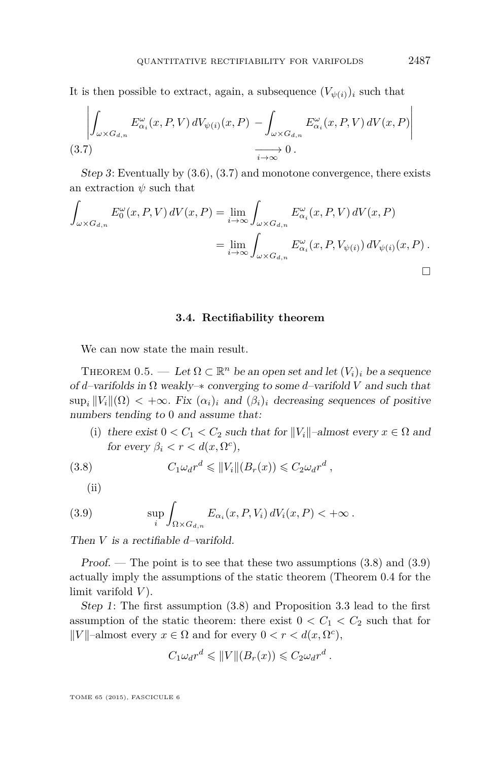<span id="page-39-0"></span>It is then possible to extract, again, a subsequence  $(V_{\psi(i)})_i$  such that

$$
\left| \int_{\omega \times G_{d,n}} E_{\alpha_i}^{\omega}(x, P, V) dV_{\psi(i)}(x, P) - \int_{\omega \times G_{d,n}} E_{\alpha_i}^{\omega}(x, P, V) dV(x, P) \right|
$$
  
(3.7)  $\xrightarrow[i \to \infty]{} 0.$ 

Step 3: Eventually by [\(3.6\)](#page-38-0), (3.7) and monotone convergence, there exists an extraction *ψ* such that

$$
\int_{\omega \times G_{d,n}} E_0^{\omega}(x, P, V) dV(x, P) = \lim_{i \to \infty} \int_{\omega \times G_{d,n}} E_{\alpha_i}^{\omega}(x, P, V) dV(x, P)
$$

$$
= \lim_{i \to \infty} \int_{\omega \times G_{d,n}} E_{\alpha_i}^{\omega}(x, P, V_{\psi(i)}) dV_{\psi(i)}(x, P) .
$$

**3.4. Rectifiability theorem**

We can now state the main result.

THEOREM [0.5.](#page-5-0) — Let  $\Omega \subset \mathbb{R}^n$  be an open set and let  $(V_i)_i$  be a sequence of *d*–varifolds in Ω weakly–∗ converging to some *d*–varifold *V* and such that  $\sup_i ||V_i||(\Omega) < +\infty$ . Fix  $(\alpha_i)_i$  and  $(\beta_i)_i$  decreasing sequences of positive numbers tending to 0 and assume that:

(i) there exist  $0 < C_1 < C_2$  such that for  $||V_i||$ –almost every  $x \in \Omega$  and for every  $\beta_i < r < d(x, \Omega^c)$ ,

(3.8) 
$$
C_1 \omega_d r^d \leq ||V_i|| (B_r(x)) \leq C_2 \omega_d r^d,
$$

 $(ii)$ 

(3.9) 
$$
\sup_{i} \int_{\Omega \times G_{d,n}} E_{\alpha_i}(x, P, V_i) dV_i(x, P) < +\infty.
$$

Then *V* is a rectifiable *d*–varifold.

*Proof.* — The point is to see that these two assumptions  $(3.8)$  and  $(3.9)$ actually imply the assumptions of the static theorem (Theorem [0.4](#page-4-0) for the limit varifold *V* ).

Step 1: The first assumption (3.8) and Proposition [3.3](#page-31-0) lead to the first assumption of the static theorem: there exist  $0 < C_1 < C_2$  such that for  $||V||$ –almost every  $x \in \Omega$  and for every  $0 < r < d(x, \Omega^c)$ ,

$$
C_1 \omega_d r^d \leqslant ||V||(B_r(x)) \leqslant C_2 \omega_d r^d.
$$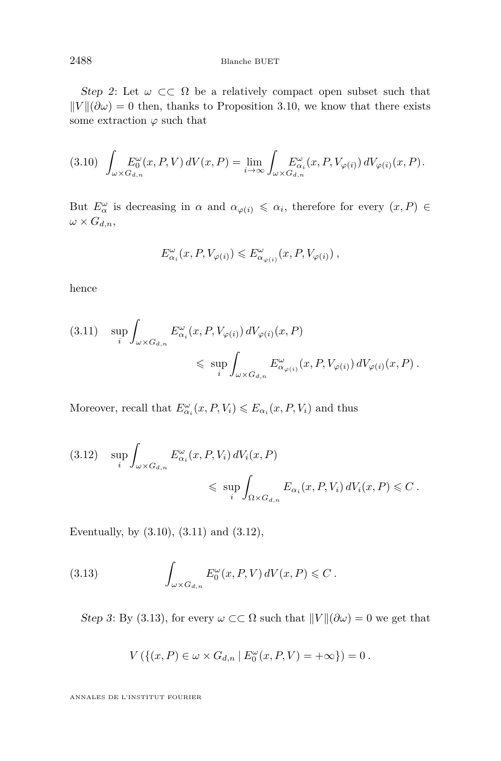#### 2488 Blanche BUET

Step 2: Let  $\omega \subset\subset \Omega$  be a relatively compact open subset such that  $\|V\|(\partial \omega) = 0$  then, thanks to Proposition [3.10,](#page-37-0) we know that there exists some extraction  $\varphi$  such that

$$
(3.10)\quad \int_{\omega\times G_{d,n}} E^\omega_0(x,P,V)\,dV(x,P)=\lim_{i\to\infty}\int_{\omega\times G_{d,n}} E^\omega_{\alpha_i}(x,P,V_{\varphi(i)})\,dV_{\varphi(i)}(x,P).
$$

But  $E^{\omega}_{\alpha}$  is decreasing in  $\alpha$  and  $\alpha_{\varphi(i)} \leq \alpha_i$ , therefore for every  $(x, P) \in$  $\omega \times G_{d,n}$ ,

$$
E_{\alpha_i}^{\omega}(x, P, V_{\varphi(i)}) \leqslant E_{\alpha_{\varphi(i)}}^{\omega}(x, P, V_{\varphi(i)}) ,
$$

hence

$$
(3.11) \quad \sup_{i} \int_{\omega \times G_{d,n}} E^{\omega}_{\alpha_i}(x, P, V_{\varphi(i)}) dV_{\varphi(i)}(x, P)
$$
  

$$
\leq \sup_{i} \int_{\omega \times G_{d,n}} E^{\omega}_{\alpha_{\varphi(i)}}(x, P, V_{\varphi(i)}) dV_{\varphi(i)}(x, P).
$$

Moreover, recall that  $E^{\omega}_{\alpha_i}(x, P, V_i) \leqslant E_{\alpha_i}(x, P, V_i)$  and thus

$$
(3.12) \quad \sup_{i} \int_{\omega \times G_{d,n}} E^{\omega}_{\alpha_i}(x, P, V_i) dV_i(x, P)
$$
  

$$
\leq \sup_{i} \int_{\Omega \times G_{d,n}} E_{\alpha_i}(x, P, V_i) dV_i(x, P) \leq C.
$$

Eventually, by (3.10), (3.11) and (3.12),

(3.13) 
$$
\int_{\omega \times G_{d,n}} E_0^{\omega}(x, P, V) dV(x, P) \leqslant C.
$$

Step 3: By (3.13), for every  $\omega \subset\subset \Omega$  such that  $||V||(\partial \omega) = 0$  we get that

$$
V\left(\{(x,P)\in \omega\times G_{d,n}\mid E^\omega_0(x,P,V)=+\infty\}\right)=0\ .
$$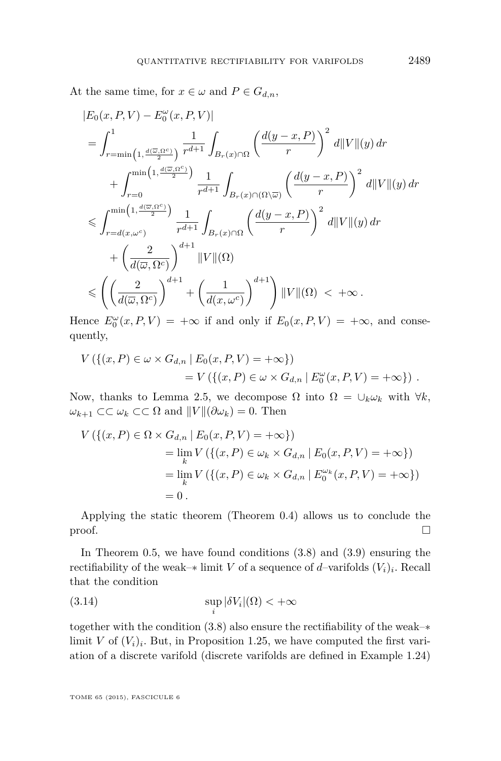<span id="page-41-0"></span>At the same time, for  $x \in \omega$  and  $P \in G_{d,n}$ ,

$$
\begin{split} &|E_0(x,P,V)-E_0^\omega(x,P,V)|\\ &=\int_{r=\min\left(1,\frac{d(\overline{\omega},\Omega^c)}{2}\right)}^1\frac{1}{r^{d+1}}\int_{B_r(x)\cap\Omega}\left(\frac{d(y-x,P)}{r}\right)^2\,d\|V\|(y)\,dr\\ &+\int_{r=0}^{\min\left(1,\frac{d(\overline{\omega},\Omega^c)}{2}\right)}\frac{1}{r^{d+1}}\int_{B_r(x)\cap(\Omega\setminus\overline{\omega})}\left(\frac{d(y-x,P)}{r}\right)^2\,d\|V\|(y)\,dr\\ &\leqslant \int_{r=d(x,\omega^c)}^{\min\left(1,\frac{d(\overline{\omega},\Omega^c)}{2}\right)}\frac{1}{r^{d+1}}\int_{B_r(x)\cap\Omega}\left(\frac{d(y-x,P)}{r}\right)^2\,d\|V\|(y)\,dr\\ &+\left(\frac{2}{d(\overline{\omega},\Omega^c)}\right)^{d+1}\|V\|( \Omega)\\ &\leqslant \left(\left(\frac{2}{d(\overline{\omega},\Omega^c)}\right)^{d+1}+\left(\frac{1}{d(x,\omega^c)}\right)^{d+1}\right)\|V\|( \Omega)~<~+\infty\,.\end{split}
$$

Hence  $E_0^{\omega}(x, P, V) = +\infty$  if and only if  $E_0(x, P, V) = +\infty$ , and consequently,

$$
V(\{(x, P) \in \omega \times G_{d,n} | E_0(x, P, V) = +\infty\})
$$
  
=  $V(\{(x, P) \in \omega \times G_{d,n} | E_0^{\omega}(x, P, V) = +\infty\})$ .

Now, thanks to Lemma [2.5,](#page-25-0) we decompose Ω into  $Ω = ∪<sub>k</sub>ω<sub>k</sub>$  with ∀*k*,  $ω_{k+1}$  ⊂⊂  $ω_k$  ⊂⊂ Ω and  $||V||(∂ω_k) = 0$ . Then

$$
V\left(\{(x, P) \in \Omega \times G_{d,n} \mid E_0(x, P, V) = +\infty\}\right)
$$
  
=  $\lim_k V\left(\{(x, P) \in \omega_k \times G_{d,n} \mid E_0(x, P, V) = +\infty\}\right)$   
=  $\lim_k V\left(\{(x, P) \in \omega_k \times G_{d,n} \mid E_0^{\omega_k}(x, P, V) = +\infty\}\right)$   
= 0.

Applying the static theorem (Theorem [0.4\)](#page-4-0) allows us to conclude the  $\Box$ 

In Theorem  $0.5$ , we have found conditions  $(3.8)$  and  $(3.9)$  ensuring the rectifiability of the weak– $*$  limit *V* of a sequence of *d*–varifolds  $(V_i)_i$ . Recall that the condition

(3.14) 
$$
\sup_i |\delta V_i|(\Omega) < +\infty
$$

together with the condition [\(3.8\)](#page-39-0) also ensure the rectifiability of the weak–∗ limit *V* of  $(V_i)_i$ . But, in Proposition [1.25,](#page-15-0) we have computed the first variation of a discrete varifold (discrete varifolds are defined in Example [1.24\)](#page-15-0)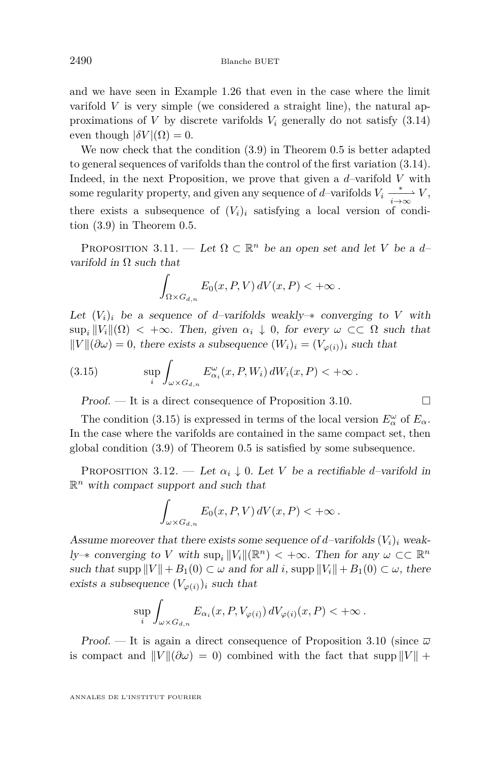<span id="page-42-0"></span>and we have seen in Example [1.26](#page-17-0) that even in the case where the limit varifold *V* is very simple (we considered a straight line), the natural approximations of *V* by discrete varifolds  $V_i$  generally do not satisfy  $(3.14)$ even though  $|\delta V|(\Omega) = 0$ .

We now check that the condition [\(3.9\)](#page-39-0) in Theorem [0.5](#page-5-0) is better adapted to general sequences of varifolds than the control of the first variation [\(3.14\)](#page-41-0). Indeed, in the next Proposition, we prove that given a *d*–varifold *V* with some regularity property, and given any sequence of *d*–varifolds  $V_i \xrightarrow[i \to \infty]{} V$ , there exists a subsequence of  $(V_i)_i$  satisfying a local version of condition [\(3.9\)](#page-39-0) in Theorem [0.5.](#page-5-0)

PROPOSITION 3.11. — Let  $\Omega \subset \mathbb{R}^n$  be an open set and let *V* be a *d*varifold in  $\Omega$  such that

$$
\int_{\Omega \times G_{d,n}} E_0(x, P, V) dV(x, P) < +\infty.
$$

Let  $(V_i)_i$  be a sequence of *d*-varifolds weakly– $*$  converging to V with  $\sup_i ||V_i||(\Omega) < +\infty$ . Then, given  $\alpha_i \downarrow 0$ , for every  $\omega \subset\subset \Omega$  such that  $\|V\|(\partial\omega) = 0$ , there exists a subsequence  $(W_i)_i = (V_{\varphi(i)})_i$  such that

(3.15) 
$$
\sup_{i} \int_{\omega \times G_{d,n}} E^{\omega}_{\alpha_i}(x, P, W_i) dW_i(x, P) < +\infty.
$$

Proof. — It is a direct consequence of Proposition [3.10.](#page-37-0)  $\Box$ 

The condition (3.15) is expressed in terms of the local version  $E^{\omega}_{\alpha}$  of  $E_{\alpha}$ . In the case where the varifolds are contained in the same compact set, then global condition [\(3.9\)](#page-39-0) of Theorem [0.5](#page-5-0) is satisfied by some subsequence.

PROPOSITION 3.12. — Let  $\alpha_i \downarrow 0$ . Let *V* be a rectifiable *d*–varifold in  $\mathbb{R}^n$  with compact support and such that

$$
\int_{\omega \times G_{d,n}} E_0(x, P, V) dV(x, P) < +\infty.
$$

Assume moreover that there exists some sequence of *d*–varifolds  $(V_i)_i$  weak*ly*→ converging to *V* with  $\sup_i ||V_i||(\mathbb{R}^n) < +\infty$ . Then for any  $\omega \subset \mathbb{R}^n$ such that  $\text{supp } ||V|| + B_1(0) \subset \omega$  and for all *i*,  $\text{supp } ||V_i|| + B_1(0) \subset \omega$ , there exists a subsequence  $(V_{\varphi(i)})_i$  such that

$$
\sup_{i} \int_{\omega \times G_{d,n}} E_{\alpha_i}(x, P, V_{\varphi(i)}) dV_{\varphi(i)}(x, P) < +\infty.
$$

Proof. — It is again a direct consequence of Proposition [3.10](#page-37-0) (since *ω* is compact and  $||V||(\partial \omega) = 0$  combined with the fact that supp  $||V|| +$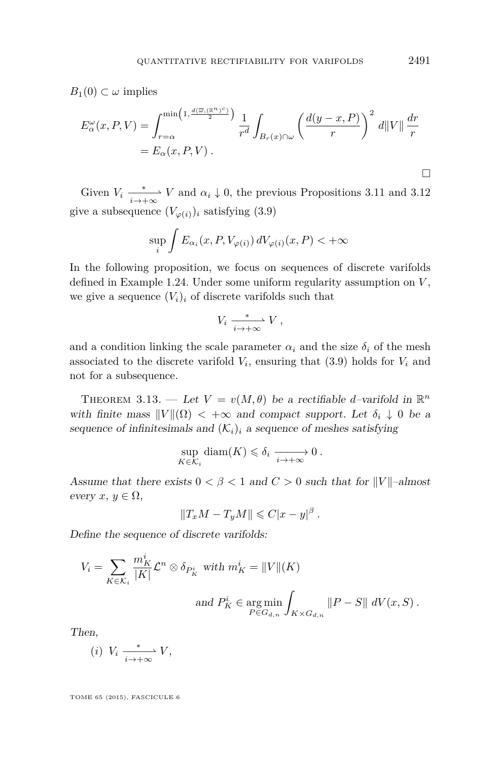$B_1(0) \subset \omega$  implies

$$
E_{\alpha}^{\omega}(x, P, V) = \int_{r=\alpha}^{\min\left(1, \frac{d(\overline{\omega}, (\mathbb{R}^{n})^c)}{2}\right)} \frac{1}{r^d} \int_{B_r(x) \cap \omega} \left(\frac{d(y-x, P)}{r}\right)^2 d\|V\| \frac{dr}{r}
$$
  
=  $E_{\alpha}(x, P, V)$ .

Given  $V_i \xrightarrow[i \to +\infty]{} V$  and  $\alpha_i \downarrow 0$ , the previous Propositions [3.11](#page-42-0) and [3.12](#page-42-0) give a subsequence  $(V_{\varphi(i)})_i$  satisfying [\(3.9\)](#page-39-0)

$$
\sup_{i} \int E_{\alpha_i}(x, P, V_{\varphi(i)}) \, dV_{\varphi(i)}(x, P) < +\infty
$$

In the following proposition, we focus on sequences of discrete varifolds defined in Example [1.24.](#page-15-0) Under some uniform regularity assumption on *V* , we give a sequence  $(V_i)_i$  of discrete varifolds such that

$$
V_i \xrightarrow[i \to +\infty]{*} V,
$$

and a condition linking the scale parameter  $\alpha_i$  and the size  $\delta_i$  of the mesh associated to the discrete varifold  $V_i$ , ensuring that  $(3.9)$  holds for  $V_i$  and not for a subsequence.

THEOREM 3.13. — Let  $V = v(M, \theta)$  be a rectifiable *d*-varifold in  $\mathbb{R}^n$ with finite mass  $||V||(\Omega) < +\infty$  and compact support. Let  $\delta_i \downarrow 0$  be a sequence of infinitesimals and  $(\mathcal{K}_i)_i$  a sequence of meshes satisfying

$$
\sup_{K \in \mathcal{K}_i} \text{diam}(K) \leqslant \delta_i \xrightarrow[i \to +\infty]{} 0 \, .
$$

Assume that there exists  $0 < \beta < 1$  and  $C > 0$  such that for  $||V||$ –almost every  $x, y \in \Omega$ ,

$$
||T_xM-T_yM|| \leq C|x-y|^{\beta}.
$$

Define the sequence of discrete varifolds:

$$
V_i = \sum_{K \in \mathcal{K}_i} \frac{m_K^i}{|K|} \mathcal{L}^n \otimes \delta_{P_K^i} \text{ with } m_K^i = ||V||(K)
$$
  
and  $P_K^i \in \underset{P \in G_{d,n}}{\text{arg min}} \int_{K \times G_{d,n}} ||P - S|| \ dV(x, S) .$ 

Then,

$$
(i) V_i \xrightarrow[i \to +\infty]{*} V,
$$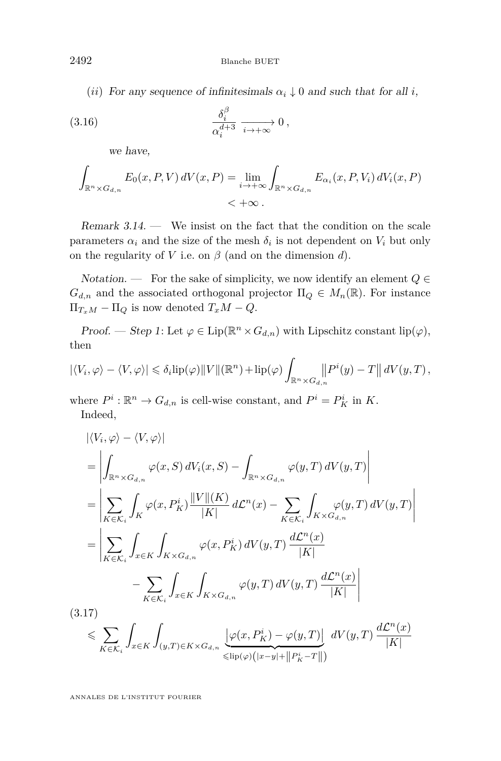<span id="page-44-0"></span>2492 Blanche BUET

(*ii*) For any sequence of infinitesimals  $\alpha_i \downarrow 0$  and such that for all *i*,

(3.16) 
$$
\frac{\delta_i^{\beta}}{\alpha_i^{d+3}} \xrightarrow[i \to +\infty]{} 0,
$$

we have,

$$
\int_{\mathbb{R}^n \times G_{d,n}} E_0(x, P, V) dV(x, P) = \lim_{i \to +\infty} \int_{\mathbb{R}^n \times G_{d,n}} E_{\alpha_i}(x, P, V_i) dV_i(x, P) \n< +\infty.
$$

Remark 3.14. — We insist on the fact that the condition on the scale parameters  $\alpha_i$  and the size of the mesh  $\delta_i$  is not dependent on  $V_i$  but only on the regularity of *V* i.e. on  $\beta$  (and on the dimension *d*).

Notation. — For the sake of simplicity, we now identify an element  $Q \in$  $G_{d,n}$  and the associated orthogonal projector  $\Pi_{Q} \in M_{n}(\mathbb{R})$ . For instance  $\Pi_{T_xM} - \Pi_Q$  is now denoted  $T_xM - Q$ .

Proof. — Step 1: Let  $\varphi \in \text{Lip}(\mathbb{R}^n \times G_{d,n})$  with Lipschitz constant lip( $\varphi$ ), then

$$
|\langle V_i, \varphi \rangle - \langle V, \varphi \rangle| \leq \delta_i \text{lip}(\varphi) \|V\|(\mathbb{R}^n) + \text{lip}(\varphi) \int_{\mathbb{R}^n \times G_{d,n}} \left\| P^i(y) - T \right\| dV(y, T),
$$

where  $P^i: \mathbb{R}^n \to G_{d,n}$  is cell-wise constant, and  $P^i = P^i_K$  in K. Indeed,

$$
\begin{split}\n&\left|\langle V_i, \varphi \rangle - \langle V, \varphi \rangle\right| \\
&= \left| \int_{\mathbb{R}^n \times G_{d,n}} \varphi(x, S) \, dV_i(x, S) - \int_{\mathbb{R}^n \times G_{d,n}} \varphi(y, T) \, dV(y, T) \right| \\
&= \left| \sum_{K \in \mathcal{K}_i} \int_K \varphi(x, P_K^i) \frac{\|V\|(K)}{|K|} \, d\mathcal{L}^n(x) - \sum_{K \in \mathcal{K}_i} \int_{K \times G_{d,n}} \varphi(y, T) \, dV(y, T) \right| \\
&= \left| \sum_{K \in \mathcal{K}_i} \int_{x \in K} \int_{K \times G_{d,n}} \varphi(x, P_K^i) \, dV(y, T) \, \frac{d\mathcal{L}^n(x)}{|K|} \\
&\quad - \sum_{K \in \mathcal{K}_i} \int_{x \in K} \int_{K \times G_{d,n}} \varphi(y, T) \, dV(y, T) \, \frac{d\mathcal{L}^n(x)}{|K|}\n\end{split}
$$
17)

(3.17)

$$
\leqslant \sum_{K\in \mathcal{K}_i} \int_{x\in K} \int_{(y,T)\in K\times G_{d,n}} \underbrace{\left|\varphi(x,P^i_K)-\varphi(y,T)\right|}_{\leqslant {\rm lip}(\varphi)\left(|x-y|+\left\|P^i_K-T\right\|\right)}\ dV(y,T) \, \frac{d\mathcal{L}^n(x)}{|K|}
$$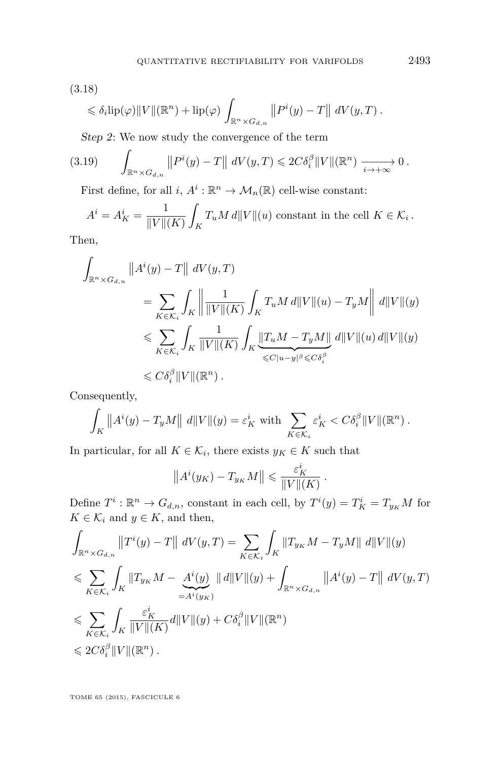<span id="page-45-0"></span>
$$
(3.18)
$$

$$
\leq \delta_i \text{lip}(\varphi) \|V\|(\mathbb{R}^n) + \text{lip}(\varphi) \int_{\mathbb{R}^n \times G_{d,n}} \|P^i(y) - T\| \ dV(y,T) .
$$

Step 2: We now study the convergence of the term

$$
(3.19) \qquad \int_{\mathbb{R}^n \times G_{d,n}} \|P^i(y) - T\| \ dV(y,T) \leq 2C \delta_i^{\beta} \|V\|(\mathbb{R}^n) \xrightarrow[i \to +\infty]{} 0.
$$

First define, for all  $i, A^i : \mathbb{R}^n \to \mathcal{M}_n(\mathbb{R})$  cell-wise constant:

$$
A^{i} = A_{K}^{i} = \frac{1}{\|V\|(K)} \int_{K} T_{u} M d\|V\|(u) \text{ constant in the cell } K \in \mathcal{K}_{i}.
$$

Then,

$$
\int_{\mathbb{R}^n \times G_{d,n}} ||A^i(y) - T|| \, dV(y,T)
$$
\n
$$
= \sum_{K \in \mathcal{K}_i} \int_K \left\| \frac{1}{||V||(K)} \int_K T_u M \, d||V||(u) - T_y M|| \, d||V||(y) \right\|
$$
\n
$$
\leqslant \sum_{K \in \mathcal{K}_i} \int_K \frac{1}{||V||(K)} \int_K \underbrace{||T_u M - T_y M||}_{\leqslant C |u - y|^\beta \leqslant C \delta_i^\beta} \, d||V||(u) \, d||V||(y) \leqslant C \delta_i^\beta ||V||(\mathbb{R}^n) .
$$

Consequently,

$$
\int_K \|A^i(y) - T_y M\| \, d\|V\|(y) = \varepsilon_K^i \text{ with } \sum_{K \in \mathcal{K}_i} \varepsilon_K^i < C \delta_i^{\beta} \|V\|(\mathbb{R}^n) \, .
$$

In particular, for all  $K \in \mathcal{K}_i$ , there exists  $y_K \in K$  such that

$$
||A^i(y_K) - T_{y_K}M|| \leqslant \frac{\varepsilon_K^i}{||V||(K)}.
$$

Define  $T^i$ :  $\mathbb{R}^n \to G_{d,n}$ , constant in each cell, by  $T^i(y) = T^i_K = T_{y_K} M$  for  $K \in \mathcal{K}_i$  and  $y \in K$ , and then,

$$
\int_{\mathbb{R}^n \times G_{d,n}} ||T^i(y) - T|| \, dV(y,T) = \sum_{K \in \mathcal{K}_i} \int_K ||T_{y_K} M - T_y M|| \, d||V||(y) \n\leq \sum_{K \in \mathcal{K}_i} \int_K ||T_{y_K} M - \underbrace{A^i(y)}_{=A^i(y_K)} || d||V||(y) + \int_{\mathbb{R}^n \times G_{d,n}} ||A^i(y) - T|| \, dV(y,T) \n\leq \sum_{K \in \mathcal{K}_i} \int_K \frac{\varepsilon_K^i}{||V||(K)} d||V||(y) + C\delta_i^{\beta} ||V||(\mathbb{R}^n) \n\leq 2C\delta_i^{\beta} ||V||(\mathbb{R}^n).
$$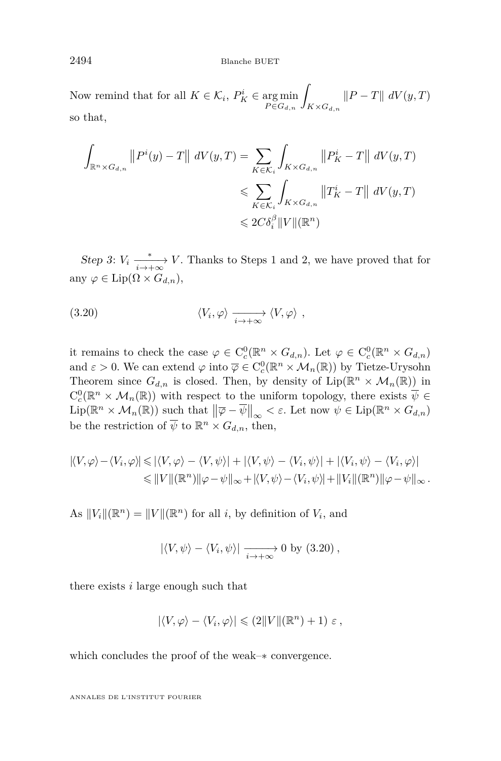2494 Blanche BUET

Now remind that for all  $K \in \mathcal{K}_i$ ,  $P_K^i \in \argmin_{P \in G_{d,n}}$ Z *K*×*Gd,n*  $\|P - T\|$  *dV*(*y*, *T*) so that,

$$
\int_{\mathbb{R}^n \times G_{d,n}} ||P^i(y) - T|| \ dV(y,T) = \sum_{K \in \mathcal{K}_i} \int_{K \times G_{d,n}} ||P^i_K - T|| \ dV(y,T)
$$
  

$$
\leqslant \sum_{K \in \mathcal{K}_i} \int_{K \times G_{d,n}} ||T^i_K - T|| \ dV(y,T)
$$
  

$$
\leqslant 2C \delta_i^{\beta} ||V||(\mathbb{R}^n)
$$

Step 3:  $V_i \xrightarrow[i \to +\infty]{*} V$ . Thanks to Steps 1 and 2, we have proved that for any  $\varphi \in \text{Lip}(\Omega \times G_{d,n}),$ 

$$
(3.20) \t\t \langle V_i, \varphi \rangle \xrightarrow[i \to +\infty]{} \langle V, \varphi \rangle ,
$$

it remains to check the case  $\varphi \in C_c^0(\mathbb{R}^n \times G_{d,n})$ . Let  $\varphi \in C_c^0(\mathbb{R}^n \times G_{d,n})$ and  $\varepsilon > 0$ . We can extend  $\varphi$  into  $\overline{\varphi} \in C_c^0(\mathbb{R}^n \times \mathcal{M}_n(\mathbb{R}))$  by Tietze-Urysohn Theorem since  $G_{d,n}$  is closed. Then, by density of  $\text{Lip}(\mathbb{R}^n \times \mathcal{M}_n(\mathbb{R}))$  in  $C_c^0(\mathbb{R}^n \times \mathcal{M}_n(\mathbb{R}))$  with respect to the uniform topology, there exists  $\overline{\psi} \in$  $\text{Lip}(\mathbb{R}^n \times \mathcal{M}_n(\mathbb{R}))$  such that  $\|\overline{\varphi} - \overline{\psi}\|_{\infty} < \varepsilon$ . Let now  $\psi \in \text{Lip}(\mathbb{R}^n \times G_{d,n})$ be the restriction of  $\overline{\psi}$  to  $\mathbb{R}^n \times G_{d,n}$ , then,

$$
\begin{aligned} |\langle V, \varphi \rangle - \langle V_i, \varphi \rangle| &\leqslant |\langle V, \varphi \rangle - \langle V, \psi \rangle| + |\langle V, \psi \rangle - \langle V_i, \psi \rangle| + |\langle V_i, \psi \rangle - \langle V_i, \varphi \rangle| \\ &\leqslant ||V||(\mathbb{R}^n) ||\varphi - \psi||_{\infty} + |\langle V, \psi \rangle - \langle V_i, \psi \rangle| + ||V_i||(\mathbb{R}^n) ||\varphi - \psi||_{\infty} .\end{aligned}
$$

As  $||V_i||(\mathbb{R}^n) = ||V||(\mathbb{R}^n)$  for all *i*, by definition of  $V_i$ , and

$$
|\langle V, \psi \rangle - \langle V_i, \psi \rangle| \xrightarrow[i \to +\infty]{} 0 \text{ by (3.20)},
$$

there exists *i* large enough such that

$$
|\langle V, \varphi \rangle - \langle V_i, \varphi \rangle| \leqslant (2||V||(\mathbb{R}^n) + 1) \varepsilon,
$$

which concludes the proof of the weak–∗ convergence.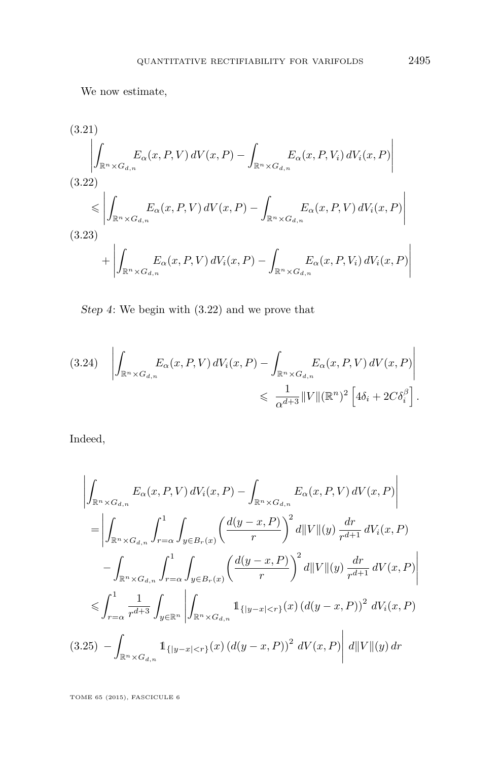<span id="page-47-0"></span>We now estimate,

(3.21)  
\n
$$
\left| \int_{\mathbb{R}^n \times G_{d,n}} E_{\alpha}(x, P, V) dV(x, P) - \int_{\mathbb{R}^n \times G_{d,n}} E_{\alpha}(x, P, V_i) dV_i(x, P) \right|
$$
\n(3.22)  
\n
$$
\leq \left| \int_{\mathbb{R}^n \times G_{d,n}} E_{\alpha}(x, P, V) dV(x, P) - \int_{\mathbb{R}^n \times G_{d,n}} E_{\alpha}(x, P, V) dV_i(x, P) \right|
$$
\n(3.23)  
\n
$$
+ \left| \int_{\mathbb{R}^n \times G_{d,n}} E_{\alpha}(x, P, V) dV_i(x, P) - \int_{\mathbb{R}^n \times G_{d,n}} E_{\alpha}(x, P, V_i) dV_i(x, P) \right|
$$

Step 4: We begin with (3.22) and we prove that

$$
(3.24) \quad \left| \int_{\mathbb{R}^n \times G_{d,n}} E_{\alpha}(x, P, V) dV_i(x, P) - \int_{\mathbb{R}^n \times G_{d,n}} E_{\alpha}(x, P, V) dV(x, P) \right|
$$
  

$$
\leq \frac{1}{\alpha^{d+3}} ||V|| (\mathbb{R}^n)^2 \left[ 4\delta_i + 2C\delta_i^{\beta} \right].
$$

Indeed,

$$
\left| \int_{\mathbb{R}^n \times G_{d,n}} E_{\alpha}(x, P, V) dV_i(x, P) - \int_{\mathbb{R}^n \times G_{d,n}} E_{\alpha}(x, P, V) dV(x, P) \right|
$$
  
\n
$$
= \left| \int_{\mathbb{R}^n \times G_{d,n}} \int_{r=\alpha}^1 \int_{y \in B_r(x)} \left( \frac{d(y-x, P)}{r} \right)^2 d||V||(y) \frac{dr}{r^{d+1}} dV_i(x, P)
$$
  
\n
$$
- \int_{\mathbb{R}^n \times G_{d,n}} \int_{r=\alpha}^1 \int_{y \in B_r(x)} \left( \frac{d(y-x, P)}{r} \right)^2 d||V||(y) \frac{dr}{r^{d+1}} dV(x, P)
$$
  
\n
$$
\leq \int_{r=\alpha}^1 \frac{1}{r^{d+3}} \int_{y \in \mathbb{R}^n} \left| \int_{\mathbb{R}^n \times G_{d,n}} \mathbf{1}_{\{|y-x| < r\}}(x) (d(y-x, P))^2 dV_i(x, P) \right|
$$
  
\n(3.25) 
$$
- \int_{\mathbb{R}^n \times G_{d,n}} \mathbf{1}_{\{|y-x| < r\}}(x) (d(y-x, P))^2 dV(x, P) \right| d||V||(y) dr
$$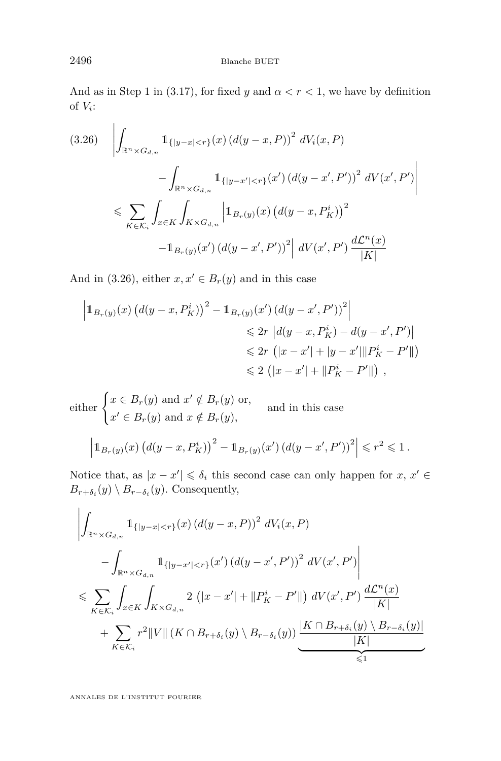And as in Step 1 in [\(3.17\)](#page-44-0), for fixed *y* and  $\alpha < r < 1$ , we have by definition of  $V_i$ :

$$
(3.26) \quad \left| \int_{\mathbb{R}^n \times G_{d,n}} \mathbb{1}_{\{|y-x| < r\}}(x) \left( d(y-x, P) \right)^2 \, dV_i(x, P) \right. \\ \left. - \int_{\mathbb{R}^n \times G_{d,n}} \mathbb{1}_{\{|y-x'| < r\}}(x') \left( d(y-x', P') \right)^2 \, dV(x', P') \right| \\ \leq \sum_{K \in \mathcal{K}_i} \int_{x \in K} \int_{K \times G_{d,n}} \left| \mathbb{1}_{B_r(y)}(x) \left( d(y-x, P_K^i) \right)^2 \right. \\ \left. - \mathbb{1}_{B_r(y)}(x') \left( d(y-x', P') \right)^2 \right| \, dV(x', P') \, \frac{d\mathcal{L}^n(x)}{|K|}
$$

And in (3.26), either  $x, x' \in B_r(y)$  and in this case

$$
\begin{aligned} \left| 1_{B_r(y)}(x) \left( d(y-x, P^i_K) \right)^2 - 1_{B_r(y)}(x') \left( d(y-x', P') \right)^2 \right| \\ &\leqslant 2r \left| d(y-x, P^i_K) - d(y-x', P') \right| \\ &\leqslant 2r \left( |x-x'| + |y-x'||P^i_K - P' || \right) \\ &\leqslant 2 \left( |x-x'| + \| P^i_K - P' || \right) \,, \end{aligned}
$$

either  $\begin{cases} x \in B_r(y) \text{ and } x' \notin B_r(y) \text{ or,} \\ 0 \leq r \leq 0 \end{cases}$  $x' \in B_r(y)$  and  $x \notin B_r(y)$ , and in this case

$$
\left|1_{B_r(y)}(x)\left(d(y-x,P_K^i)\right)^2 - 1_{B_r(y)}(x')\left(d(y-x',P')\right)^2\right| \leq r^2 \leq 1.
$$

Notice that, as  $|x - x'| \leq \delta_i$  this second case can only happen for  $x, x' \in$  $B_{r+\delta_i}(y) \setminus B_{r-\delta_i}(y)$ . Consequently,

$$
\left| \int_{\mathbb{R}^n \times G_{d,n}} \mathbb{1}_{\{|y-x| < r\}}(x) \left( d(y-x, P) \right)^2 dV_i(x, P) \right|
$$
\n
$$
- \int_{\mathbb{R}^n \times G_{d,n}} \mathbb{1}_{\{|y-x'| < r\}}(x') \left( d(y-x', P') \right)^2 dV(x', P') \right|
$$
\n
$$
\leqslant \sum_{K \in \mathcal{K}_i} \int_{x \in K} \int_{K \times G_{d,n}} 2 \left( |x-x'| + \|P^i_K - P'\| \right) dV(x', P') \frac{d\mathcal{L}^n(x)}{|K|}
$$
\n
$$
+ \sum_{K \in \mathcal{K}_i} r^2 \|V\| \left( K \cap B_{r+\delta_i}(y) \setminus B_{r-\delta_i}(y) \right) \underbrace{\frac{|K \cap B_{r+\delta_i}(y) \setminus B_{r-\delta_i}(y)|}{|K|}}_{\leqslant 1}
$$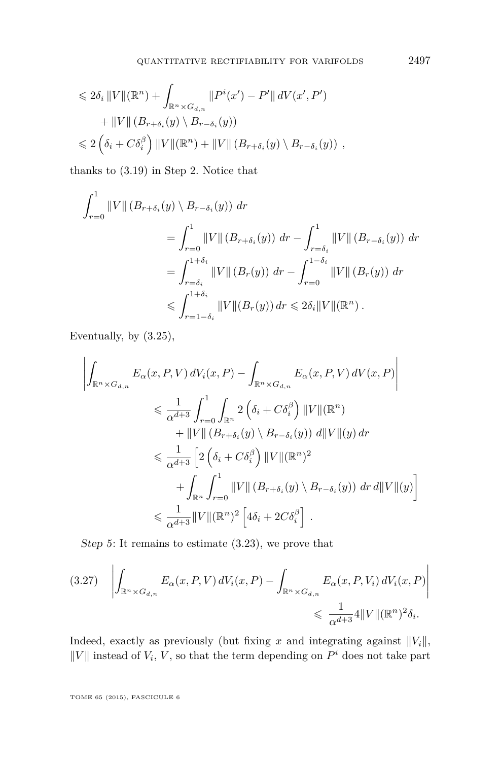<span id="page-49-0"></span>
$$
\leq 2\delta_i \|V\|(\mathbb{R}^n) + \int_{\mathbb{R}^n \times G_{d,n}} \|P^i(x') - P'\| dV(x', P')
$$
  
+ 
$$
\|V\| (B_{r+\delta_i}(y) \setminus B_{r-\delta_i}(y))
$$
  

$$
\leq 2\left(\delta_i + C\delta_i^{\beta}\right) \|V\|(\mathbb{R}^n) + \|V\| (B_{r+\delta_i}(y) \setminus B_{r-\delta_i}(y)),
$$

thanks to [\(3.19\)](#page-45-0) in Step 2. Notice that

$$
\int_{r=0}^{1} ||V|| (B_{r+\delta_i}(y) \setminus B_{r-\delta_i}(y)) dr
$$
  
\n
$$
= \int_{r=0}^{1} ||V|| (B_{r+\delta_i}(y)) dr - \int_{r=\delta_i}^{1} ||V|| (B_{r-\delta_i}(y)) dr
$$
  
\n
$$
= \int_{r=\delta_i}^{1+\delta_i} ||V|| (B_r(y)) dr - \int_{r=0}^{1-\delta_i} ||V|| (B_r(y)) dr
$$
  
\n
$$
\leqslant \int_{r=1-\delta_i}^{1+\delta_i} ||V|| (B_r(y)) dr \leqslant 2\delta_i ||V|| (\mathbb{R}^n).
$$

Eventually, by [\(3.25\)](#page-47-0),

$$
\left| \int_{\mathbb{R}^n \times G_{d,n}} E_{\alpha}(x, P, V) dV_i(x, P) - \int_{\mathbb{R}^n \times G_{d,n}} E_{\alpha}(x, P, V) dV(x, P) \right|
$$
  
\n
$$
\leq \frac{1}{\alpha^{d+3}} \int_{r=0}^1 \int_{\mathbb{R}^n} 2 \left( \delta_i + C \delta_i^{\beta} \right) ||V||(\mathbb{R}^n)
$$
  
\n
$$
+ ||V|| (B_{r+\delta_i}(y) \setminus B_{r-\delta_i}(y)) d||V||(y) dr
$$
  
\n
$$
\leq \frac{1}{\alpha^{d+3}} \left[ 2 \left( \delta_i + C \delta_i^{\beta} \right) ||V||(\mathbb{R}^n)^2
$$
  
\n
$$
+ \int_{\mathbb{R}^n} \int_{r=0}^1 ||V|| (B_{r+\delta_i}(y) \setminus B_{r-\delta_i}(y)) dr d||V||(y) \right]
$$
  
\n
$$
\leq \frac{1}{\alpha^{d+3}} ||V||(\mathbb{R}^n)^2 \left[ 4\delta_i + 2C \delta_i^{\beta} \right].
$$

Step 5: It remains to estimate [\(3.23\)](#page-47-0), we prove that

$$
(3.27) \quad \left| \int_{\mathbb{R}^n \times G_{d,n}} E_{\alpha}(x, P, V) dV_i(x, P) - \int_{\mathbb{R}^n \times G_{d,n}} E_{\alpha}(x, P, V_i) dV_i(x, P) \right|
$$
  

$$
\leq \frac{1}{\alpha^{d+3}} 4 ||V|| (\mathbb{R}^n)^2 \delta_i.
$$

Indeed, exactly as previously (but fixing *x* and integrating against  $||V_i||$ ,  $||V||$  instead of  $V_i$ ,  $V$ , so that the term depending on  $P^i$  does not take part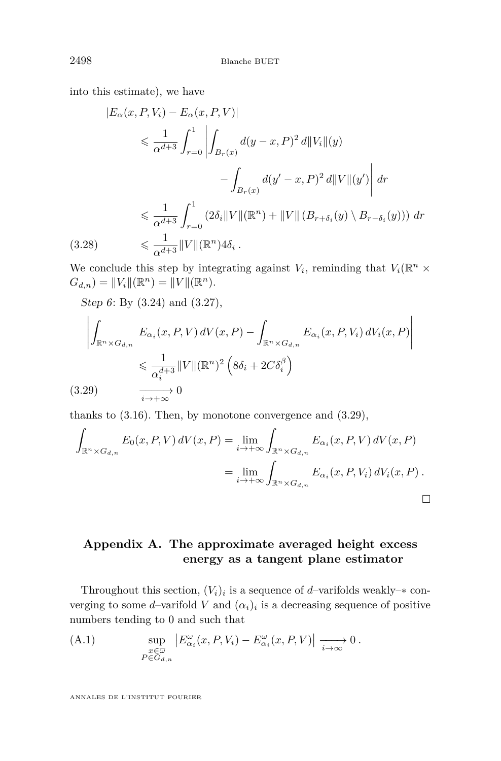<span id="page-50-0"></span>into this estimate), we have

$$
|E_{\alpha}(x, P, V_{i}) - E_{\alpha}(x, P, V)|
$$
  
\n
$$
\leq \frac{1}{\alpha^{d+3}} \int_{r=0}^{1} \left| \int_{B_{r}(x)} d(y-x, P)^{2} d||V_{i}||(y) - \int_{B_{r}(x)} d(y'-x, P)^{2} d||V||(y') \right| dr
$$
  
\n
$$
\leq \frac{1}{\alpha^{d+3}} \int_{r=0}^{1} (2\delta_{i} ||V||(\mathbb{R}^{n}) + ||V|| (B_{r+\delta_{i}}(y) \setminus B_{r-\delta_{i}}(y))) dr
$$
  
\n(3.28) 
$$
\leq \frac{1}{\alpha^{d+3}} ||V||(\mathbb{R}^{n}) 4\delta_{i} .
$$

We conclude this step by integrating against  $V_i$ , reminding that  $V_i(\mathbb{R}^n \times$  $G_{d,n}$  =  $||V_i||(\mathbb{R}^n) = ||V||(\mathbb{R}^n)$ *.* 

Step 6: By [\(3.24\)](#page-47-0) and [\(3.27\)](#page-49-0),

$$
\left| \int_{\mathbb{R}^n \times G_{d,n}} E_{\alpha_i}(x, P, V) dV(x, P) - \int_{\mathbb{R}^n \times G_{d,n}} E_{\alpha_i}(x, P, V_i) dV_i(x, P) \right|
$$
  

$$
\leq \frac{1}{\alpha_i^{d+3}} ||V|| (\mathbb{R}^n)^2 \left( 8\delta_i + 2C\delta_i^{\beta} \right)
$$
  
(3.29) 
$$
\xrightarrow[i \to +\infty]{} 0
$$

thanks to [\(3.16\)](#page-44-0). Then, by monotone convergence and (3.29),

$$
\int_{\mathbb{R}^n \times G_{d,n}} E_0(x, P, V) dV(x, P) = \lim_{i \to +\infty} \int_{\mathbb{R}^n \times G_{d,n}} E_{\alpha_i}(x, P, V) dV(x, P)
$$

$$
= \lim_{i \to +\infty} \int_{\mathbb{R}^n \times G_{d,n}} E_{\alpha_i}(x, P, V_i) dV_i(x, P) .
$$

## **Appendix A. The approximate averaged height excess energy as a tangent plane estimator**

Throughout this section,  $(V_i)_i$  is a sequence of *d*-varifolds weakly– $*$  converging to some *d*-varifold *V* and  $(\alpha_i)_i$  is a decreasing sequence of positive numbers tending to 0 and such that

(A.1) 
$$
\sup_{\substack{x \in \overline{\omega} \\ P \in G_{d,n}}} \left| E_{\alpha_i}^{\omega}(x, P, V_i) - E_{\alpha_i}^{\omega}(x, P, V) \right| \xrightarrow[i \to \infty]{} 0.
$$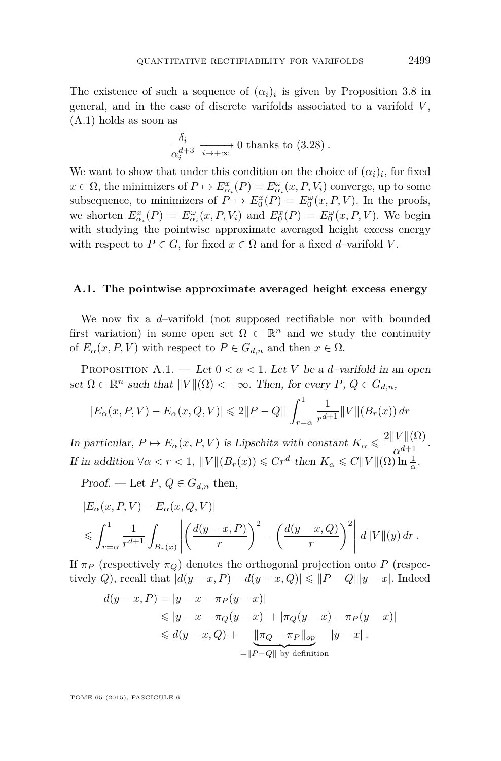<span id="page-51-0"></span>The existence of such a sequence of  $(\alpha_i)_i$  is given by Proposition [3.8](#page-35-0) in general, and in the case of discrete varifolds associated to a varifold *V* , [\(A.1\)](#page-50-0) holds as soon as

$$
\frac{\delta_i}{\alpha_i^{d+3}} \xrightarrow[i \to +\infty]{} 0 \text{ thanks to (3.28)}.
$$

We want to show that under this condition on the choice of  $(\alpha_i)_i$ , for fixed  $x \in \Omega$ , the minimizers of  $P \mapsto E^x_{\alpha_i}(P) = E^{\omega}_{\alpha_i}(x, P, V_i)$  converge, up to some subsequence, to minimizers of  $P \mapsto E_0^x(P) = E_0^{\omega}(x, P, V)$ . In the proofs, we shorten  $E^x_{\alpha_i}(P) = E^{\omega}_{\alpha_i}(x, P, V_i)$  and  $E^x_0(P) = E^{\omega}_0(x, P, V)$ . We begin with studying the pointwise approximate averaged height excess energy with respect to  $P \in G$ , for fixed  $x \in \Omega$  and for a fixed *d*–varifold *V*.

#### **A.1. The pointwise approximate averaged height excess energy**

We now fix a *d*–varifold (not supposed rectifiable nor with bounded first variation) in some open set  $\Omega \subset \mathbb{R}^n$  and we study the continuity of  $E_{\alpha}(x, P, V)$  with respect to  $P \in G_{d,n}$  and then  $x \in \Omega$ .

PROPOSITION A.1. — Let  $0 < \alpha < 1$ . Let *V* be a *d*-varifold in an open set  $\Omega \subset \mathbb{R}^n$  such that  $||V||(\Omega) < +\infty$ . Then, for every  $P, Q \in G_{d,n}$ ,

$$
|E_{\alpha}(x, P, V) - E_{\alpha}(x, Q, V)| \le 2\|P - Q\| \int_{r=\alpha}^{1} \frac{1}{r^{d+1}} \|V\| (B_r(x)) dr
$$

In particular,  $P \mapsto E_\alpha(x, P, V)$  is Lipschitz with constant  $K_\alpha \leqslant \frac{2||V||(\Omega)}{\alpha^{d+1}}$ . If in addition  $\forall \alpha < r < 1$ ,  $||V||(B_r(x)) \leq C r^d$  then  $K_\alpha \leq C||V||(\Omega) \ln \frac{1}{\alpha}$ .

Proof. — Let  $P, Q \in G_{d,n}$  then,

$$
|E_{\alpha}(x, P, V) - E_{\alpha}(x, Q, V)|
$$
  
\$\leqslant \int\_{r=\alpha}^{1} \frac{1}{r^{d+1}} \int\_{B\_r(x)} \left| \left( \frac{d(y-x, P)}{r} \right)^2 - \left( \frac{d(y-x, Q)}{r} \right)^2 \right| d||V||(y) dr.\$

If  $\pi_P$  (respectively  $\pi_Q$ ) denotes the orthogonal projection onto *P* (respectively *Q*), recall that  $|d(y-x, P) - d(y-x, Q)| \leq ||P - Q|| |y - x|$ . Indeed

$$
d(y - x, P) = |y - x - \pi_P(y - x)|
$$
  
\$\leq |y - x - \pi\_Q(y - x)| + |\pi\_Q(y - x) - \pi\_P(y - x)|\$  
\$\leq d(y - x, Q) + \frac{||\pi\_Q - \pi\_P||\_{op}}{||P - Q||\_{by definition}} |y - x|.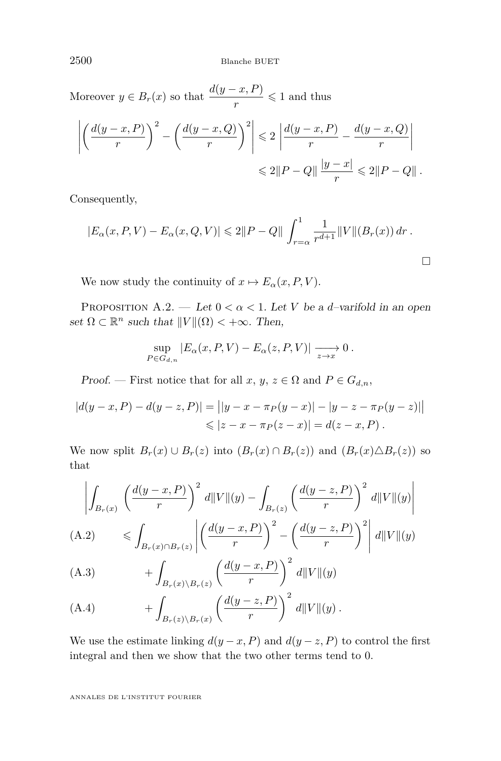<span id="page-52-0"></span>Moreover  $y \in B_r(x)$  so that  $\frac{d(y-x, P)}{r} \leq 1$  and thus

$$
\left| \left( \frac{d(y-x,P)}{r} \right)^2 - \left( \frac{d(y-x,Q)}{r} \right)^2 \right| \leq 2 \left| \frac{d(y-x,P)}{r} - \frac{d(y-x,Q)}{r} \right|
$$
  

$$
\leq 2\|P-Q\| \frac{|y-x|}{r} \leq 2\|P-Q\|.
$$

Consequently,

$$
|E_{\alpha}(x, P, V) - E_{\alpha}(x, Q, V)| \leq 2\|P - Q\| \int_{r=\alpha}^{1} \frac{1}{r^{d+1}} \|V\| (B_r(x)) dr.
$$

We now study the continuity of  $x \mapsto E_\alpha(x, P, V)$ .

PROPOSITION A.2. — Let  $0 < \alpha < 1$ . Let *V* be a *d*-varifold in an open set  $\Omega \subset \mathbb{R}^n$  such that  $||V||(\Omega) < +\infty$ . Then,

$$
\sup_{P\in G_{d,n}}|E_{\alpha}(x,P,V)-E_{\alpha}(z,P,V)| \xrightarrow[z\to x]{} 0.
$$

Proof. — First notice that for all  $x, y, z \in \Omega$  and  $P \in G_{d,n}$ ,

$$
|d(y-x, P) - d(y-z, P)| = ||y - x - \pi_P(y-x)| - |y - z - \pi_P(y-z)||
$$
  
\$\le |z - x - \pi\_P(z-x)| = d(z - x, P) .

We now split  $B_r(x) \cup B_r(z)$  into  $(B_r(x) \cap B_r(z))$  and  $(B_r(x) \triangle B_r(z))$  so that

$$
\left| \int_{B_r(x)} \left( \frac{d(y-x,P)}{r} \right)^2 d\|V\|(y) - \int_{B_r(z)} \left( \frac{d(y-z,P)}{r} \right)^2 d\|V\|(y) \right|
$$
\n(A.2) 
$$
\leq \int_{B_r(x) \cap B_r(z)} \left| \left( \frac{d(y-x,P)}{r} \right)^2 - \left( \frac{d(y-z,P)}{r} \right)^2 \right| d\|V\|(y)
$$

(A.3) 
$$
+ \int_{B_r(x)\backslash B_r(z)} \left(\frac{d(y-x,P)}{r}\right)^2 d||V||(y)
$$

(A.4) 
$$
+ \int_{B_r(z)\backslash B_r(x)} \left(\frac{d(y-z,P)}{r}\right)^2 d||V||(y).
$$

We use the estimate linking  $d(y-x, P)$  and  $d(y-z, P)$  to control the first integral and then we show that the two other terms tend to 0.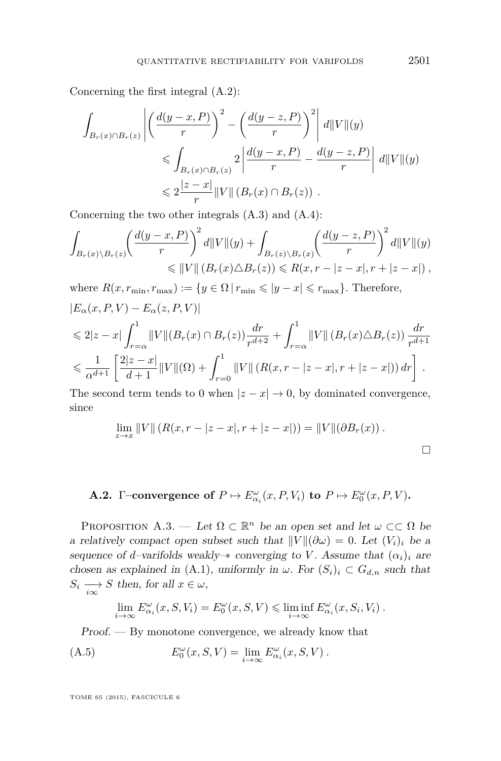<span id="page-53-0"></span>Concerning the first integral [\(A.2\)](#page-52-0):

$$
\int_{B_r(x)\cap B_r(z)} \left| \left( \frac{d(y-x,P)}{r} \right)^2 - \left( \frac{d(y-z,P)}{r} \right)^2 \right| d||V||(y)
$$
\n
$$
\leqslant \int_{B_r(x)\cap B_r(z)} 2 \left| \frac{d(y-x,P)}{r} - \frac{d(y-z,P)}{r} \right| d||V||(y)
$$
\n
$$
\leqslant 2 \frac{|z-x|}{r} ||V|| (B_r(x)\cap B_r(z)) .
$$

Concerning the two other integrals [\(A.3\)](#page-52-0) and [\(A.4\)](#page-52-0):

$$
\int_{B_r(x)\backslash B_r(z)} \left(\frac{d(y-x,P)}{r}\right)^2 d||V||(y) + \int_{B_r(z)\backslash B_r(x)} \left(\frac{d(y-z,P)}{r}\right)^2 d||V||(y) \n\leq ||V|| (B_r(x)\triangle B_r(z)) \leq R(x,r-|z-x|,r+|z-x|),
$$

where  $R(x, r_{\min}, r_{\max}) := \{y \in \Omega \mid r_{\min} \leqslant |y - x| \leqslant r_{\max}\}.$  Therefore,  $|E_\alpha(x, P, V) - E_\alpha(z, P, V)|$ 

$$
\leq 2|z-x|\int_{r=\alpha}^1 \|V\|(B_r(x)\cap B_r(z))\frac{dr}{r^{d+2}} + \int_{r=\alpha}^1 \|V\|\left(B_r(x)\triangle B_r(z)\right)\frac{dr}{r^{d+1}}
$$
  

$$
\leq \frac{1}{\alpha^{d+1}}\left[\frac{2|z-x|}{d+1}\|V\|(\Omega)+\int_{r=0}^1 \|V\|\left(R(x,r-|z-x|,r+|z-x|)\right)dr\right].
$$

The second term tends to 0 when  $|z - x| \to 0$ , by dominated convergence, since

$$
\lim_{z \to x} ||V|| (R(x, r - |z - x|, r + |z - x|)) = ||V|| (\partial B_r(x)).
$$

# **A.2.** Γ–convergence of  $P \mapsto E_{\alpha_i}^{\omega}(x, P, V_i)$  to  $P \mapsto E_0^{\omega}(x, P, V)$ .

PROPOSITION A.3. — Let  $\Omega \subset \mathbb{R}^n$  be an open set and let  $\omega \subset\subset \Omega$  be a relatively compact open subset such that  $\|V\|(\partial \omega) = 0$ . Let  $(V_i)_i$  be a sequence of *d*–varifolds weakly– $*$  converging to *V*. Assume that  $(\alpha_i)_i$  are chosen as explained in [\(A.1\)](#page-50-0), uniformly in  $\omega$ . For  $(S_i)_i \subset G_{d,n}$  such that  $S_i \longrightarrow S$  then, for all  $x \in \omega$ ,

$$
\lim_{i \to \infty} E^{\omega}_{\alpha_i}(x, S, V_i) = E^{\omega}_0(x, S, V) \leq \liminf_{i \to \infty} E^{\omega}_{\alpha_i}(x, S_i, V_i) .
$$

Proof. — By monotone convergence, we already know that

(A.5) 
$$
E_0^{\omega}(x, S, V) = \lim_{i \to \infty} E_{\alpha_i}^{\omega}(x, S, V).
$$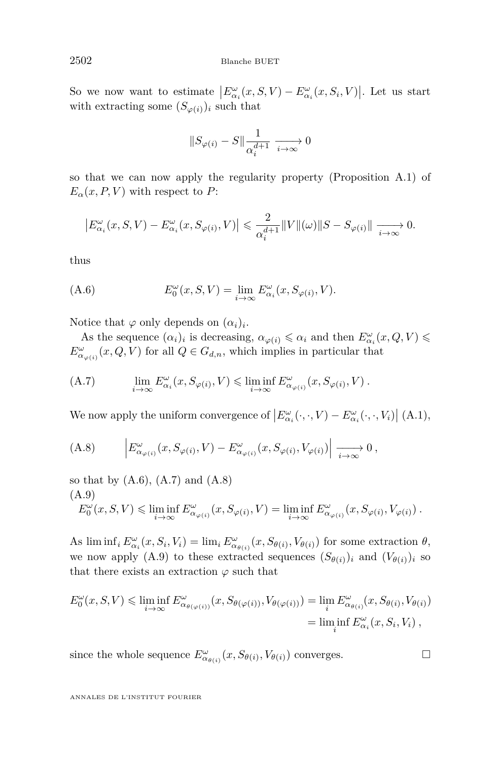So we now want to estimate  $\left| E_{\alpha_i}^{\omega}(x, S, V) - E_{\alpha_i}^{\omega}(x, S_i, V) \right|$ . Let us start with extracting some  $(S_{\varphi(i)})_i$  such that

$$
||S_{\varphi(i)} - S|| \frac{1}{\alpha_i^{d+1}} \xrightarrow[i \to \infty]{} 0
$$

so that we can now apply the regularity property (Proposition [A.1\)](#page-51-0) of  $E_{\alpha}(x, P, V)$  with respect to *P*:

$$
\left|E_{\alpha_i}^{\omega}(x, S, V) - E_{\alpha_i}^{\omega}(x, S_{\varphi(i)}, V)\right| \leq \frac{2}{\alpha_i^{d+1}} \|V\|(\omega)\|S - S_{\varphi(i)}\| \xrightarrow[i \to \infty]{} 0.
$$

thus

(A.6) 
$$
E_0^{\omega}(x, S, V) = \lim_{i \to \infty} E_{\alpha_i}^{\omega}(x, S_{\varphi(i)}, V).
$$

Notice that  $\varphi$  only depends on  $(\alpha_i)_i$ .

As the sequence  $(\alpha_i)_i$  is decreasing,  $\alpha_{\varphi(i)} \leq \alpha_i$  and then  $E^{\omega}_{\alpha_i}(x, Q, V) \leq$  $E^{\omega}_{\alpha_{\varphi(i)}}(x, Q, V)$  for all  $Q \in G_{d,n}$ , which implies in particular that

(A.7) 
$$
\lim_{i \to \infty} E^{\omega}_{\alpha_i}(x, S_{\varphi(i)}, V) \leq \liminf_{i \to \infty} E^{\omega}_{\alpha_{\varphi(i)}}(x, S_{\varphi(i)}, V).
$$

We now apply the uniform convergence of  $\left| E^{\omega}_{\alpha_i}(\cdot,\cdot,V) - E^{\omega}_{\alpha_i}(\cdot,\cdot,V_i) \right|$  [\(A.1\)](#page-50-0),

(A.8) 
$$
\left| E^{\omega}_{\alpha_{\varphi(i)}}(x, S_{\varphi(i)}, V) - E^{\omega}_{\alpha_{\varphi(i)}}(x, S_{\varphi(i)}, V_{\varphi(i)}) \right| \xrightarrow[i \to \infty]{} 0,
$$

so that by  $(A.6)$ ,  $(A.7)$  and  $(A.8)$ (A.9)

$$
E_0^{\omega}(x, S, V) \leq \liminf_{i \to \infty} E_{\alpha_{\varphi(i)}}^{\omega}(x, S_{\varphi(i)}, V) = \liminf_{i \to \infty} E_{\alpha_{\varphi(i)}}^{\omega}(x, S_{\varphi(i)}, V_{\varphi(i)}) .
$$

As  $\liminf_i E^{\omega}_{\alpha_i}(x, S_i, V_i) = \lim_i E^{\omega}_{\alpha_{\theta(i)}}(x, S_{\theta(i)}, V_{\theta(i)})$  for some extraction  $\theta$ , we now apply (A.9) to these extracted sequences  $(S_{\theta(i)})_i$  and  $(V_{\theta(i)})_i$  so that there exists an extraction  $\varphi$  such that

$$
E_0^{\omega}(x, S, V) \le \liminf_{i \to \infty} E_{\alpha_{\theta(\varphi(i))}}^{\omega}(x, S_{\theta(\varphi(i))}, V_{\theta(\varphi(i))}) = \lim_{i} E_{\alpha_{\theta(i)}}^{\omega}(x, S_{\theta(i)}, V_{\theta(i)})
$$
  
= 
$$
\liminf_{i} E_{\alpha_i}^{\omega}(x, S_i, V_i) ,
$$

since the whole sequence  $E^{\omega}_{\alpha_{\theta(i)}}(x, S_{\theta(i)}, V_{\theta(i)})$  converges.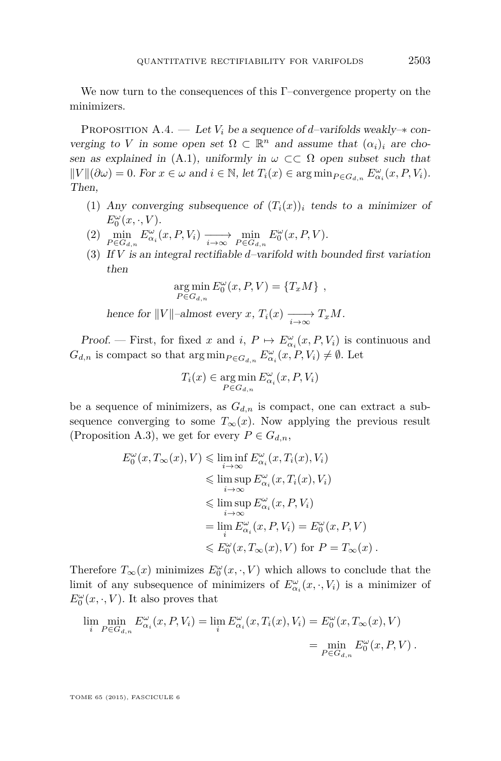We now turn to the consequences of this Γ–convergence property on the minimizers.

PROPOSITION A.4. — Let  $V_i$  be a sequence of *d*-varifolds weakly– $*$  converging to *V* in some open set  $\Omega \subset \mathbb{R}^n$  and assume that  $(\alpha_i)_i$  are cho-sen as explained in [\(A.1\)](#page-50-0), uniformly in  $\omega \subset\subset \Omega$  open subset such that  $\|V\|(\partial\omega) = 0$ . For  $x \in \omega$  and  $i \in \mathbb{N}$ , let  $T_i(x) \in \arg\min_{P \in G_{d,n}} E^{\omega}_{\alpha_i}(x, P, V_i)$ . Then,

- (1) Any converging subsequence of  $(T_i(x))$  tends to a minimizer of  $E_0^{\omega}(x,\cdot,V)$ .
- (2)  $\min_{P \in G_{d,n}} E^{\omega}_{\alpha_i}(x, P, V_i) \xrightarrow[i \to \infty]{} \min_{P \in G_{d,n}} E^{\omega}_0(x, P, V).$
- (3) If *V* is an integral rectifiable *d*–varifold with bounded first variation then

$$
\underset{P \in G_{d,n}}{\arg \min} E_0^{\omega}(x, P, V) = \{T_x M\},
$$

hence for  $||V||$ –almost every *x*,  $T_i(x) \longrightarrow T_xM$ .

Proof. — First, for fixed *x* and *i*,  $P \mapsto E^{\omega}_{\alpha_i}(x, P, V_i)$  is continuous and  $G_{d,n}$  is compact so that  $\arg \min_{P \in G_{d,n}} E^{\omega}_{\alpha_i}(x, P, V_i) \neq \emptyset$ . Let

$$
T_i(x) \in \underset{P \in G_{d,n}}{\arg \min} E_{\alpha_i}^{\omega}(x, P, V_i)
$$

be a sequence of minimizers, as  $G_{d,n}$  is compact, one can extract a subsequence converging to some  $T_\infty(x)$ . Now applying the previous result (Proposition [A.3\)](#page-53-0), we get for every  $P \in G_{d,n}$ ,

$$
E_0^{\omega}(x, T_{\infty}(x), V) \leq \liminf_{i \to \infty} E_{\alpha_i}^{\omega}(x, T_i(x), V_i)
$$
  
\n
$$
\leq \limsup_{i \to \infty} E_{\alpha_i}^{\omega}(x, T_i(x), V_i)
$$
  
\n
$$
\leq \limsup_{i \to \infty} E_{\alpha_i}^{\omega}(x, P, V_i)
$$
  
\n
$$
= \lim_{i} E_{\alpha_i}^{\omega}(x, P, V_i) = E_0^{\omega}(x, P, V)
$$
  
\n
$$
\leq E_0^{\omega}(x, T_{\infty}(x), V) \text{ for } P = T_{\infty}(x).
$$

Therefore  $T_{\infty}(x)$  minimizes  $E_0^{\omega}(x, \cdot, V)$  which allows to conclude that the limit of any subsequence of minimizers of  $E^{\omega}_{\alpha_i}(x, \cdot, V_i)$  is a minimizer of  $E_0^{\omega}(x,\cdot,V)$ . It also proves that

$$
\lim_{i} \min_{P \in G_{d,n}} E^{\omega}_{\alpha_i}(x, P, V_i) = \lim_{i} E^{\omega}_{\alpha_i}(x, T_i(x), V_i) = E^{\omega}_0(x, T_{\infty}(x), V)
$$
  

$$
= \min_{P \in G_{d,n}} E^{\omega}_0(x, P, V) .
$$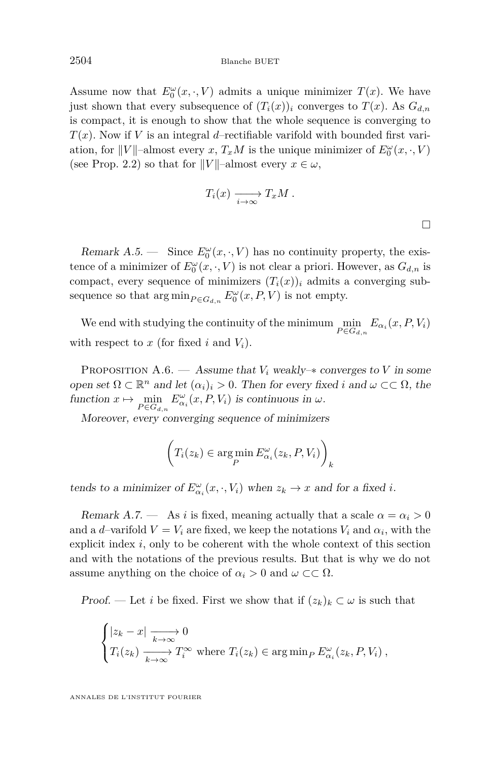2504 Blanche BUET

Assume now that  $E_0^{\omega}(x, \cdot, V)$  admits a unique minimizer  $T(x)$ . We have just shown that every subsequence of  $(T_i(x))_i$  converges to  $T(x)$ . As  $G_{d,n}$ is compact, it is enough to show that the whole sequence is converging to *T*(*x*). Now if *V* is an integral *d*–rectifiable varifold with bounded first variation, for  $||V||$ –almost every *x*,  $T_xM$  is the unique minimizer of  $E_0^{\omega}(x, \cdot, V)$ (see Prop. [2.2\)](#page-21-0) so that for  $||V||$ –almost every  $x \in \omega$ ,

$$
T_i(x) \xrightarrow[i \to \infty]{} T_xM.
$$

 $\Box$ 

Remark  $A.5$ . — Since  $E_0^{\omega}(x, \cdot, V)$  has no continuity property, the existence of a minimizer of  $E_0^{\omega}(x, \cdot, V)$  is not clear a priori. However, as  $G_{d,n}$  is compact, every sequence of minimizers  $(T_i(x))_i$  admits a converging subsequence so that  $\arg \min_{P \in G_{d,n}} E^{\omega}_0(x, P, V)$  is not empty.

We end with studying the continuity of the minimum  $\min_{P \in G_{d,n}} E_{\alpha_i}(x, P, V_i)$ with respect to  $x$  (for fixed  $i$  and  $V_i$ ).

PROPOSITION A.6. — Assume that  $V_i$  weakly– $*$  converges to  $V$  in some open set  $\Omega \subset \mathbb{R}^n$  and let  $(\alpha_i)_i > 0$ . Then for every fixed *i* and  $\omega \subset \subset \Omega$ , the function  $x \mapsto \min_{P \in G_{d,n}} E^{\omega}_{\alpha_i}(x, P, V_i)$  is continuous in  $\omega$ .

Moreover, every converging sequence of minimizers

$$
\left(T_i(z_k) \in \argmin_P E_{\alpha_i}^{\omega}(z_k, P, V_i)\right)_k
$$

tends to a minimizer of  $E_{\alpha_i}^{\omega}(x, \cdot, V_i)$  when  $z_k \to x$  and for a fixed *i*.

Remark A.7. — As *i* is fixed, meaning actually that a scale  $\alpha = \alpha_i > 0$ and a *d*-varifold  $V = V_i$  are fixed, we keep the notations  $V_i$  and  $\alpha_i$ , with the explicit index *i*, only to be coherent with the whole context of this section and with the notations of the previous results. But that is why we do not assume anything on the choice of  $\alpha_i > 0$  and  $\omega \subset\subset \Omega$ .

Proof. — Let *i* be fixed. First we show that if  $(z_k)_k \subset \omega$  is such that

$$
\begin{cases} |z_k - x| \xrightarrow[k \to \infty]{} 0 \\ T_i(z_k) \xrightarrow[k \to \infty]{} T_i^{\infty} \text{ where } T_i(z_k) \in \arg\min_P E_{\alpha_i}^{\omega}(z_k, P, V_i) \,, \end{cases}
$$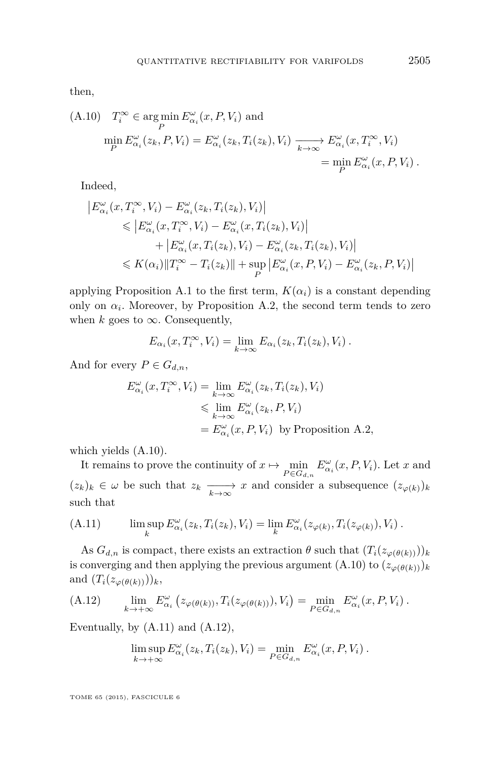then,

(A.10) 
$$
T_i^{\infty} \in \arg\min_P E_{\alpha_i}^{\omega}(x, P, V_i)
$$
 and  
\n
$$
\min_P E_{\alpha_i}^{\omega}(z_k, P, V_i) = E_{\alpha_i}^{\omega}(z_k, T_i(z_k), V_i) \xrightarrow[k \to \infty]{} E_{\alpha_i}^{\omega}(x, T_i^{\infty}, V_i)
$$
\n
$$
= \min_P E_{\alpha_i}^{\omega}(x, P, V_i) .
$$

Indeed,

$$
\begin{aligned} \left| E_{\alpha_i}^{\omega}(x, T_i^{\infty}, V_i) - E_{\alpha_i}^{\omega}(z_k, T_i(z_k), V_i) \right| \\ &\leqslant \left| E_{\alpha_i}^{\omega}(x, T_i^{\infty}, V_i) - E_{\alpha_i}^{\omega}(x, T_i(z_k), V_i) \right| \\ &\quad + \left| E_{\alpha_i}^{\omega}(x, T_i(z_k), V_i) - E_{\alpha_i}^{\omega}(z_k, T_i(z_k), V_i) \right| \\ &\leqslant K(\alpha_i) \| T_i^{\infty} - T_i(z_k) \| + \sup_P \left| E_{\alpha_i}^{\omega}(x, P, V_i) - E_{\alpha_i}^{\omega}(z_k, P, V_i) \right| \end{aligned}
$$

applying Proposition [A.1](#page-51-0) to the first term,  $K(\alpha_i)$  is a constant depending only on  $\alpha_i$ . Moreover, by Proposition [A.2,](#page-52-0) the second term tends to zero when  $k$  goes to  $\infty$ . Consequently,

$$
E_{\alpha_i}(x,T_i^{\infty},V_i) = \lim_{k \to \infty} E_{\alpha_i}(z_k,T_i(z_k),V_i) .
$$

And for every  $P \in G_{d,n}$ ,

$$
E_{\alpha_i}^{\omega}(x, T_i^{\infty}, V_i) = \lim_{k \to \infty} E_{\alpha_i}^{\omega}(z_k, T_i(z_k), V_i)
$$
  
\$\leqslant \lim\_{k \to \infty} E\_{\alpha\_i}^{\omega}(z\_k, P, V\_i)\$  
=  $E_{\alpha_i}^{\omega}(x, P, V_i)$  by Proposition A.2,

which yields (A.10).

It remains to prove the continuity of  $x \mapsto \min_{P \in G_{d,n}} E^{\omega}_{\alpha_i}(x, P, V_i)$ . Let *x* and  $(z_k)_k \in \omega$  be such that  $z_k \longrightarrow x$  and consider a subsequence  $(z_{\varphi(k)})_k$ such that

(A.11) 
$$
\limsup_{k} E^{\omega}_{\alpha_i}(z_k, T_i(z_k), V_i) = \lim_{k} E^{\omega}_{\alpha_i}(z_{\varphi(k)}, T_i(z_{\varphi(k)}), V_i).
$$

As  $G_{d,n}$  is compact, there exists an extraction  $\theta$  such that  $(T_i(z_{\varphi(\theta(k))}))_k$ is converging and then applying the previous argument  $(A.10)$  to  $(z_{\varphi(\theta(k))})_k$ and  $(T_i(z_{\varphi(\theta(k))}))_k$ ,

(A.12) 
$$
\lim_{k \to +\infty} E^{\omega}_{\alpha_i} \left( z_{\varphi(\theta(k))}, T_i(z_{\varphi(\theta(k))}), V_i \right) = \min_{P \in G_{d,n}} E^{\omega}_{\alpha_i}(x, P, V_i).
$$

Eventually, by  $(A.11)$  and  $(A.12)$ ,

$$
\limsup_{k \to +\infty} E^{\omega}_{\alpha_i}(z_k, T_i(z_k), V_i) = \min_{P \in G_{d,n}} E^{\omega}_{\alpha_i}(x, P, V_i) .
$$